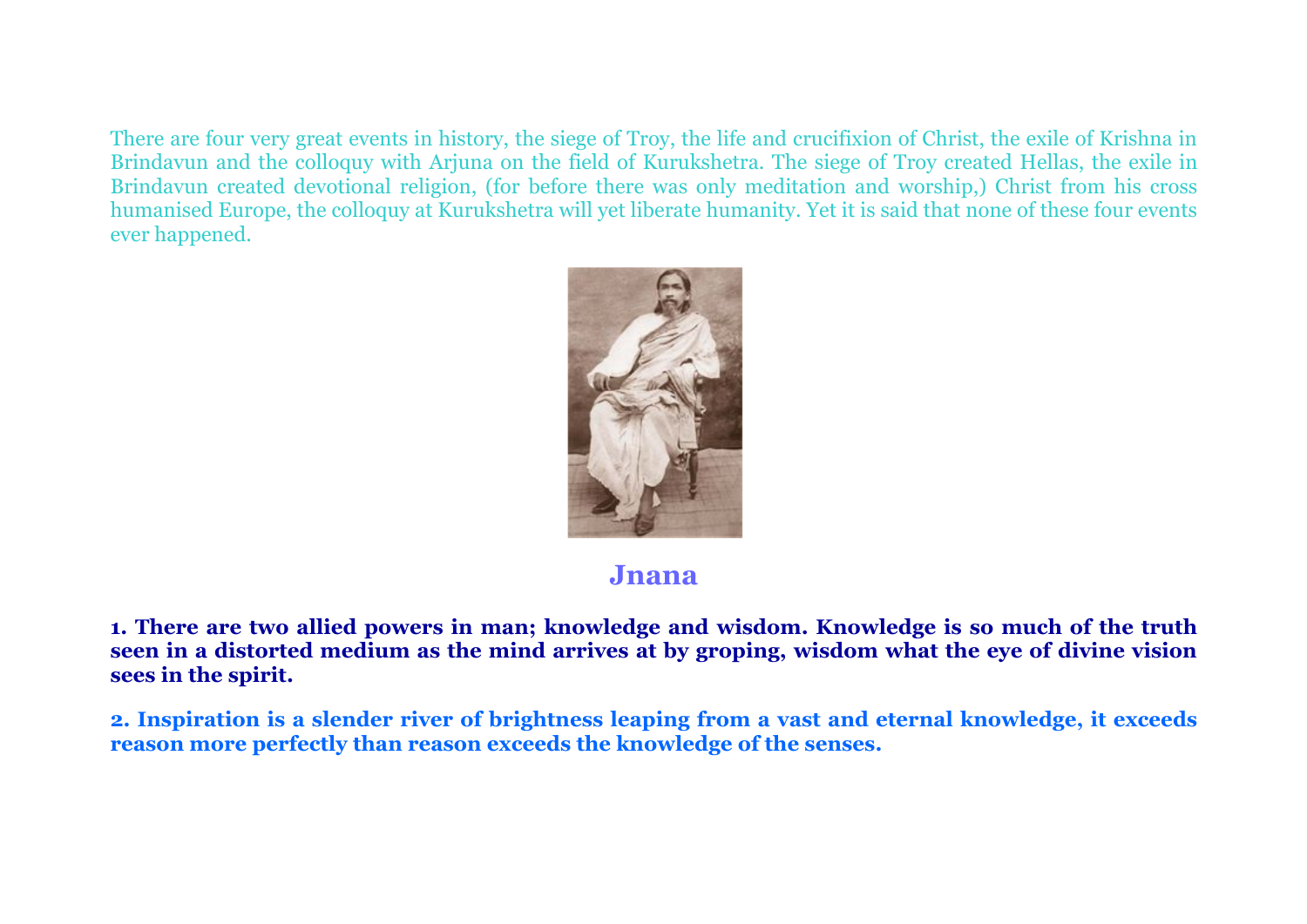There are four very great events in history, the siege of Troy, the life and crucifixion of Christ, the exile of Krishna in Brindavun and the colloquy with Arjuna on the field of Kurukshetra. The siege of Troy created Hellas, the exile in Brindavun created devotional religion, (for before there was only meditation and worship,) Christ from his cross humanised Europe, the colloquy at Kurukshetra will yet liberate humanity. Yet it is said that none of these four events ever happened.



## **Jnana**

**1. There are two allied powers in man; knowledge and wisdom. Knowledge is so much of the truth seen in a distorted medium as the mind arrives at by groping, wisdom what the eye of divine vision sees in the spirit.**

**2. Inspiration is a slender river of brightness leaping from a vast and eternal knowledge, it exceeds reason more perfectly than reason exceeds the knowledge of the senses.**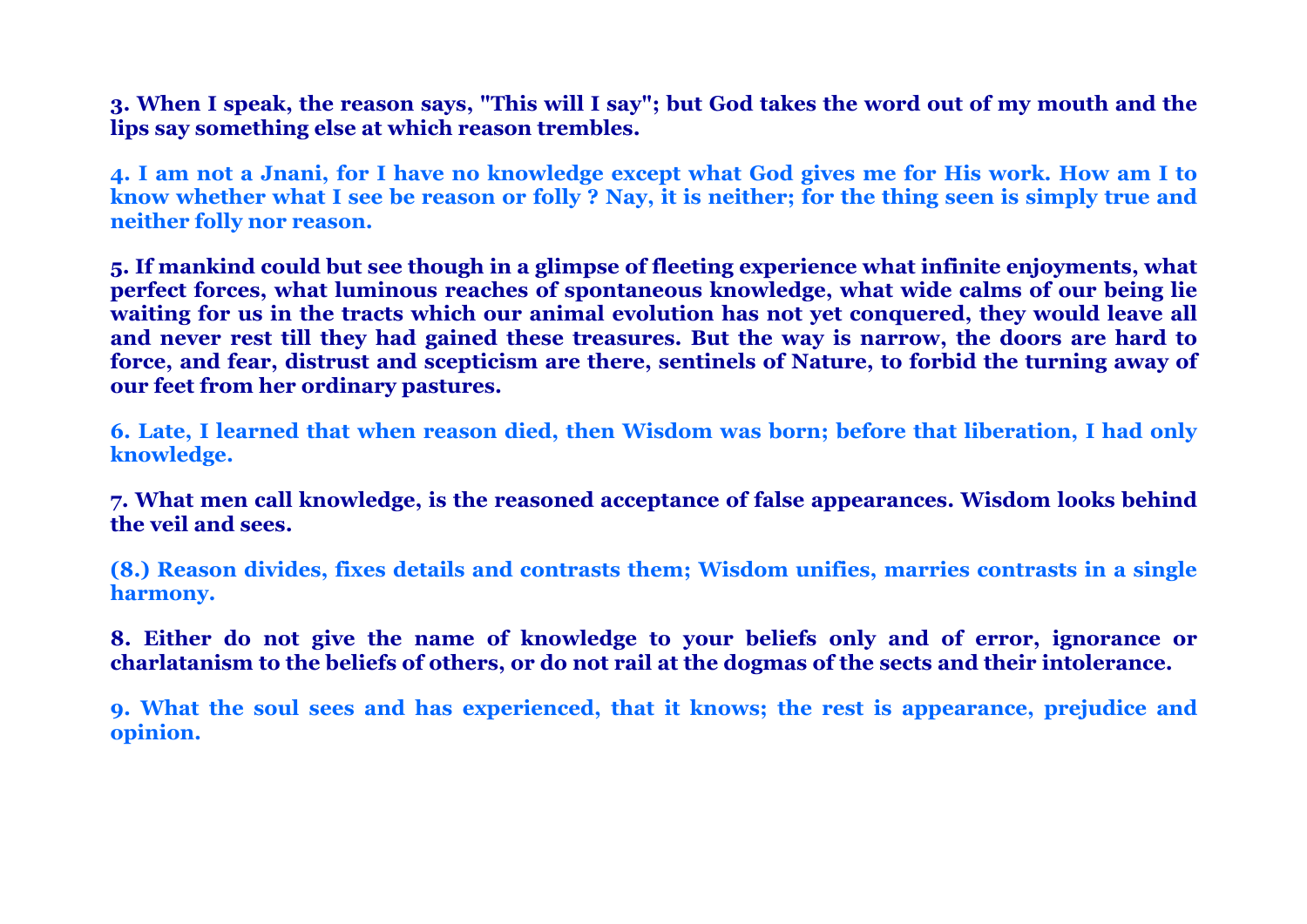**3. When I speak, the reason says, "This will I say"; but God takes the word out of my mouth and the lips say something else at which reason trembles.**

**4. I am not a Jnani, for I have no knowledge except what God gives me for His work. How am I to know whether what I see be reason or folly ? Nay, it is neither; for the thing seen is simply true and neither folly nor reason.**

**5. If mankind could but see though in a glimpse of fleeting experience what infinite enjoyments, what perfect forces, what luminous reaches of spontaneous knowledge, what wide calms of our being lie waiting for us in the tracts which our animal evolution has not yet conquered, they would leave all and never rest till they had gained these treasures. But the way is narrow, the doors are hard to force, and fear, distrust and scepticism are there, sentinels of Nature, to forbid the turning away of our feet from her ordinary pastures.**

**6. Late, I learned that when reason died, then Wisdom was born; before that liberation, I had only knowledge.**

**7. What men call knowledge, is the reasoned acceptance of false appearances. Wisdom looks behind the veil and sees.**

**(8.) Reason divides, fixes details and contrasts them; Wisdom unifies, marries contrasts in a single harmony.**

**8. Either do not give the name of knowledge to your beliefs only and of error, ignorance or charlatanism to the beliefs of others, or do not rail at the dogmas of the sects and their intolerance.**

**9. What the soul sees and has experienced, that it knows; the rest is appearance, prejudice and opinion.**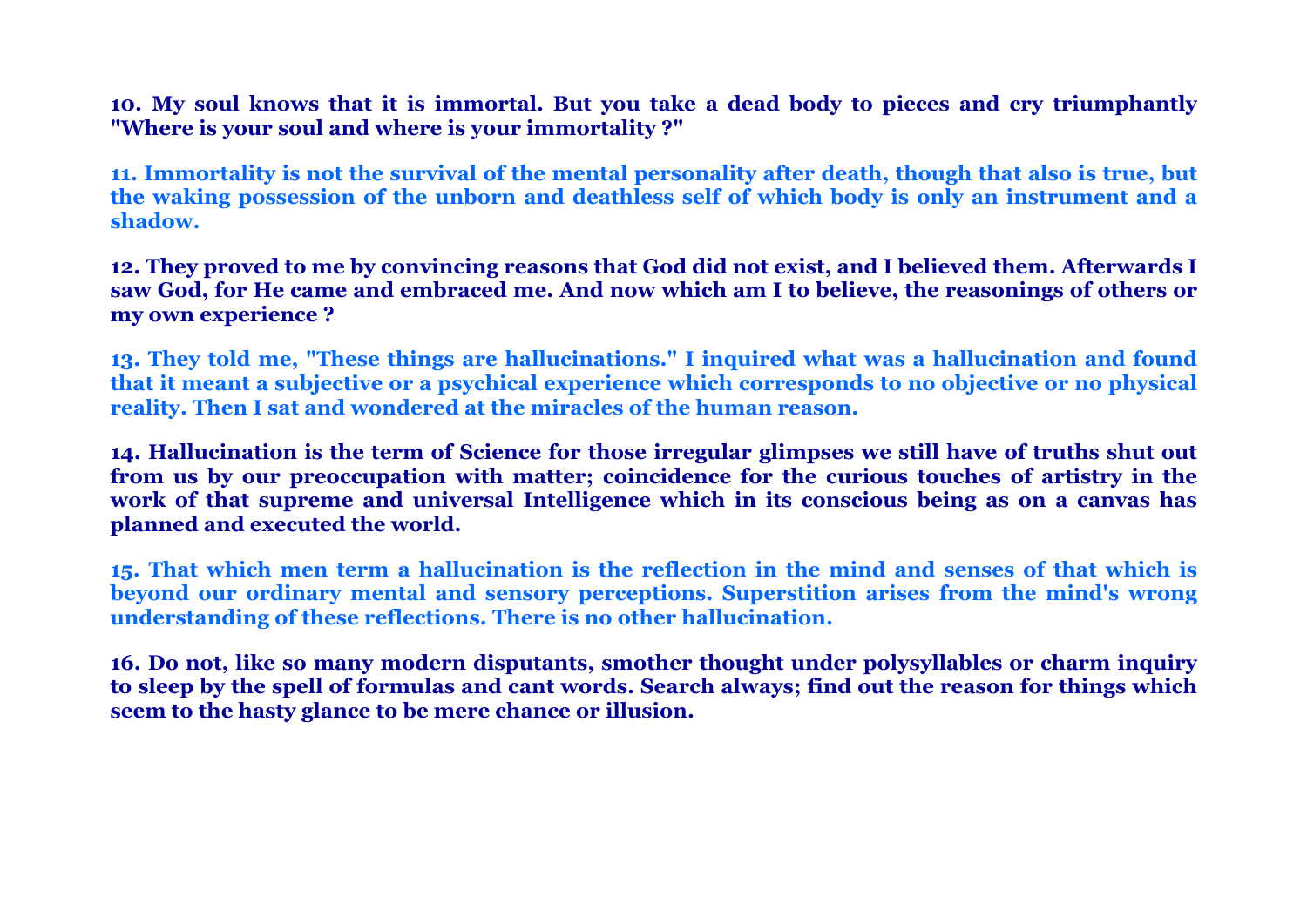**10. My soul knows that it is immortal. But you take a dead body to pieces and cry triumphantly "Where is your soul and where is your immortality ?"** 

**11. Immortality is not the survival of the mental personality after death, though that also is true, but the waking possession of the unborn and deathless self of which body is only an instrument and a shadow.**

**12. They proved to me by convincing reasons that God did not exist, and I believed them. Afterwards I saw God, for He came and embraced me. And now which am I to believe, the reasonings of others or my own experience ?** 

**13. They told me, "These things are hallucinations." I inquired what was a hallucination and found that it meant a subjective or a psychical experience which corresponds to no objective or no physical reality. Then I sat and wondered at the miracles of the human reason.**

**14. Hallucination is the term of Science for those irregular glimpses we still have of truths shut out from us by our preoccupation with matter; coincidence for the curious touches of artistry in the work of that supreme and universal Intelligence which in its conscious being as on a canvas has planned and executed the world.**

**15. That which men term a hallucination is the reflection in the mind and senses of that which is beyond our ordinary mental and sensory perceptions. Superstition arises from the mind's wrong understanding of these reflections. There is no other hallucination.**

**16. Do not, like so many modern disputants, smother thought under polysyllables or charm inquiry to sleep by the spell of formulas and cant words. Search always; find out the reason for things which seem to the hasty glance to be mere chance or illusion.**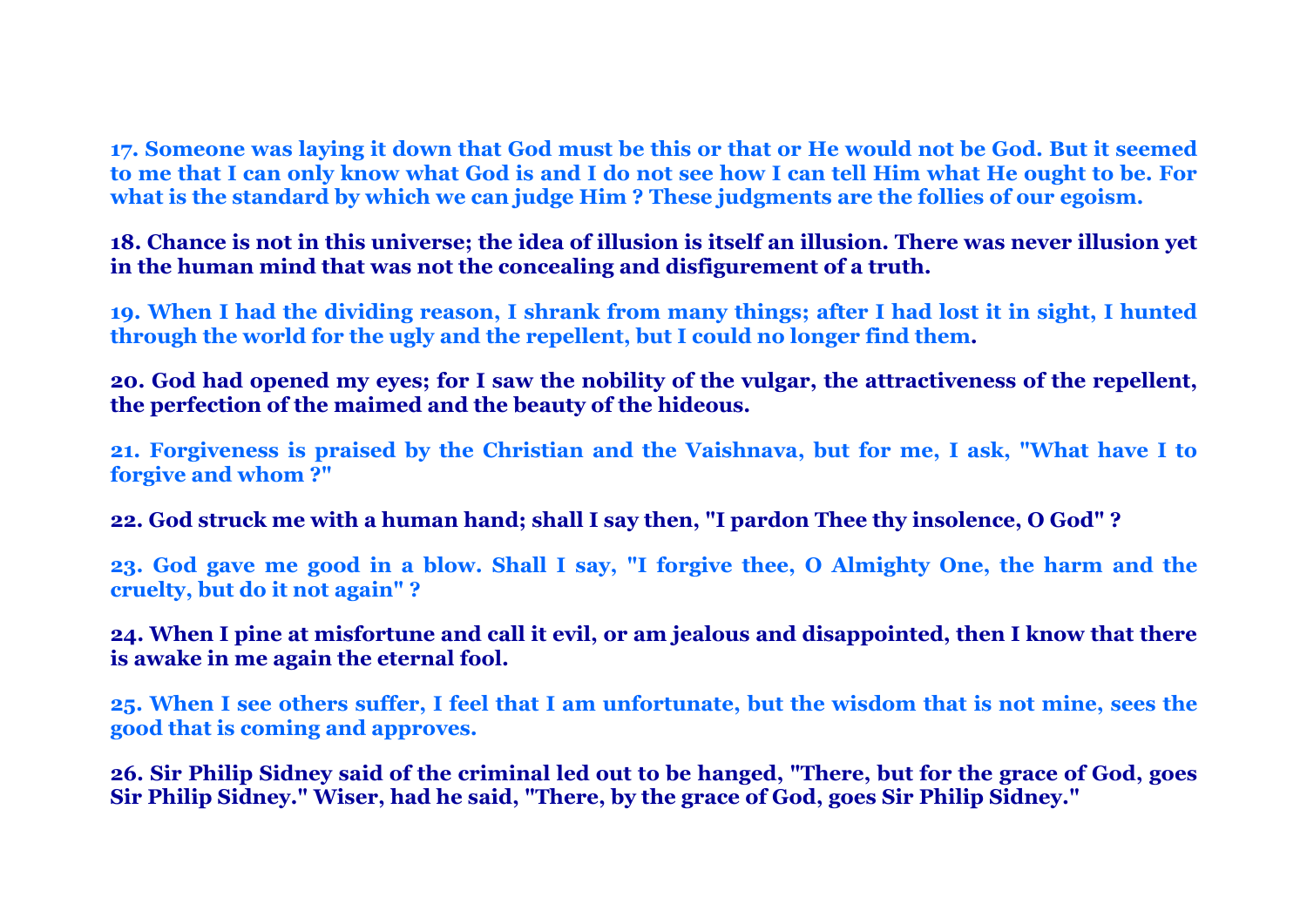**17. Someone was laying it down that God must be this or that or He would not be God. But it seemed to me that I can only know what God is and I do not see how I can tell Him what He ought to be. For what is the standard by which we can judge Him ? These judgments are the follies of our egoism.**

**18. Chance is not in this universe; the idea of illusion is itself an illusion. There was never illusion yet in the human mind that was not the concealing and disfigurement of a truth.**

**19. When I had the dividing reason, I shrank from many things; after I had lost it in sight, I hunted through the world for the ugly and the repellent, but I could no longer find them.**

**20. God had opened my eyes; for I saw the nobility of the vulgar, the attractiveness of the repellent, the perfection of the maimed and the beauty of the hideous.**

**21. Forgiveness is praised by the Christian and the Vaishnava, but for me, I ask, "What have I to forgive and whom ?"** 

**22. God struck me with a human hand; shall I say then, "I pardon Thee thy insolence, O God" ?** 

**23. God gave me good in a blow. Shall I say, "I forgive thee, O Almighty One, the harm and the cruelty, but do it not again" ?** 

**24. When I pine at misfortune and call it evil, or am jealous and disappointed, then I know that there is awake in me again the eternal fool.**

**25. When I see others suffer, I feel that I am unfortunate, but the wisdom that is not mine, sees the good that is coming and approves.**

**26. Sir Philip Sidney said of the criminal led out to be hanged, "There, but for the grace of God, goes Sir Philip Sidney." Wiser, had he said, "There, by the grace of God, goes Sir Philip Sidney."**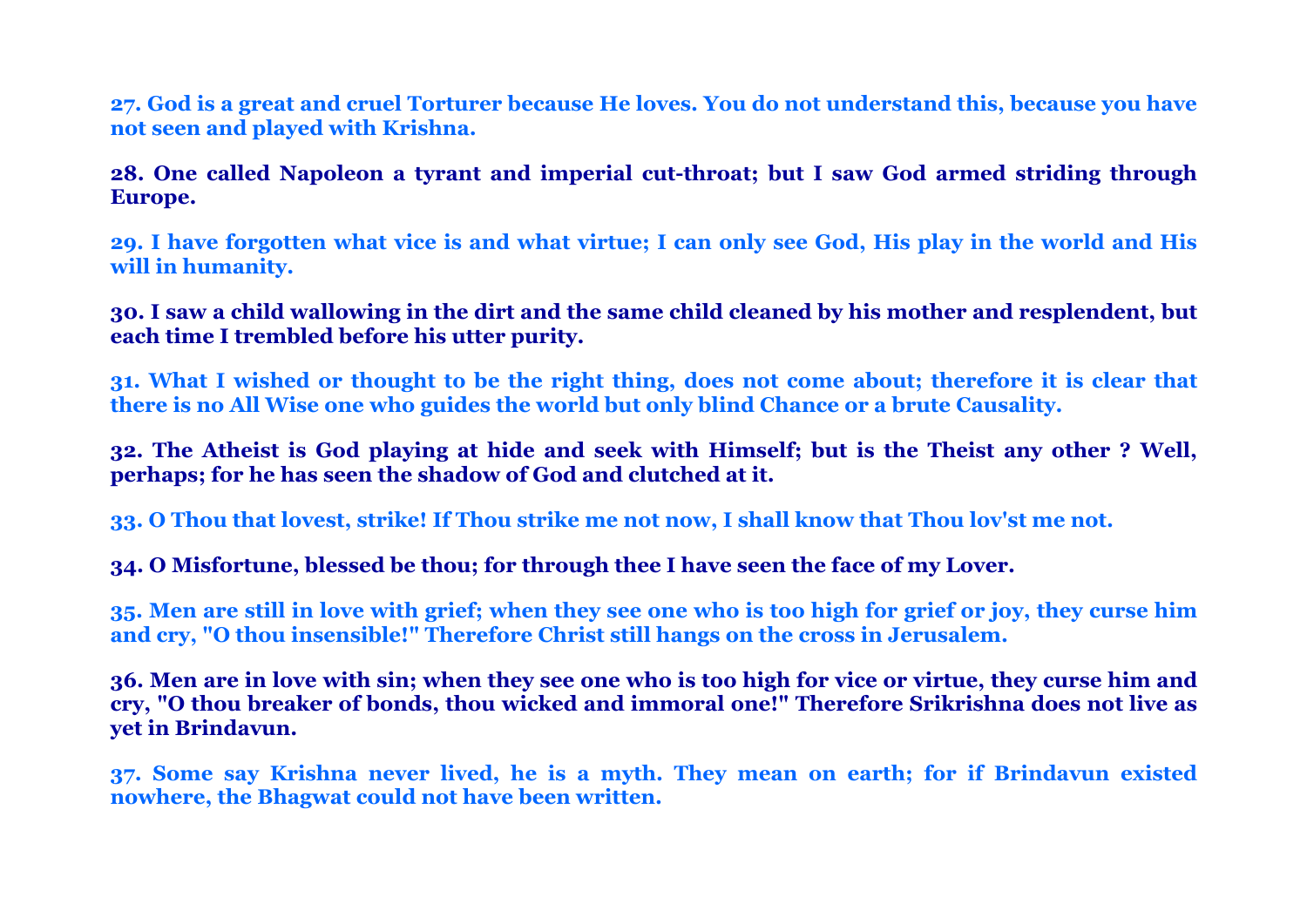**27. God is a great and cruel Torturer because He loves. You do not understand this, because you have not seen and played with Krishna.**

**28. One called Napoleon a tyrant and imperial cut-throat; but I saw God armed striding through Europe.**

**29. I have forgotten what vice is and what virtue; I can only see God, His play in the world and His will in humanity.**

**30. I saw a child wallowing in the dirt and the same child cleaned by his mother and resplendent, but each time I trembled before his utter purity.**

**31. What I wished or thought to be the right thing, does not come about; therefore it is clear that there is no All Wise one who guides the world but only blind Chance or a brute Causality.**

**32. The Atheist is God playing at hide and seek with Himself; but is the Theist any other ? Well, perhaps; for he has seen the shadow of God and clutched at it.**

**33. O Thou that lovest, strike! If Thou strike me not now, I shall know that Thou lov'st me not.**

**34. O Misfortune, blessed be thou; for through thee I have seen the face of my Lover.**

**35. Men are still in love with grief; when they see one who is too high for grief or joy, they curse him and cry, "O thou insensible!" Therefore Christ still hangs on the cross in Jerusalem.**

**36. Men are in love with sin; when they see one who is too high for vice or virtue, they curse him and cry, "O thou breaker of bonds, thou wicked and immoral one!" Therefore Srikrishna does not live as yet in Brindavun.**

**37. Some say Krishna never lived, he is a myth. They mean on earth; for if Brindavun existed nowhere, the Bhagwat could not have been written.**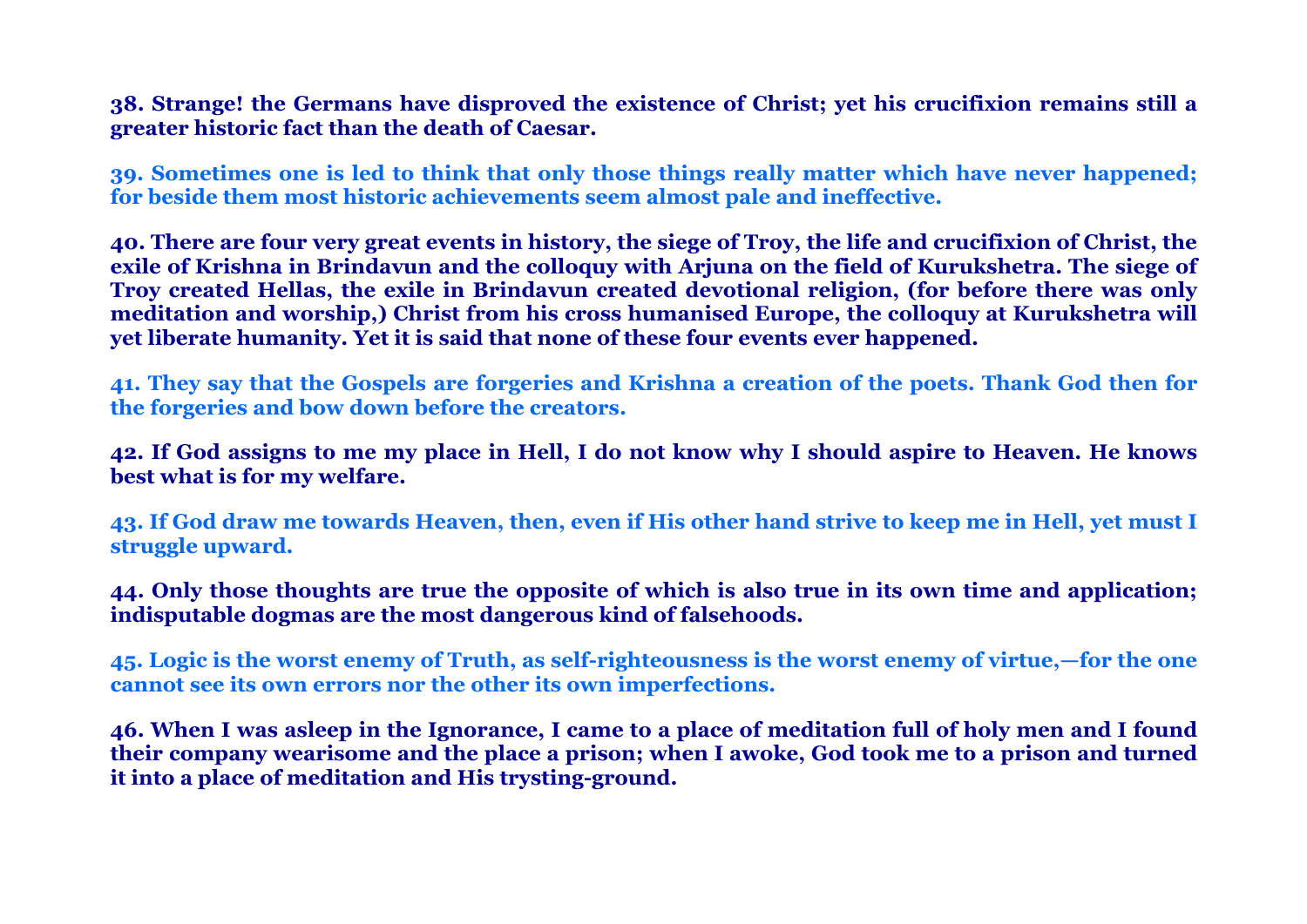**38. Strange! the Germans have disproved the existence of Christ; yet his crucifixion remains still a greater historic fact than the death of Caesar.**

**39. Sometimes one is led to think that only those things really matter which have never happened; for beside them most historic achievements seem almost pale and ineffective.**

**40. There are four very great events in history, the siege of Troy, the life and crucifixion of Christ, the exile of Krishna in Brindavun and the colloquy with Arjuna on the field of Kurukshetra. The siege of Troy created Hellas, the exile in Brindavun created devotional religion, (for before there was only meditation and worship,) Christ from his cross humanised Europe, the colloquy at Kurukshetra will yet liberate humanity. Yet it is said that none of these four events ever happened.**

**41. They say that the Gospels are forgeries and Krishna a creation of the poets. Thank God then for the forgeries and bow down before the creators.**

**42. If God assigns to me my place in Hell, I do not know why I should aspire to Heaven. He knows best what is for my welfare.**

**43. If God draw me towards Heaven, then, even if His other hand strive to keep me in Hell, yet must I struggle upward.**

**44. Only those thoughts are true the opposite of which is also true in its own time and application; indisputable dogmas are the most dangerous kind of falsehoods.**

**45. Logic is the worst enemy of Truth, as self-righteousness is the worst enemy of virtue,—for the one cannot see its own errors nor the other its own imperfections.**

**46. When I was asleep in the Ignorance, I came to a place of meditation full of holy men and I found their company wearisome and the place a prison; when I awoke, God took me to a prison and turned it into a place of meditation and His trysting-ground.**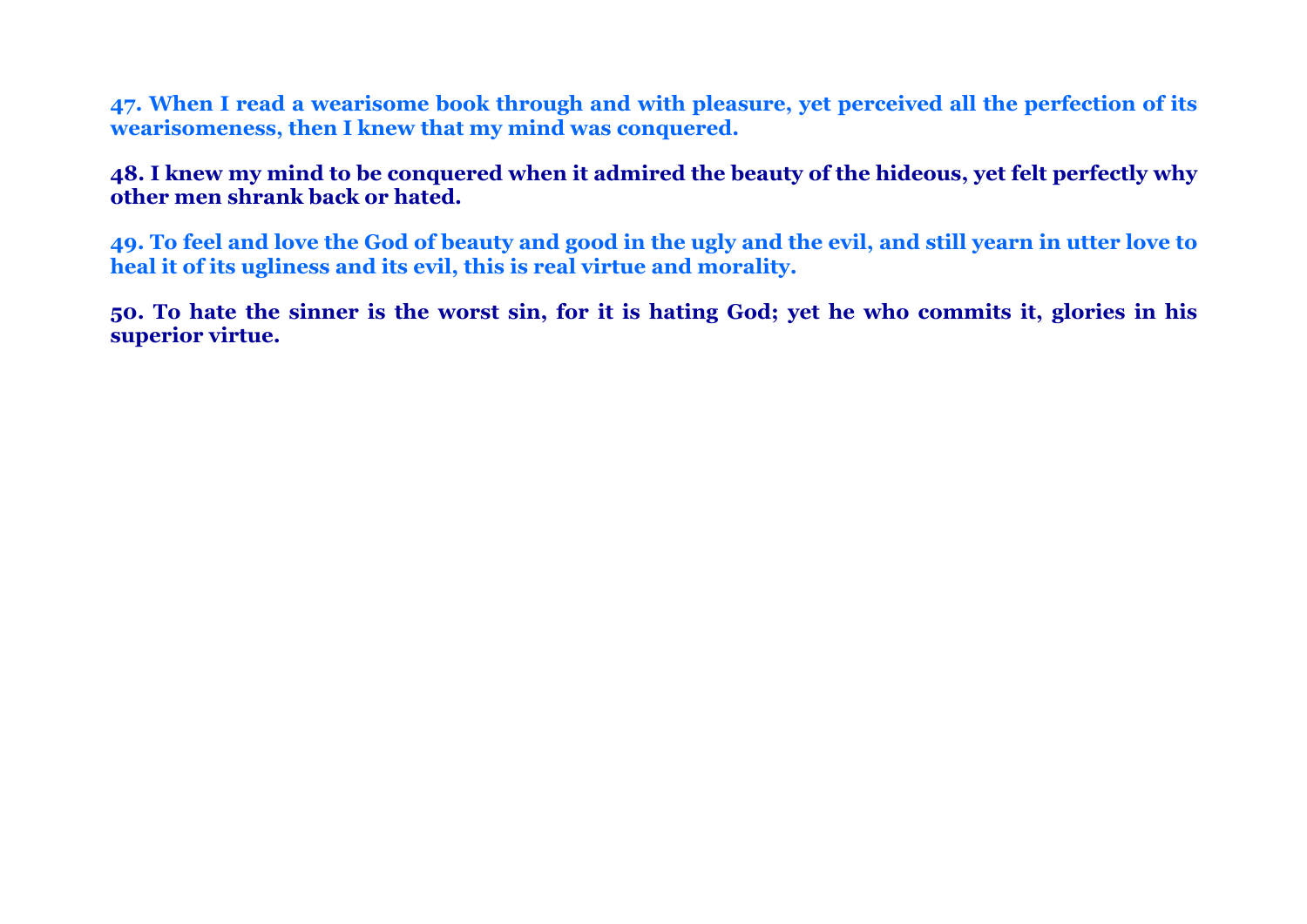**47. When I read a wearisome book through and with pleasure, yet perceived all the perfection of its wearisomeness, then I knew that my mind was conquered.**

**48. I knew my mind to be conquered when it admired the beauty of the hideous, yet felt perfectly why other men shrank back or hated.**

**49. To feel and love the God of beauty and good in the ugly and the evil, and still yearn in utter love to heal it of its ugliness and its evil, this is real virtue and morality.**

**50. To hate the sinner is the worst sin, for it is hating God; yet he who commits it, glories in his superior virtue.**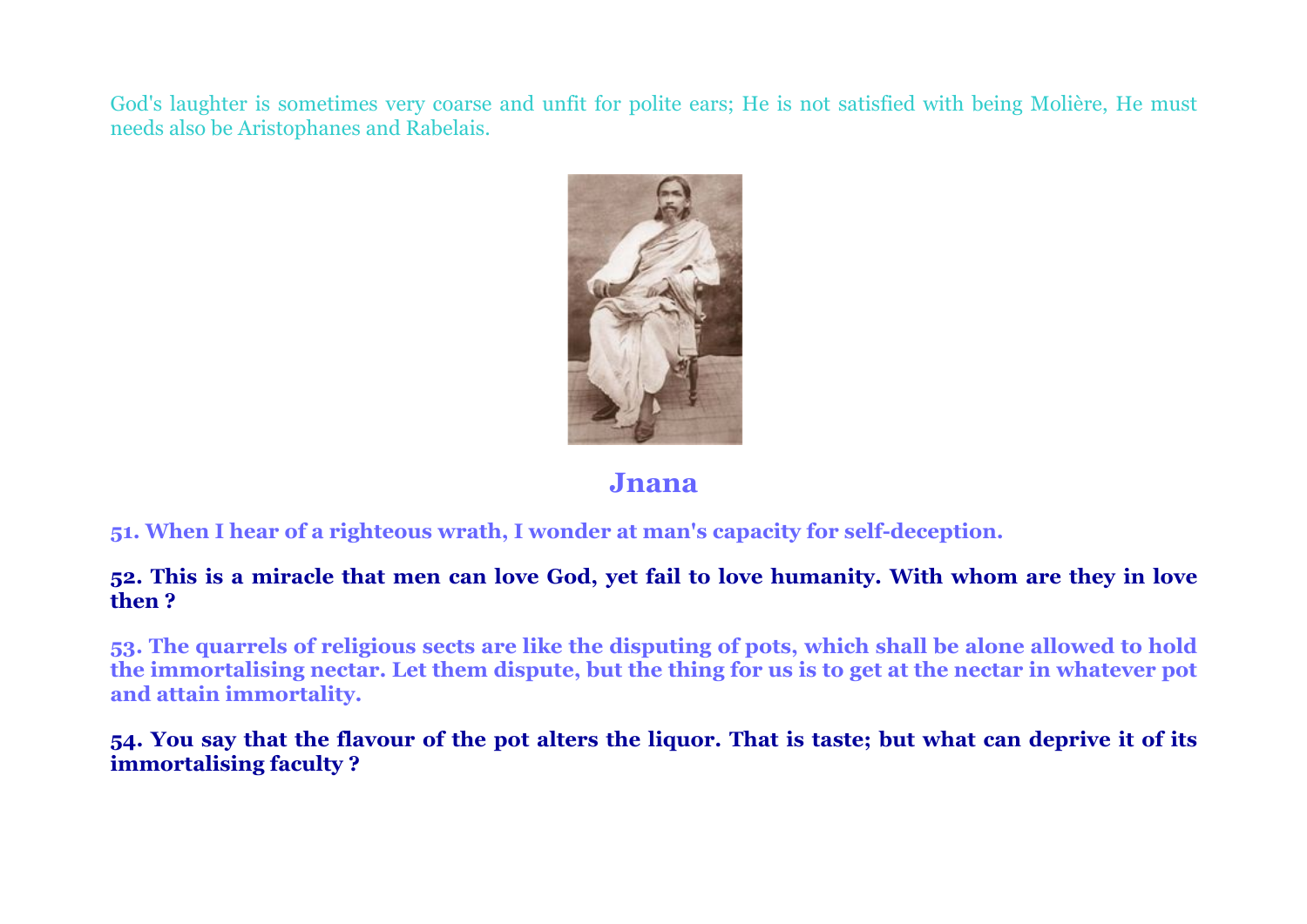God's laughter is sometimes very coarse and unfit for polite ears; He is not satisfied with being Molière, He must needs also be Aristophanes and Rabelais.



## **Jnana**

## **51. When I hear of a righteous wrath, I wonder at man's capacity for self-deception.**

## **52. This is a miracle that men can love God, yet fail to love humanity. With whom are they in love then ?**

**53. The quarrels of religious sects are like the disputing of pots, which shall be alone allowed to hold the immortalising nectar. Let them dispute, but the thing for us is to get at the nectar in whatever pot and attain immortality.**

**54. You say that the flavour of the pot alters the liquor. That is taste; but what can deprive it of its immortalising faculty ?**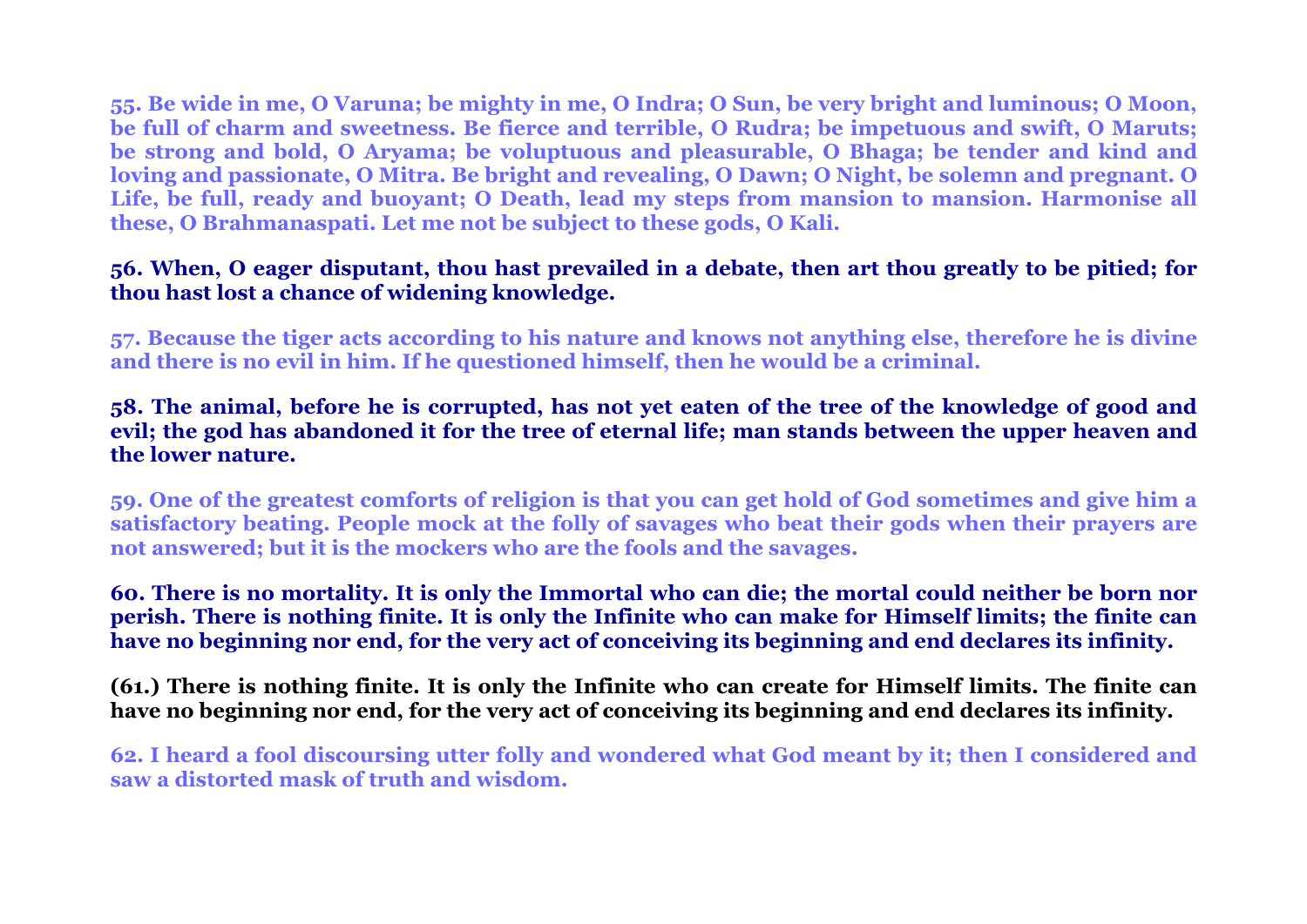**55. Be wide in me, O Varuna; be mighty in me, O Indra; O Sun, be very bright and luminous; O Moon, be full of charm and sweetness. Be fierce and terrible, O Rudra; be impetuous and swift, O Maruts; be strong and bold, O Aryama; be voluptuous and pleasurable, O Bhaga; be tender and kind and loving and passionate, O Mitra. Be bright and revealing, O Dawn; O Night, be solemn and pregnant. O Life, be full, ready and buoyant; O Death, lead my steps from mansion to mansion. Harmonise all these, O Brahmanaspati. Let me not be subject to these gods, O Kali.**

## **56. When, O eager disputant, thou hast prevailed in a debate, then art thou greatly to be pitied; for thou hast lost a chance of widening knowledge.**

**57. Because the tiger acts according to his nature and knows not anything else, therefore he is divine and there is no evil in him. If he questioned himself, then he would be a criminal.**

## **58. The animal, before he is corrupted, has not yet eaten of the tree of the knowledge of good and evil; the god has abandoned it for the tree of eternal life; man stands between the upper heaven and the lower nature.**

**59. One of the greatest comforts of religion is that you can get hold of God sometimes and give him a satisfactory beating. People mock at the folly of savages who beat their gods when their prayers are not answered; but it is the mockers who are the fools and the savages.**

**60. There is no mortality. It is only the Immortal who can die; the mortal could neither be born nor perish. There is nothing finite. It is only the Infinite who can make for Himself limits; the finite can have no beginning nor end, for the very act of conceiving its beginning and end declares its infinity.**

**(61.) There is nothing finite. It is only the Infinite who can create for Himself limits. The finite can have no beginning nor end, for the very act of conceiving its beginning and end declares its infinity.**

**62. I heard a fool discoursing utter folly and wondered what God meant by it; then I considered and saw a distorted mask of truth and wisdom.**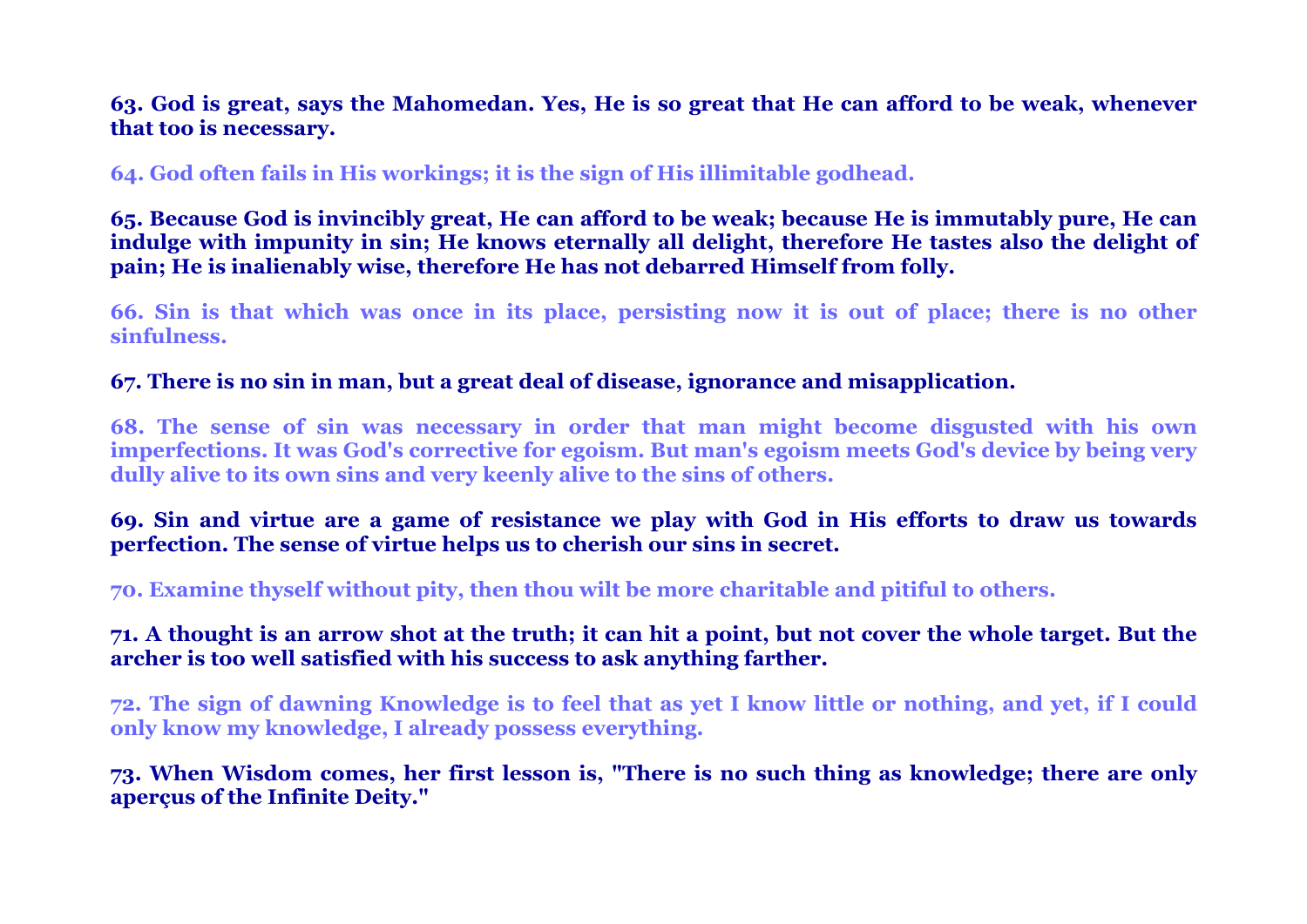#### **63. God is great, says the Mahomedan. Yes, He is so great that He can afford to be weak, whenever that too is necessary.**

**64. God often fails in His workings; it is the sign of His illimitable godhead.**

**65. Because God is invincibly great, He can afford to be weak; because He is immutably pure, He can indulge with impunity in sin; He knows eternally all delight, therefore He tastes also the delight of pain; He is inalienably wise, therefore He has not debarred Himself from folly.**

**66. Sin is that which was once in its place, persisting now it is out of place; there is no other sinfulness.**

## **67. There is no sin in man, but a great deal of disease, ignorance and misapplication.**

**68. The sense of sin was necessary in order that man might become disgusted with his own imperfections. It was God's corrective for egoism. But man's egoism meets God's device by being very dully alive to its own sins and very keenly alive to the sins of others.**

**69. Sin and virtue are a game of resistance we play with God in His efforts to draw us towards perfection. The sense of virtue helps us to cherish our sins in secret.**

**70. Examine thyself without pity, then thou wilt be more charitable and pitiful to others.**

## **71. A thought is an arrow shot at the truth; it can hit a point, but not cover the whole target. But the archer is too well satisfied with his success to ask anything farther.**

**72. The sign of dawning Knowledge is to feel that as yet I know little or nothing, and yet, if I could only know my knowledge, I already possess everything.**

**73. When Wisdom comes, her first lesson is, "There is no such thing as knowledge; there are only aperçus of the Infinite Deity."**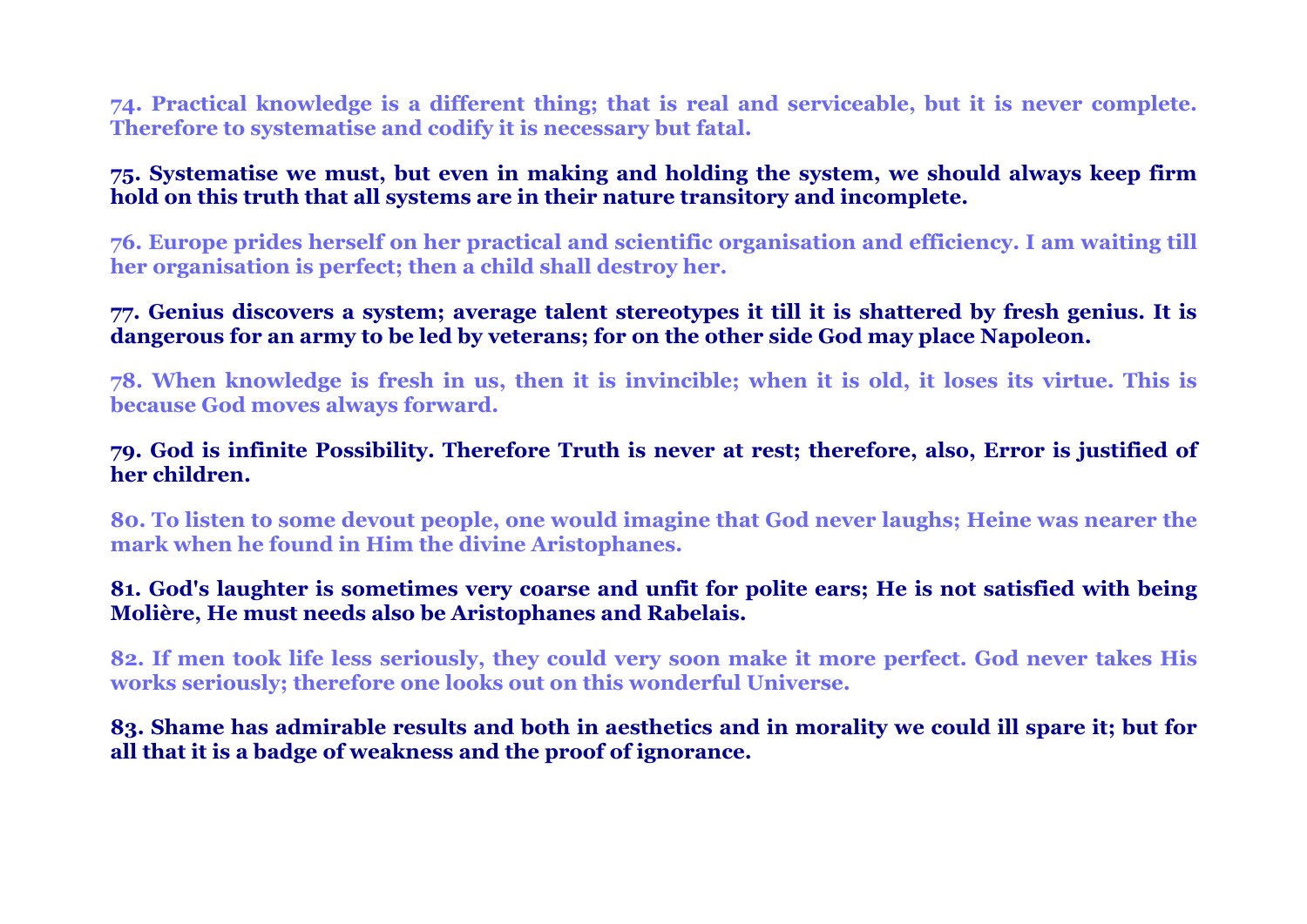**74. Practical knowledge is a different thing; that is real and serviceable, but it is never complete. Therefore to systematise and codify it is necessary but fatal.**

## **75. Systematise we must, but even in making and holding the system, we should always keep firm hold on this truth that all systems are in their nature transitory and incomplete.**

**76. Europe prides herself on her practical and scientific organisation and efficiency. I am waiting till her organisation is perfect; then a child shall destroy her.**

## **77. Genius discovers a system; average talent stereotypes it till it is shattered by fresh genius. It is dangerous for an army to be led by veterans; for on the other side God may place Napoleon.**

**78. When knowledge is fresh in us, then it is invincible; when it is old, it loses its virtue. This is because God moves always forward.**

#### **79. God is infinite Possibility. Therefore Truth is never at rest; therefore, also, Error is justified of her children.**

**80. To listen to some devout people, one would imagine that God never laughs; Heine was nearer the mark when he found in Him the divine Aristophanes.**

#### **81. God's laughter is sometimes very coarse and unfit for polite ears; He is not satisfied with being Molière, He must needs also be Aristophanes and Rabelais.**

**82. If men took life less seriously, they could very soon make it more perfect. God never takes His works seriously; therefore one looks out on this wonderful Universe.**

## **83. Shame has admirable results and both in aesthetics and in morality we could ill spare it; but for all that it is a badge of weakness and the proof of ignorance.**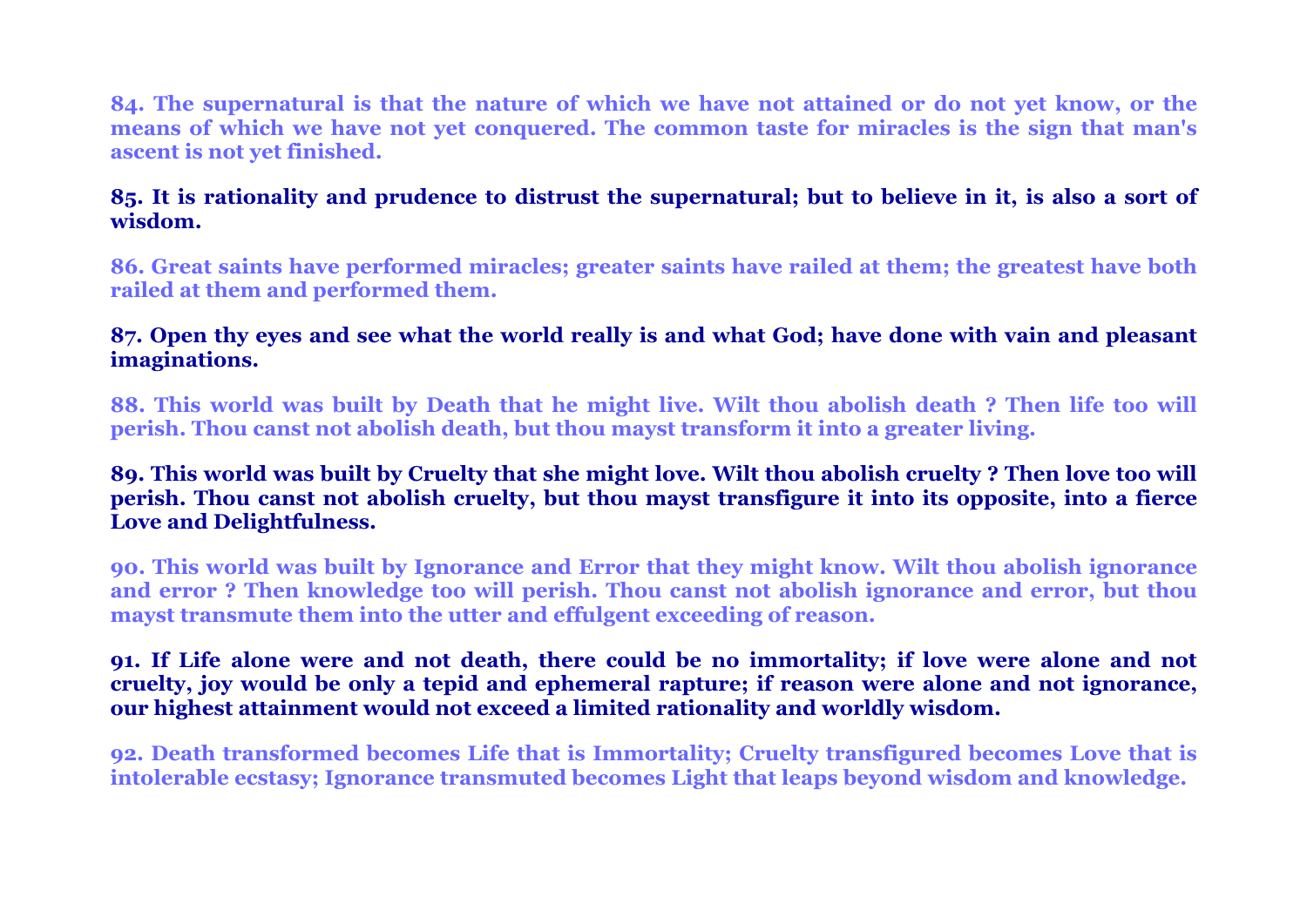**84. The supernatural is that the nature of which we have not attained or do not yet know, or the means of which we have not yet conquered. The common taste for miracles is the sign that man's ascent is not yet finished.**

#### **85. It is rationality and prudence to distrust the supernatural; but to believe in it, is also a sort of wisdom.**

**86. Great saints have performed miracles; greater saints have railed at them; the greatest have both railed at them and performed them.**

#### **87. Open thy eyes and see what the world really is and what God; have done with vain and pleasant imaginations.**

**88. This world was built by Death that he might live. Wilt thou abolish death ? Then life too will perish. Thou canst not abolish death, but thou mayst transform it into a greater living.**

#### **89. This world was built by Cruelty that she might love. Wilt thou abolish cruelty ? Then love too will perish. Thou canst not abolish cruelty, but thou mayst transfigure it into its opposite, into a fierce Love and Delightfulness.**

**90. This world was built by Ignorance and Error that they might know. Wilt thou abolish ignorance and error ? Then knowledge too will perish. Thou canst not abolish ignorance and error, but thou mayst transmute them into the utter and effulgent exceeding of reason.**

#### **91. If Life alone were and not death, there could be no immortality; if love were alone and not cruelty, joy would be only a tepid and ephemeral rapture; if reason were alone and not ignorance, our highest attainment would not exceed a limited rationality and worldly wisdom.**

**92. Death transformed becomes Life that is Immortality; Cruelty transfigured becomes Love that is intolerable ecstasy; Ignorance transmuted becomes Light that leaps beyond wisdom and knowledge.**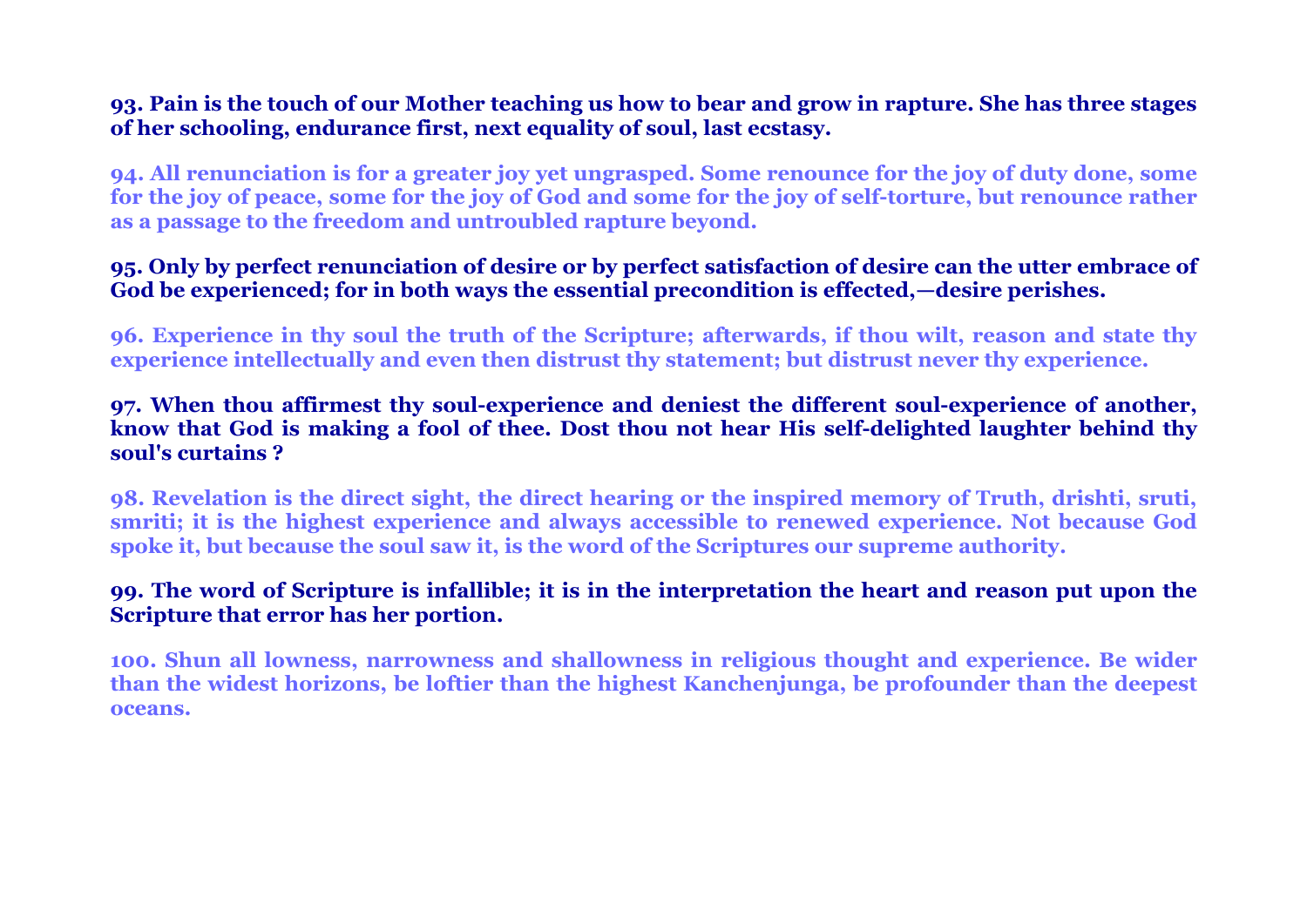#### **93. Pain is the touch of our Mother teaching us how to bear and grow in rapture. She has three stages of her schooling, endurance first, next equality of soul, last ecstasy.**

**94. All renunciation is for a greater joy yet ungrasped. Some renounce for the joy of duty done, some for the joy of peace, some for the joy of God and some for the joy of self-torture, but renounce rather as a passage to the freedom and untroubled rapture beyond.**

## **95. Only by perfect renunciation of desire or by perfect satisfaction of desire can the utter embrace of God be experienced; for in both ways the essential precondition is effected,—desire perishes.**

**96. Experience in thy soul the truth of the Scripture; afterwards, if thou wilt, reason and state thy experience intellectually and even then distrust thy statement; but distrust never thy experience.**

## **97. When thou affirmest thy soul-experience and deniest the different soul-experience of another, know that God is making a fool of thee. Dost thou not hear His self-delighted laughter behind thy soul's curtains ?**

**98. Revelation is the direct sight, the direct hearing or the inspired memory of Truth, drishti, sruti, smriti; it is the highest experience and always accessible to renewed experience. Not because God spoke it, but because the soul saw it, is the word of the Scriptures our supreme authority.**

## **99. The word of Scripture is infallible; it is in the interpretation the heart and reason put upon the Scripture that error has her portion.**

**100. Shun all lowness, narrowness and shallowness in religious thought and experience. Be wider than the widest horizons, be loftier than the highest Kanchenjunga, be profounder than the deepest oceans.**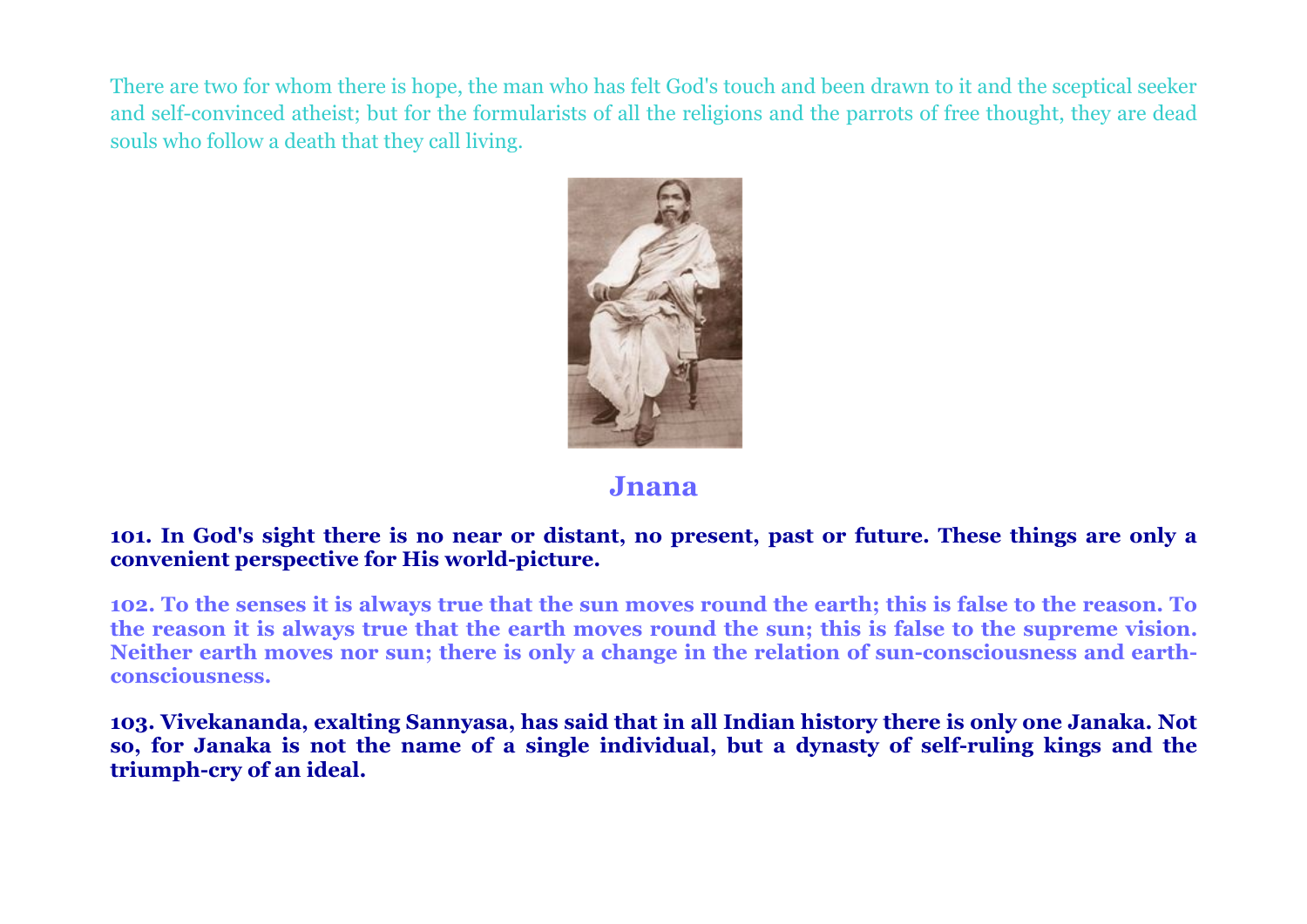There are two for whom there is hope, the man who has felt God's touch and been drawn to it and the sceptical seeker and self-convinced atheist; but for the formularists of all the religions and the parrots of free thought, they are dead souls who follow a death that they call living.



## **Jnana**

#### **101. In God's sight there is no near or distant, no present, past or future. These things are only a convenient perspective for His world-picture.**

**102. To the senses it is always true that the sun moves round the earth; this is false to the reason. To the reason it is always true that the earth moves round the sun; this is false to the supreme vision. Neither earth moves nor sun; there is only a change in the relation of sun-consciousness and earthconsciousness.**

**103. Vivekananda, exalting Sannyasa, has said that in all Indian history there is only one Janaka. Not so, for Janaka is not the name of a single individual, but a dynasty of self-ruling kings and the triumph-cry of an ideal.**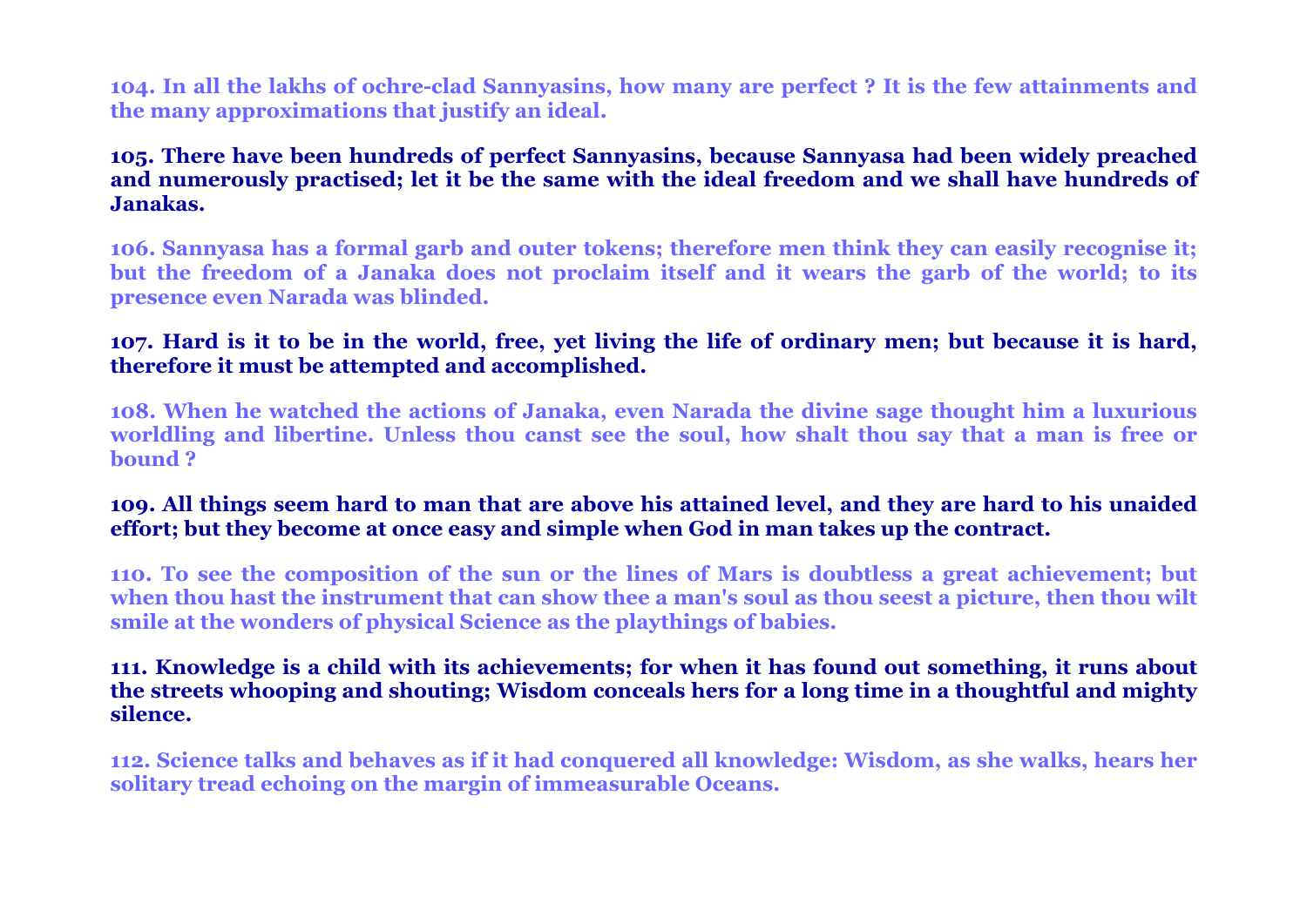**104. In all the lakhs of ochre-clad Sannyasins, how many are perfect ? It is the few attainments and the many approximations that justify an ideal.**

#### **105. There have been hundreds of perfect Sannyasins, because Sannyasa had been widely preached and numerously practised; let it be the same with the ideal freedom and we shall have hundreds of Janakas.**

**106. Sannyasa has a formal garb and outer tokens; therefore men think they can easily recognise it; but the freedom of a Janaka does not proclaim itself and it wears the garb of the world; to its presence even Narada was blinded.**

## **107. Hard is it to be in the world, free, yet living the life of ordinary men; but because it is hard, therefore it must be attempted and accomplished.**

**108. When he watched the actions of Janaka, even Narada the divine sage thought him a luxurious worldling and libertine. Unless thou canst see the soul, how shalt thou say that a man is free or bound ?**

## **109. All things seem hard to man that are above his attained level, and they are hard to his unaided effort; but they become at once easy and simple when God in man takes up the contract.**

**110. To see the composition of the sun or the lines of Mars is doubtless a great achievement; but**  when thou hast the instrument that can show thee a man's soul as thou seest a picture, then thou wilt **smile at the wonders of physical Science as the playthings of babies.**

#### **111. Knowledge is a child with its achievements; for when it has found out something, it runs about the streets whooping and shouting; Wisdom conceals hers for a long time in a thoughtful and mighty silence.**

**112. Science talks and behaves as if it had conquered all knowledge: Wisdom, as she walks, hears her solitary tread echoing on the margin of immeasurable Oceans.**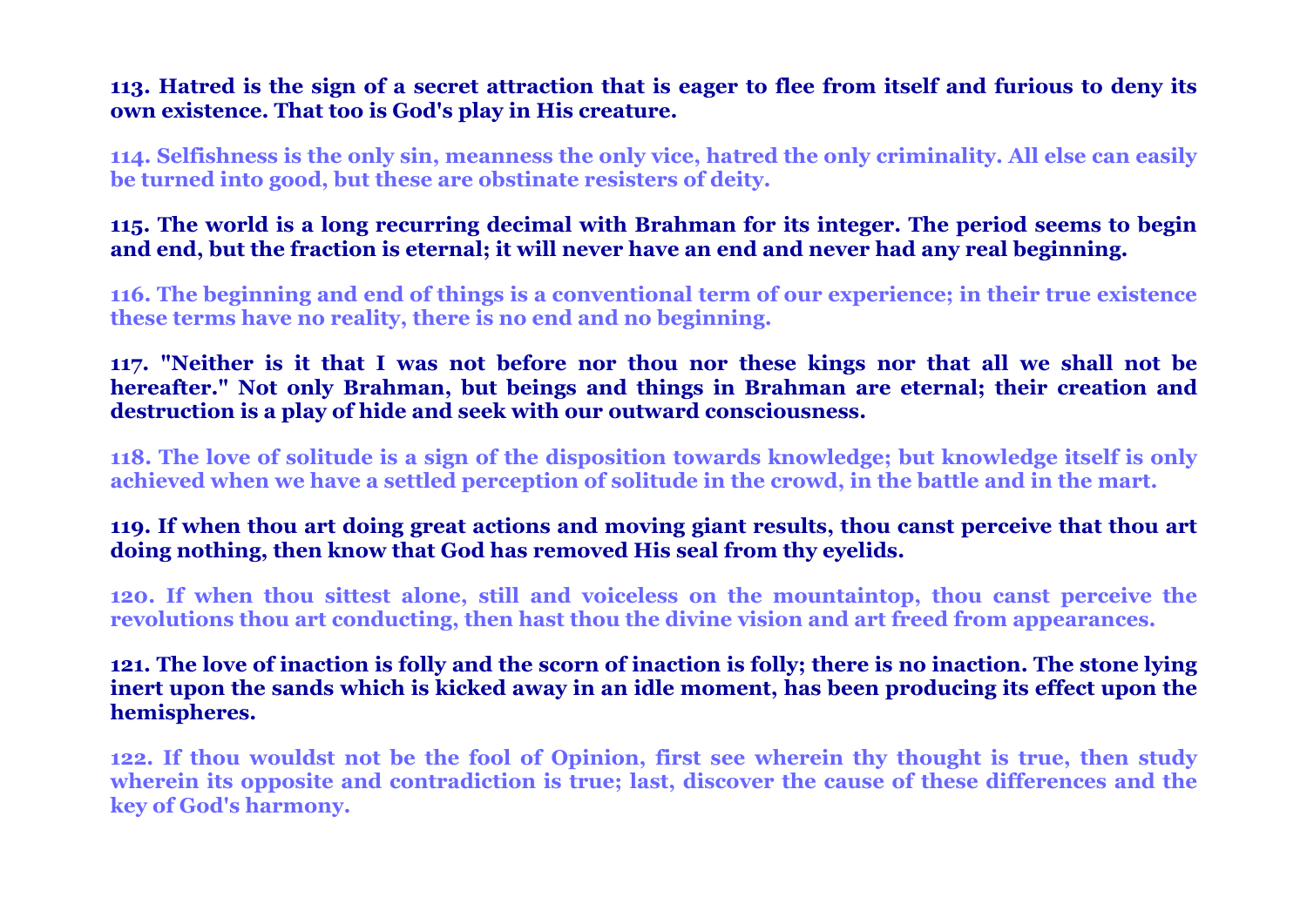**113. Hatred is the sign of a secret attraction that is eager to flee from itself and furious to deny its own existence. That too is God's play in His creature.**

**114. Selfishness is the only sin, meanness the only vice, hatred the only criminality. All else can easily be turned into good, but these are obstinate resisters of deity.**

**115. The world is a long recurring decimal with Brahman for its integer. The period seems to begin and end, but the fraction is eternal; it will never have an end and never had any real beginning.**

**116. The beginning and end of things is a conventional term of our experience; in their true existence these terms have no reality, there is no end and no beginning.**

**117. "Neither is it that I was not before nor thou nor these kings nor that all we shall not be hereafter." Not only Brahman, but beings and things in Brahman are eternal; their creation and destruction is a play of hide and seek with our outward consciousness.**

**118. The love of solitude is a sign of the disposition towards knowledge; but knowledge itself is only achieved when we have a settled perception of solitude in the crowd, in the battle and in the mart.**

## **119. If when thou art doing great actions and moving giant results, thou canst perceive that thou art doing nothing, then know that God has removed His seal from thy eyelids.**

**120. If when thou sittest alone, still and voiceless on the mountaintop, thou canst perceive the revolutions thou art conducting, then hast thou the divine vision and art freed from appearances.**

#### **121. The love of inaction is folly and the scorn of inaction is folly; there is no inaction. The stone lying inert upon the sands which is kicked away in an idle moment, has been producing its effect upon the hemispheres.**

**122. If thou wouldst not be the fool of Opinion, first see wherein thy thought is true, then study wherein its opposite and contradiction is true; last, discover the cause of these differences and the key of God's harmony.**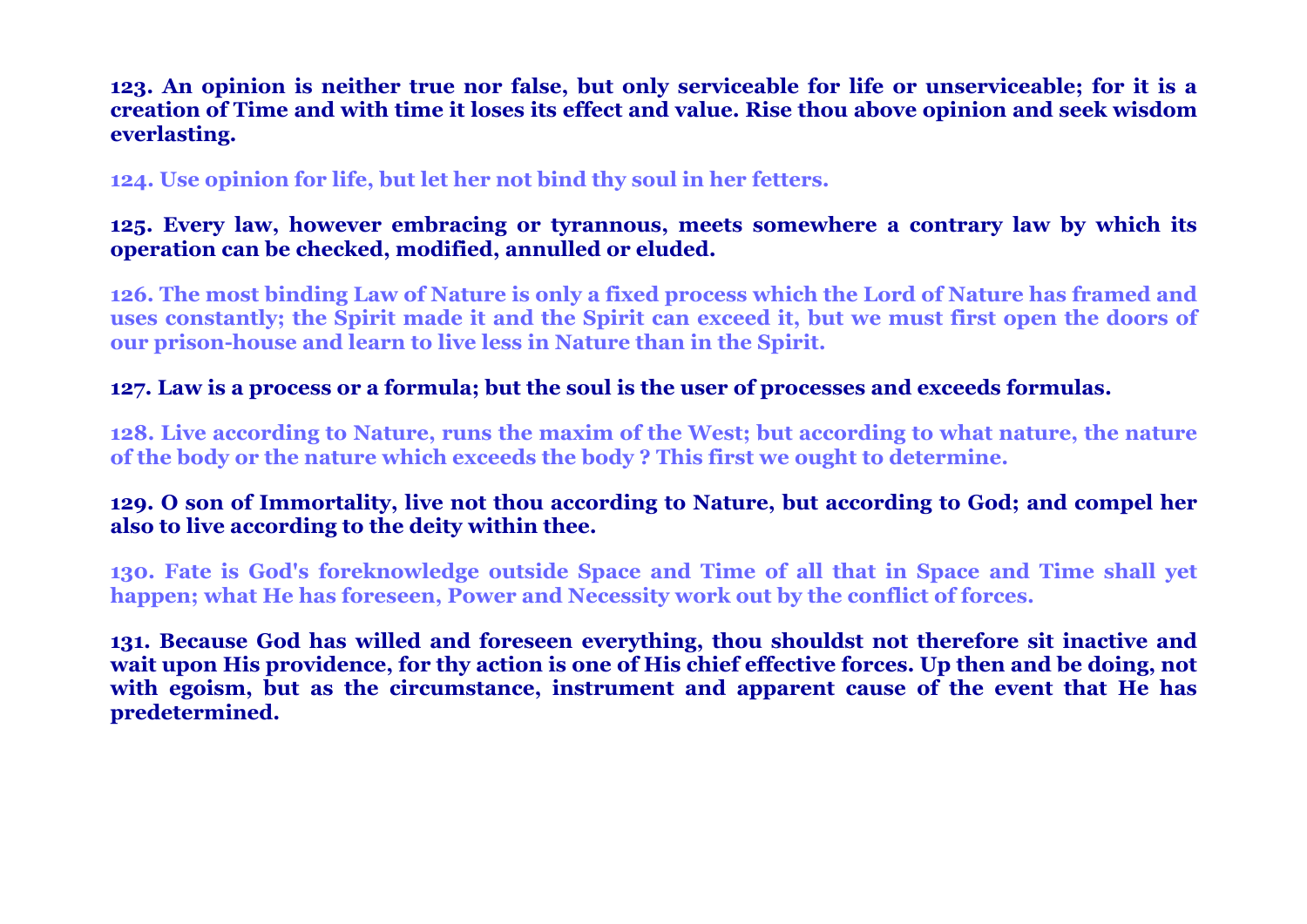#### **123. An opinion is neither true nor false, but only serviceable for life or unserviceable; for it is a creation of Time and with time it loses its effect and value. Rise thou above opinion and seek wisdom everlasting.**

**124. Use opinion for life, but let her not bind thy soul in her fetters.**

## **125. Every law, however embracing or tyrannous, meets somewhere a contrary law by which its operation can be checked, modified, annulled or eluded.**

**126. The most binding Law of Nature is only a fixed process which the Lord of Nature has framed and uses constantly; the Spirit made it and the Spirit can exceed it, but we must first open the doors of our prison-house and learn to live less in Nature than in the Spirit.**

## **127. Law is a process or a formula; but the soul is the user of processes and exceeds formulas.**

**128. Live according to Nature, runs the maxim of the West; but according to what nature, the nature of the body or the nature which exceeds the body ? This first we ought to determine.**

## **129. O son of Immortality, live not thou according to Nature, but according to God; and compel her also to live according to the deity within thee.**

**130. Fate is God's foreknowledge outside Space and Time of all that in Space and Time shall yet happen; what He has foreseen, Power and Necessity work out by the conflict of forces.**

**131. Because God has willed and foreseen everything, thou shouldst not therefore sit inactive and wait upon His providence, for thy action is one of His chief effective forces. Up then and be doing, not with egoism, but as the circumstance, instrument and apparent cause of the event that He has predetermined.**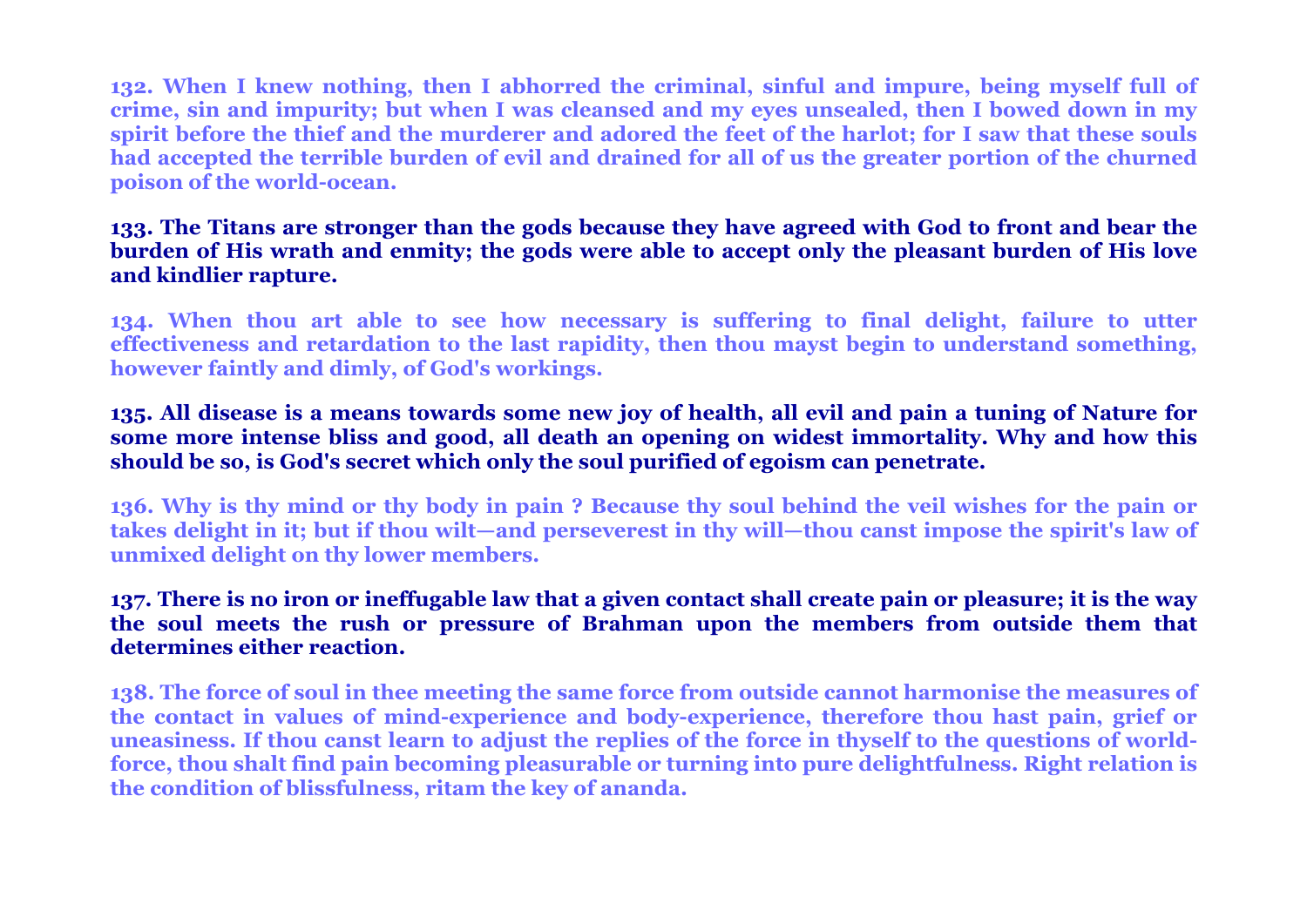**132. When I knew nothing, then I abhorred the criminal, sinful and impure, being myself full of crime, sin and impurity; but when I was cleansed and my eyes unsealed, then I bowed down in my spirit before the thief and the murderer and adored the feet of the harlot; for I saw that these souls had accepted the terrible burden of evil and drained for all of us the greater portion of the churned poison of the world-ocean.**

#### **133. The Titans are stronger than the gods because they have agreed with God to front and bear the burden of His wrath and enmity; the gods were able to accept only the pleasant burden of His love and kindlier rapture.**

**134. When thou art able to see how necessary is suffering to final delight, failure to utter effectiveness and retardation to the last rapidity, then thou mayst begin to understand something, however faintly and dimly, of God's workings.**

#### **135. All disease is a means towards some new joy of health, all evil and pain a tuning of Nature for some more intense bliss and good, all death an opening on widest immortality. Why and how this should be so, is God's secret which only the soul purified of egoism can penetrate.**

**136. Why is thy mind or thy body in pain ? Because thy soul behind the veil wishes for the pain or takes delight in it; but if thou wilt—and perseverest in thy will—thou canst impose the spirit's law of unmixed delight on thy lower members.**

#### **137. There is no iron or ineffugable law that a given contact shall create pain or pleasure; it is the way the soul meets the rush or pressure of Brahman upon the members from outside them that determines either reaction.**

**138. The force of soul in thee meeting the same force from outside cannot harmonise the measures of the contact in values of mind-experience and body-experience, therefore thou hast pain, grief or uneasiness. If thou canst learn to adjust the replies of the force in thyself to the questions of worldforce, thou shalt find pain becoming pleasurable or turning into pure delightfulness. Right relation is the condition of blissfulness, ritam the key of ananda.**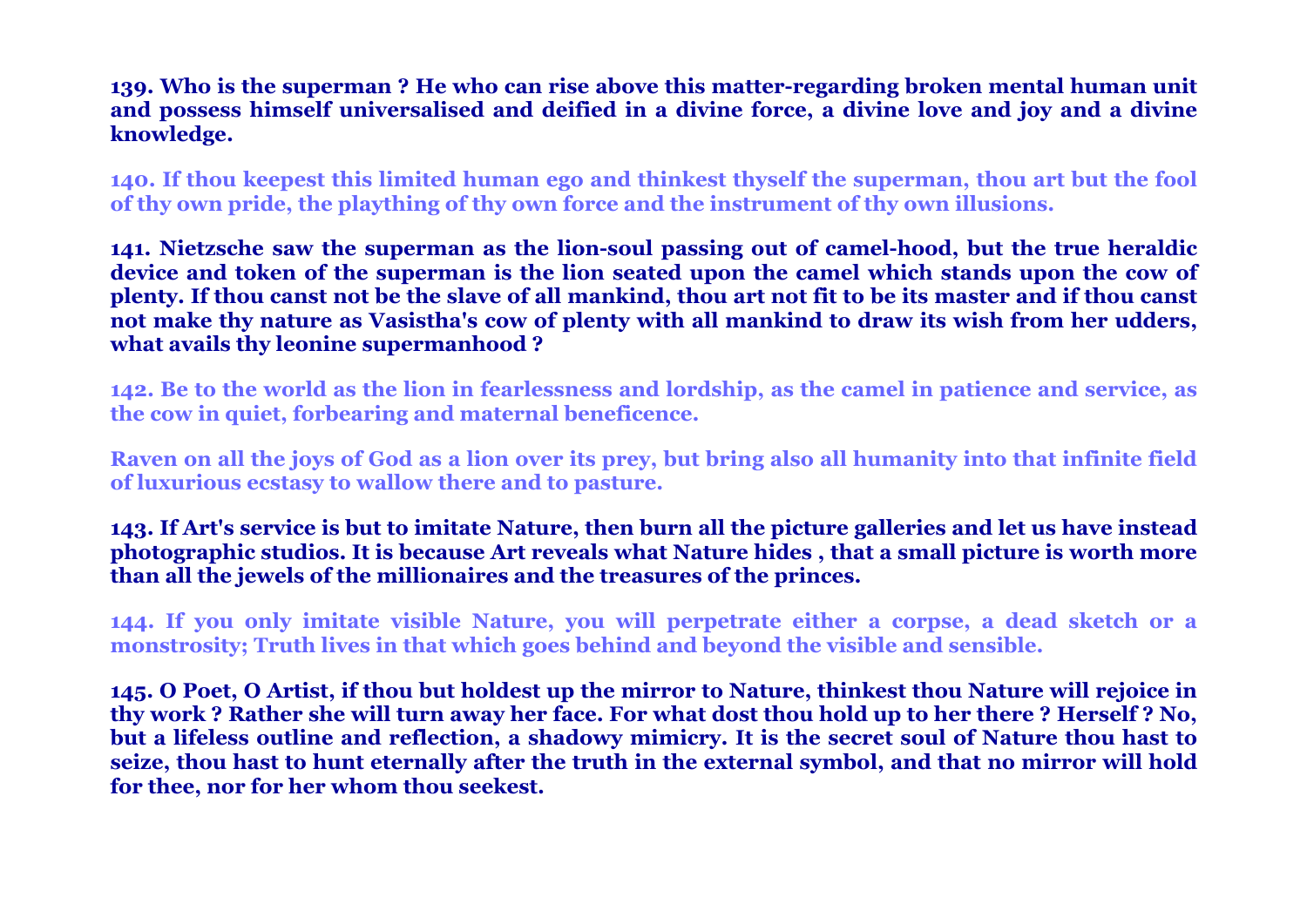#### **139. Who is the superman ? He who can rise above this matter-regarding broken mental human unit and possess himself universalised and deified in a divine force, a divine love and joy and a divine knowledge.**

**140. If thou keepest this limited human ego and thinkest thyself the superman, thou art but the fool of thy own pride, the plaything of thy own force and the instrument of thy own illusions.**

**141. Nietzsche saw the superman as the lion-soul passing out of camel-hood, but the true heraldic device and token of the superman is the lion seated upon the camel which stands upon the cow of plenty. If thou canst not be the slave of all mankind, thou art not fit to be its master and if thou canst not make thy nature as Vasistha's cow of plenty with all mankind to draw its wish from her udders, what avails thy leonine supermanhood ?** 

**142. Be to the world as the lion in fearlessness and lordship, as the camel in patience and service, as the cow in quiet, forbearing and maternal beneficence.**

**Raven on all the joys of God as a lion over its prey, but bring also all humanity into that infinite field of luxurious ecstasy to wallow there and to pasture.**

#### **143. If Art's service is but to imitate Nature, then burn all the picture galleries and let us have instead photographic studios. It is because Art reveals what Nature hides , that a small picture is worth more than all the jewels of the millionaires and the treasures of the princes.**

**144. If you only imitate visible Nature, you will perpetrate either a corpse, a dead sketch or a monstrosity; Truth lives in that which goes behind and beyond the visible and sensible.**

**145. O Poet, O Artist, if thou but holdest up the mirror to Nature, thinkest thou Nature will rejoice in thy work ? Rather she will turn away her face. For what dost thou hold up to her there ? Herself ? No, but a lifeless outline and reflection, a shadowy mimicry. It is the secret soul of Nature thou hast to seize, thou hast to hunt eternally after the truth in the external symbol, and that no mirror will hold for thee, nor for her whom thou seekest.**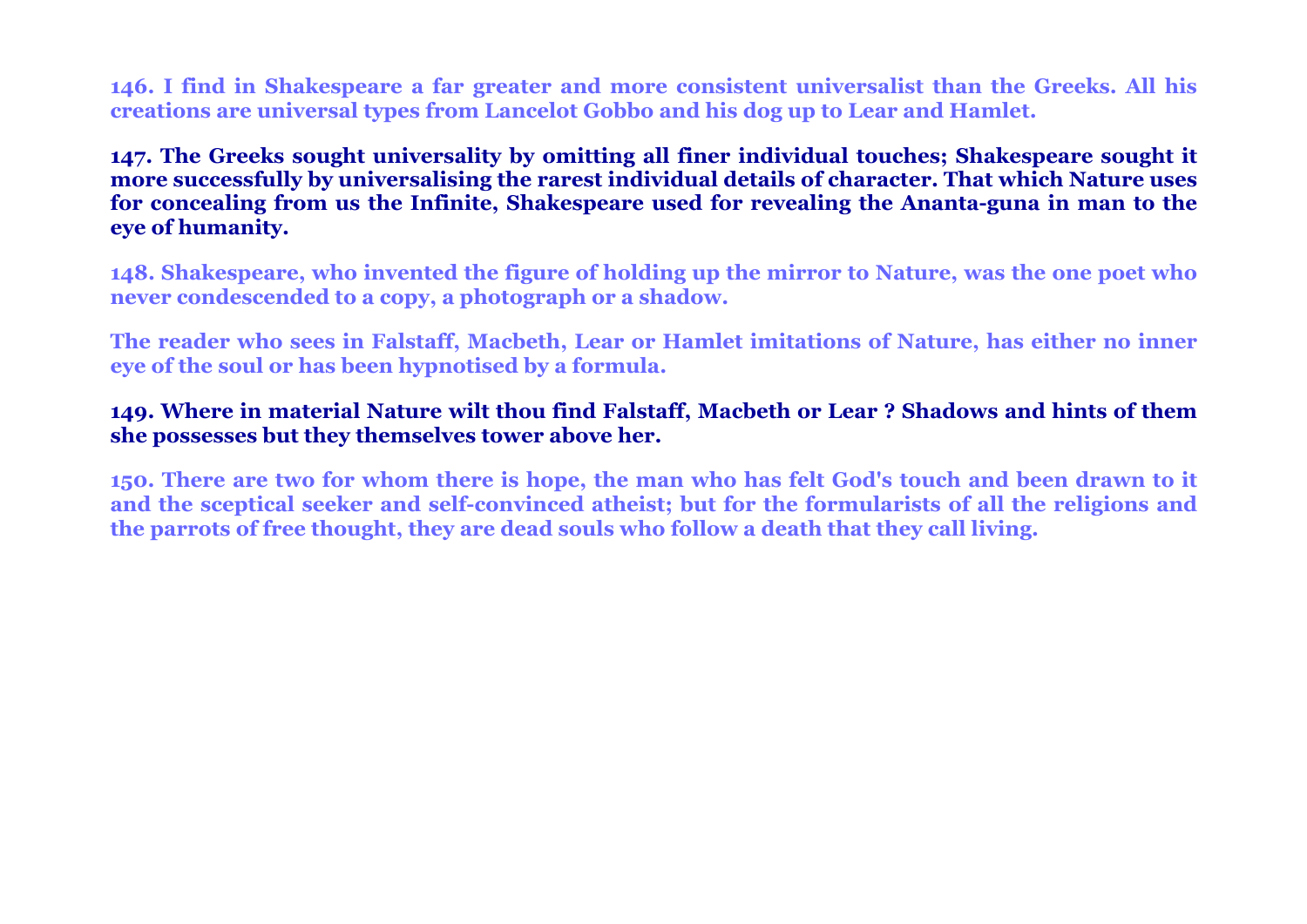**146. I find in Shakespeare a far greater and more consistent universalist than the Greeks. All his creations are universal types from Lancelot Gobbo and his dog up to Lear and Hamlet.**

**147. The Greeks sought universality by omitting all finer individual touches; Shakespeare sought it more successfully by universalising the rarest individual details of character. That which Nature uses for concealing from us the Infinite, Shakespeare used for revealing the Ananta-guna in man to the eye of humanity.**

**148. Shakespeare, who invented the figure of holding up the mirror to Nature, was the one poet who never condescended to a copy, a photograph or a shadow.**

**The reader who sees in Falstaff, Macbeth, Lear or Hamlet imitations of Nature, has either no inner eye of the soul or has been hypnotised by a formula.**

#### **149. Where in material Nature wilt thou find Falstaff, Macbeth or Lear ? Shadows and hints of them she possesses but they themselves tower above her.**

**150. There are two for whom there is hope, the man who has felt God's touch and been drawn to it and the sceptical seeker and self-convinced atheist; but for the formularists of all the religions and the parrots of free thought, they are dead souls who follow a death that they call living.**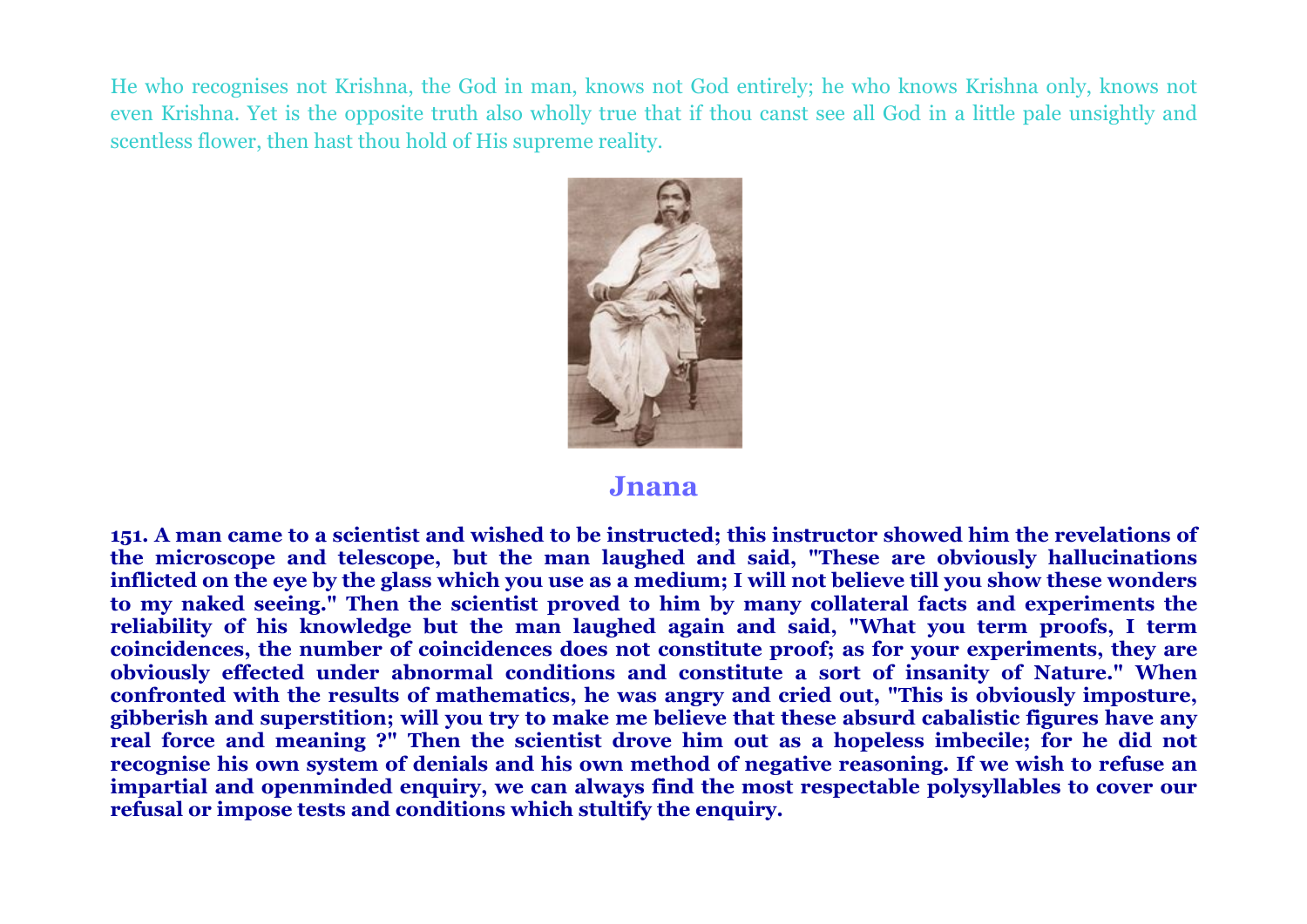He who recognises not Krishna, the God in man, knows not God entirely; he who knows Krishna only, knows not even Krishna. Yet is the opposite truth also wholly true that if thou canst see all God in a little pale unsightly and scentless flower, then hast thou hold of His supreme reality.



## **Jnana**

**151. A man came to a scientist and wished to be instructed; this instructor showed him the revelations of the microscope and telescope, but the man laughed and said, "These are obviously hallucinations inflicted on the eye by the glass which you use as a medium; I will not believe till you show these wonders to my naked seeing." Then the scientist proved to him by many collateral facts and experiments the reliability of his knowledge but the man laughed again and said, "What you term proofs, I term coincidences, the number of coincidences does not constitute proof; as for your experiments, they are obviously effected under abnormal conditions and constitute a sort of insanity of Nature." When confronted with the results of mathematics, he was angry and cried out, "This is obviously imposture, gibberish and superstition; will you try to make me believe that these absurd cabalistic figures have any real force and meaning ?" Then the scientist drove him out as a hopeless imbecile; for he did not recognise his own system of denials and his own method of negative reasoning. If we wish to refuse an impartial and openminded enquiry, we can always find the most respectable polysyllables to cover our refusal or impose tests and conditions which stultify the enquiry.**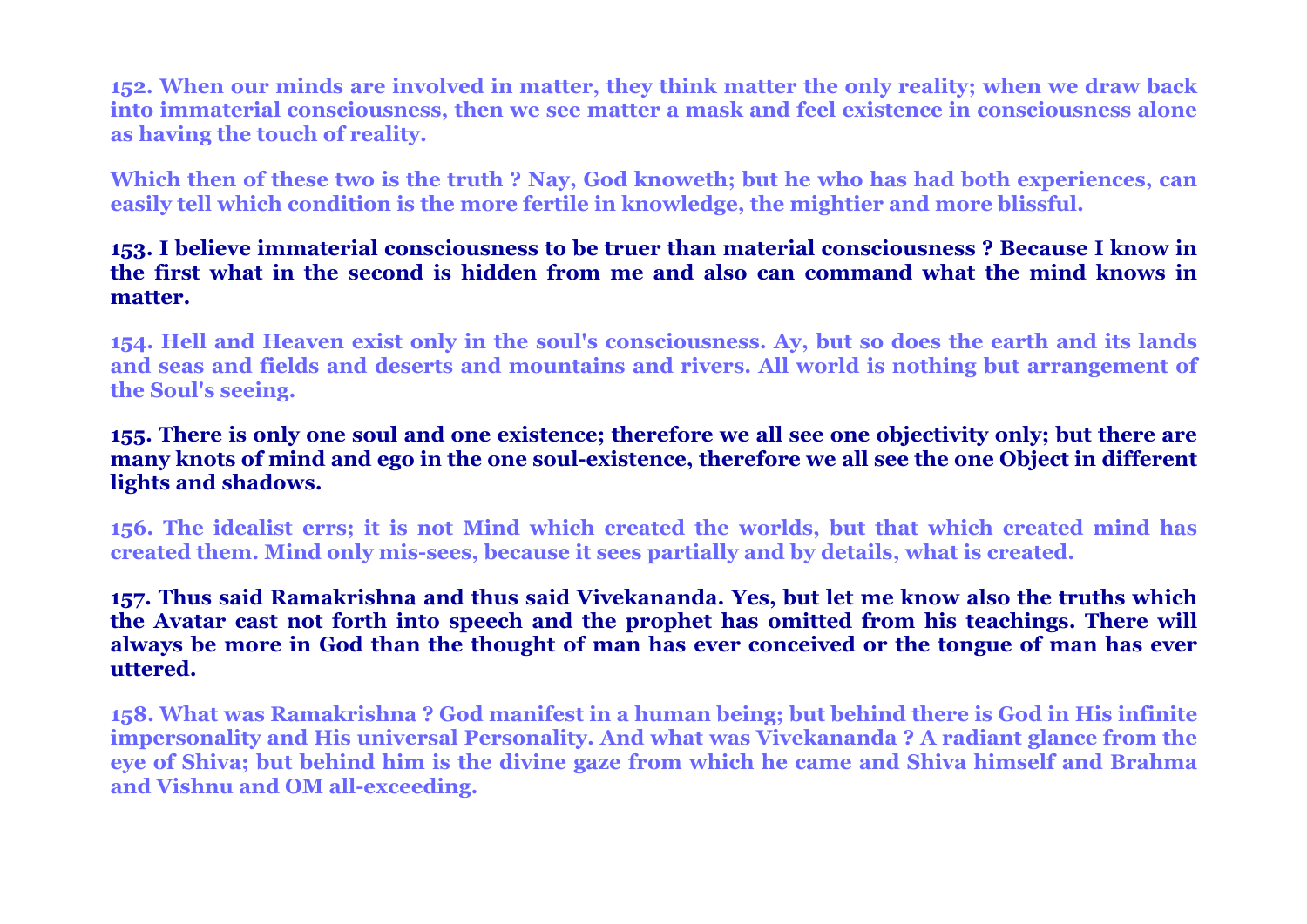**152. When our minds are involved in matter, they think matter the only reality; when we draw back into immaterial consciousness, then we see matter a mask and feel existence in consciousness alone as having the touch of reality.**

**Which then of these two is the truth ? Nay, God knoweth; but he who has had both experiences, can easily tell which condition is the more fertile in knowledge, the mightier and more blissful.**

#### **153. I believe immaterial consciousness to be truer than material consciousness ? Because I know in the first what in the second is hidden from me and also can command what the mind knows in matter.**

**154. Hell and Heaven exist only in the soul's consciousness. Ay, but so does the earth and its lands and seas and fields and deserts and mountains and rivers. All world is nothing but arrangement of the Soul's seeing.**

#### **155. There is only one soul and one existence; therefore we all see one objectivity only; but there are many knots of mind and ego in the one soul-existence, therefore we all see the one Object in different lights and shadows.**

**156. The idealist errs; it is not Mind which created the worlds, but that which created mind has created them. Mind only mis-sees, because it sees partially and by details, what is created.**

#### **157. Thus said Ramakrishna and thus said Vivekananda. Yes, but let me know also the truths which the Avatar cast not forth into speech and the prophet has omitted from his teachings. There will always be more in God than the thought of man has ever conceived or the tongue of man has ever uttered.**

**158. What was Ramakrishna ? God manifest in a human being; but behind there is God in His infinite impersonality and His universal Personality. And what was Vivekananda ? A radiant glance from the eye of Shiva; but behind him is the divine gaze from which he came and Shiva himself and Brahma and Vishnu and OM all-exceeding.**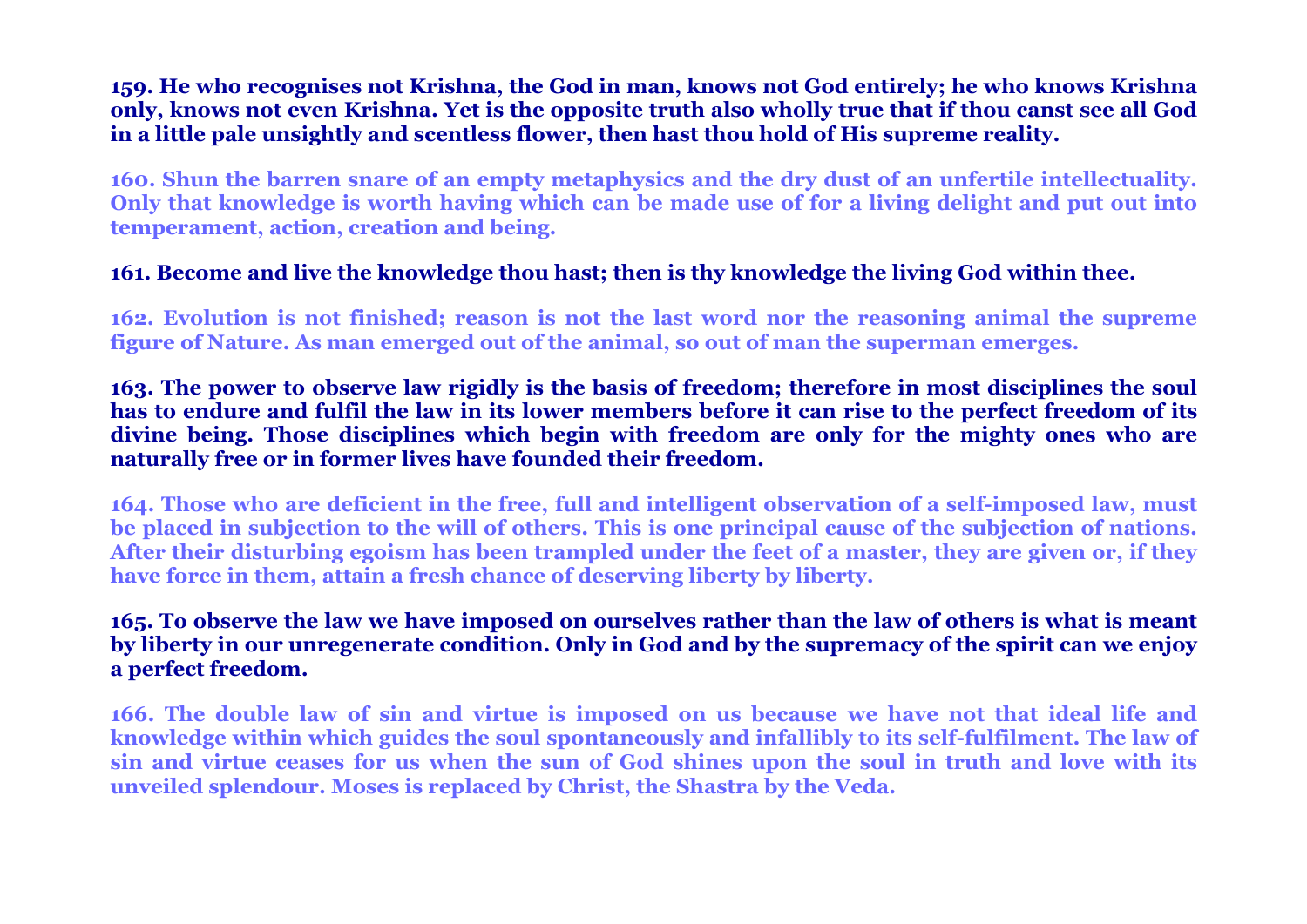#### **159. He who recognises not Krishna, the God in man, knows not God entirely; he who knows Krishna only, knows not even Krishna. Yet is the opposite truth also wholly true that if thou canst see all God in a little pale unsightly and scentless flower, then hast thou hold of His supreme reality.**

**160. Shun the barren snare of an empty metaphysics and the dry dust of an unfertile intellectuality. Only that knowledge is worth having which can be made use of for a living delight and put out into temperament, action, creation and being.**

## **161. Become and live the knowledge thou hast; then is thy knowledge the living God within thee.**

**162. Evolution is not finished; reason is not the last word nor the reasoning animal the supreme figure of Nature. As man emerged out of the animal, so out of man the superman emerges.**

**163. The power to observe law rigidly is the basis of freedom; therefore in most disciplines the soul has to endure and fulfil the law in its lower members before it can rise to the perfect freedom of its divine being. Those disciplines which begin with freedom are only for the mighty ones who are naturally free or in former lives have founded their freedom.**

**164. Those who are deficient in the free, full and intelligent observation of a self-imposed law, must be placed in subjection to the will of others. This is one principal cause of the subjection of nations. After their disturbing egoism has been trampled under the feet of a master, they are given or, if they have force in them, attain a fresh chance of deserving liberty by liberty.**

## **165. To observe the law we have imposed on ourselves rather than the law of others is what is meant by liberty in our unregenerate condition. Only in God and by the supremacy of the spirit can we enjoy a perfect freedom.**

**166. The double law of sin and virtue is imposed on us because we have not that ideal life and knowledge within which guides the soul spontaneously and infallibly to its self-fulfilment. The law of sin and virtue ceases for us when the sun of God shines upon the soul in truth and love with its unveiled splendour. Moses is replaced by Christ, the Shastra by the Veda.**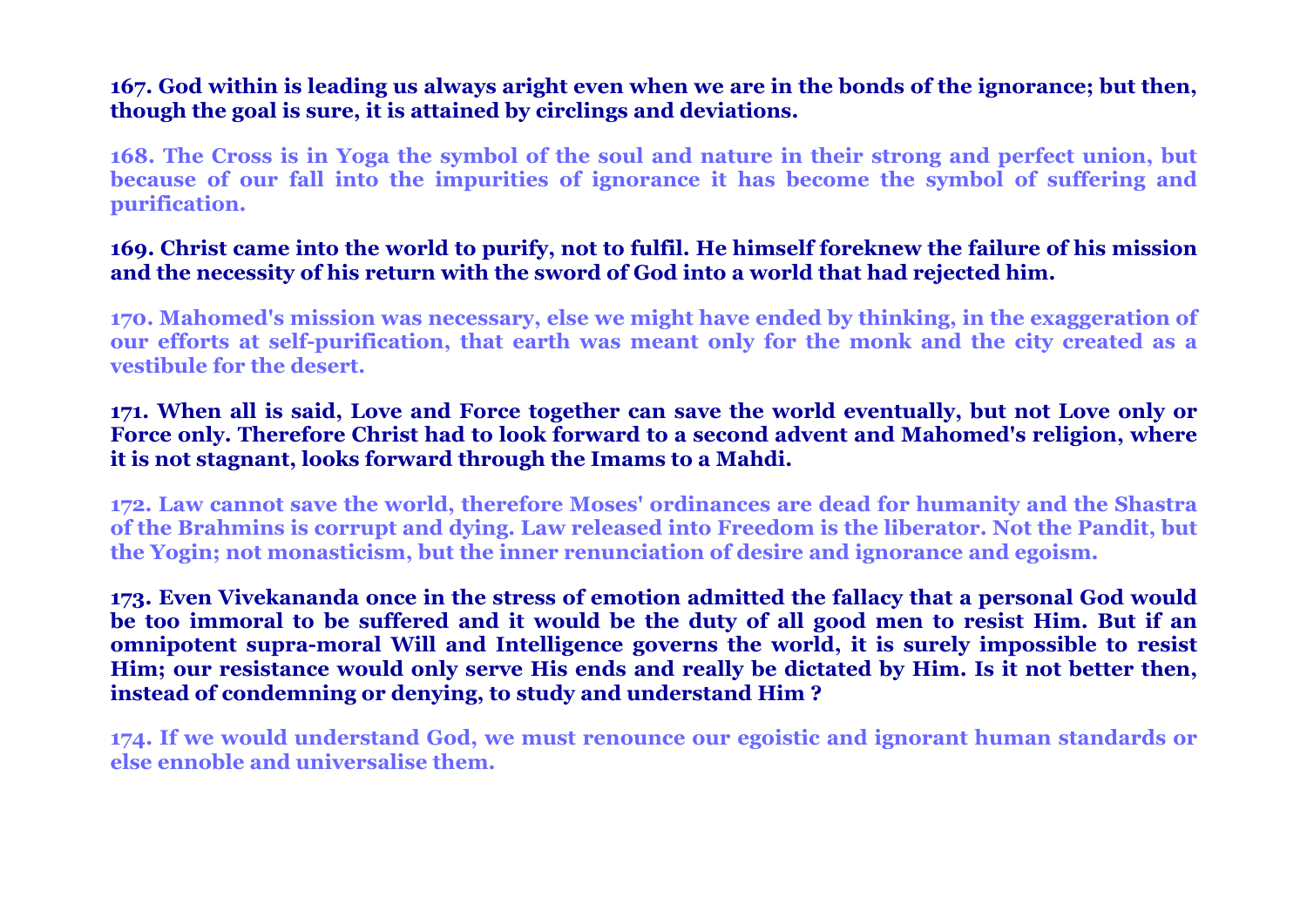#### **167. God within is leading us always aright even when we are in the bonds of the ignorance; but then, though the goal is sure, it is attained by circlings and deviations.**

**168. The Cross is in Yoga the symbol of the soul and nature in their strong and perfect union, but because of our fall into the impurities of ignorance it has become the symbol of suffering and purification.**

## **169. Christ came into the world to purify, not to fulfil. He himself foreknew the failure of his mission and the necessity of his return with the sword of God into a world that had rejected him.**

**170. Mahomed's mission was necessary, else we might have ended by thinking, in the exaggeration of our efforts at self-purification, that earth was meant only for the monk and the city created as a vestibule for the desert.**

#### **171. When all is said, Love and Force together can save the world eventually, but not Love only or Force only. Therefore Christ had to look forward to a second advent and Mahomed's religion, where it is not stagnant, looks forward through the Imams to a Mahdi.**

**172. Law cannot save the world, therefore Moses' ordinances are dead for humanity and the Shastra of the Brahmins is corrupt and dying. Law released into Freedom is the liberator. Not the Pandit, but the Yogin; not monasticism, but the inner renunciation of desire and ignorance and egoism.**

**173. Even Vivekananda once in the stress of emotion admitted the fallacy that a personal God would be too immoral to be suffered and it would be the duty of all good men to resist Him. But if an omnipotent supra-moral Will and Intelligence governs the world, it is surely impossible to resist Him; our resistance would only serve His ends and really be dictated by Him. Is it not better then, instead of condemning or denying, to study and understand Him ?** 

**174. If we would understand God, we must renounce our egoistic and ignorant human standards or else ennoble and universalise them.**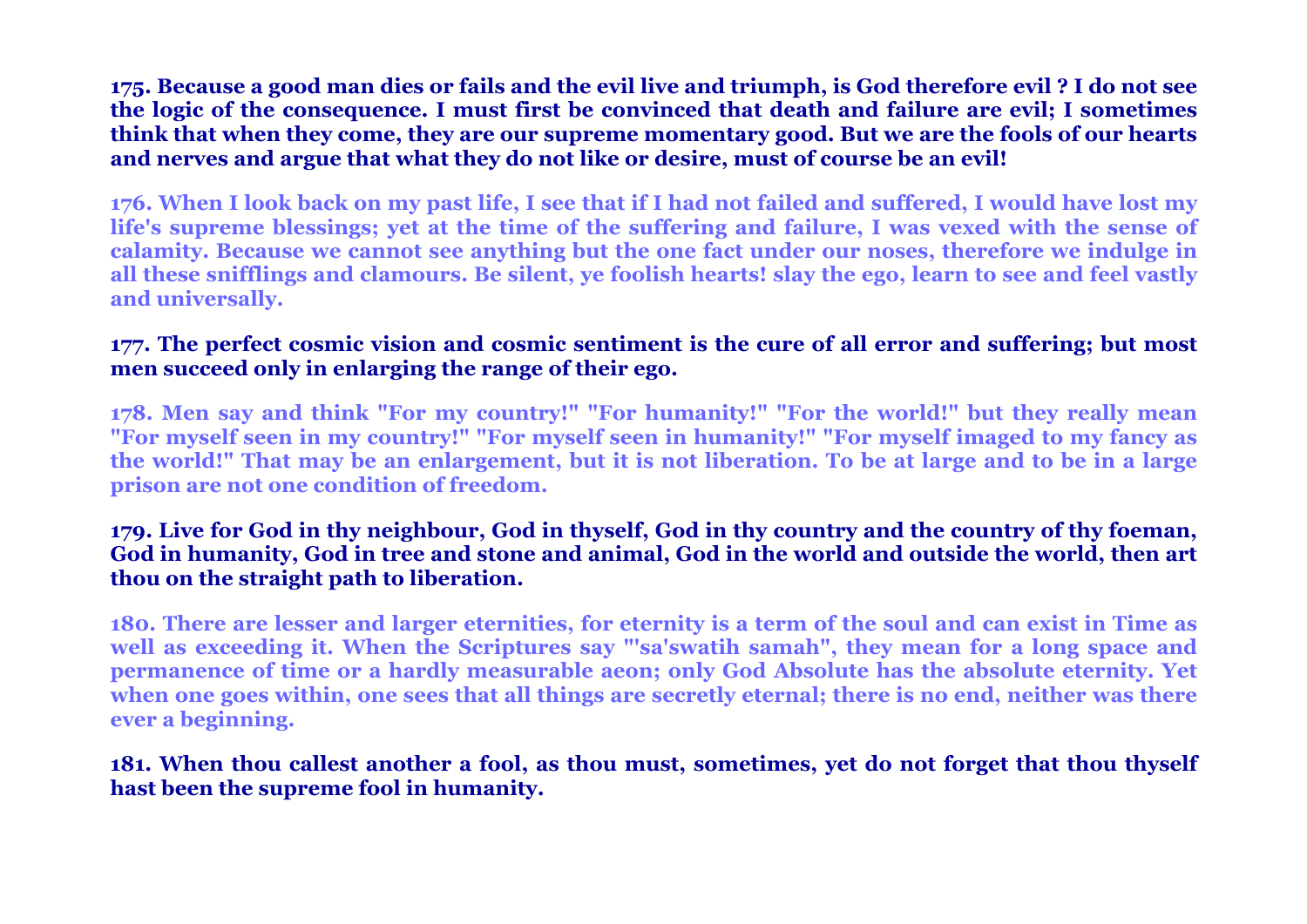**175. Because a good man dies or fails and the evil live and triumph, is God therefore evil ? I do not see the logic of the consequence. I must first be convinced that death and failure are evil; I sometimes think that when they come, they are our supreme momentary good. But we are the fools of our hearts and nerves and argue that what they do not like or desire, must of course be an evil!** 

**176. When I look back on my past life, I see that if I had not failed and suffered, I would have lost my life's supreme blessings; yet at the time of the suffering and failure, I was vexed with the sense of calamity. Because we cannot see anything but the one fact under our noses, therefore we indulge in all these snifflings and clamours. Be silent, ye foolish hearts! slay the ego, learn to see and feel vastly and universally.**

## **177. The perfect cosmic vision and cosmic sentiment is the cure of all error and suffering; but most men succeed only in enlarging the range of their ego.**

**178. Men say and think "For my country!" "For humanity!" "For the world!" but they really mean "For myself seen in my country!" "For myself seen in humanity!" "For myself imaged to my fancy as the world!" That may be an enlargement, but it is not liberation. To be at large and to be in a large prison are not one condition of freedom.**

#### **179. Live for God in thy neighbour, God in thyself, God in thy country and the country of thy foeman, God in humanity, God in tree and stone and animal, God in the world and outside the world, then art thou on the straight path to liberation.**

**180. There are lesser and larger eternities, for eternity is a term of the soul and can exist in Time as well as exceeding it. When the Scriptures say "'sa'swatih samah", they mean for a long space and permanence of time or a hardly measurable aeon; only God Absolute has the absolute eternity. Yet when one goes within, one sees that all things are secretly eternal; there is no end, neither was there ever a beginning.**

## **181. When thou callest another a fool, as thou must, sometimes, yet do not forget that thou thyself hast been the supreme fool in humanity.**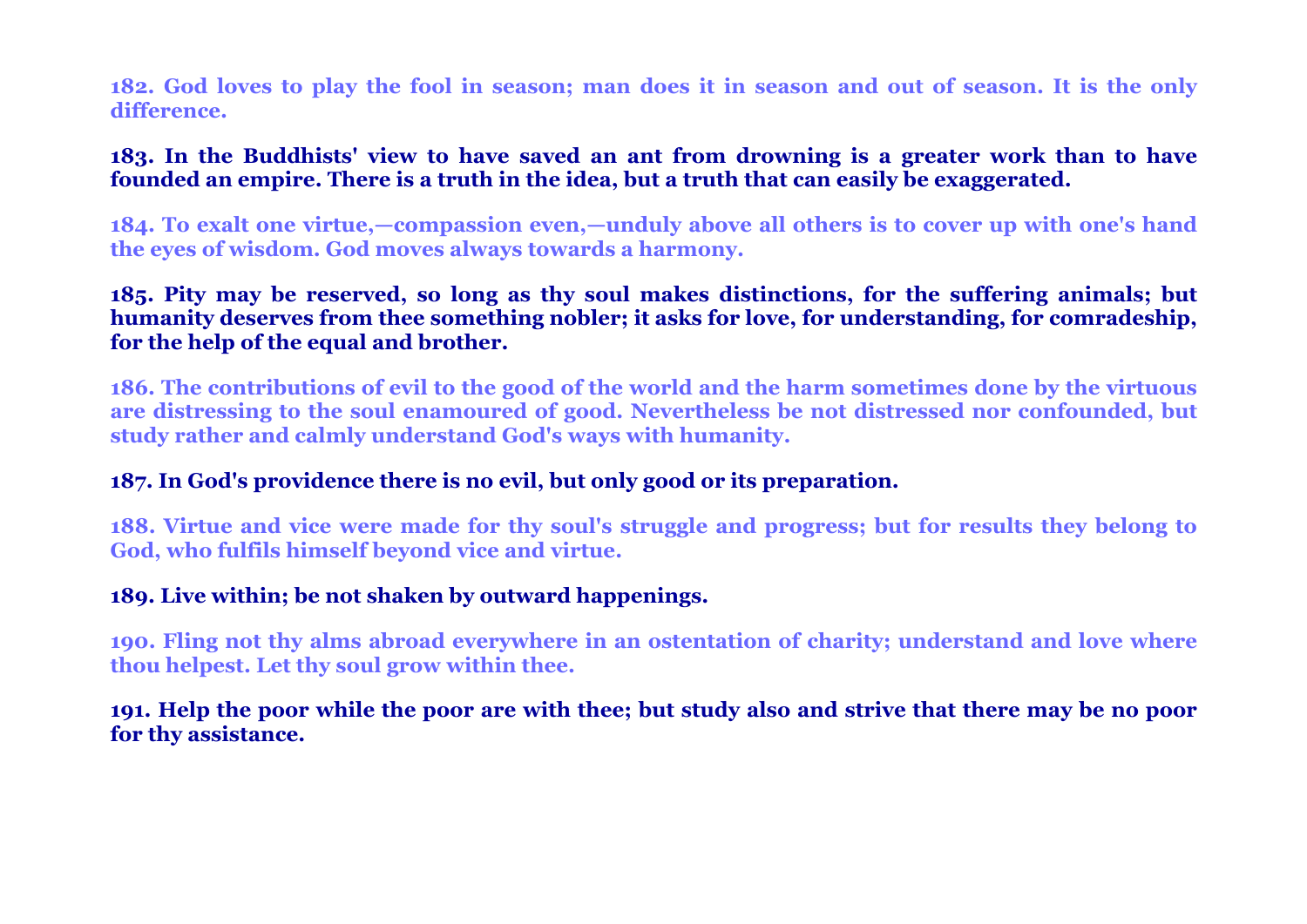**182. God loves to play the fool in season; man does it in season and out of season. It is the only difference.**

## **183. In the Buddhists' view to have saved an ant from drowning is a greater work than to have founded an empire. There is a truth in the idea, but a truth that can easily be exaggerated.**

**184. To exalt one virtue,—compassion even,—unduly above all others is to cover up with one's hand the eyes of wisdom. God moves always towards a harmony.**

#### **185. Pity may be reserved, so long as thy soul makes distinctions, for the suffering animals; but humanity deserves from thee something nobler; it asks for love, for understanding, for comradeship, for the help of the equal and brother.**

**186. The contributions of evil to the good of the world and the harm sometimes done by the virtuous are distressing to the soul enamoured of good. Nevertheless be not distressed nor confounded, but study rather and calmly understand God's ways with humanity.**

## **187. In God's providence there is no evil, but only good or its preparation.**

**188. Virtue and vice were made for thy soul's struggle and progress; but for results they belong to God, who fulfils himself beyond vice and virtue.**

## **189. Live within; be not shaken by outward happenings.**

**190. Fling not thy alms abroad everywhere in an ostentation of charity; understand and love where thou helpest. Let thy soul grow within thee.**

#### **191. Help the poor while the poor are with thee; but study also and strive that there may be no poor for thy assistance.**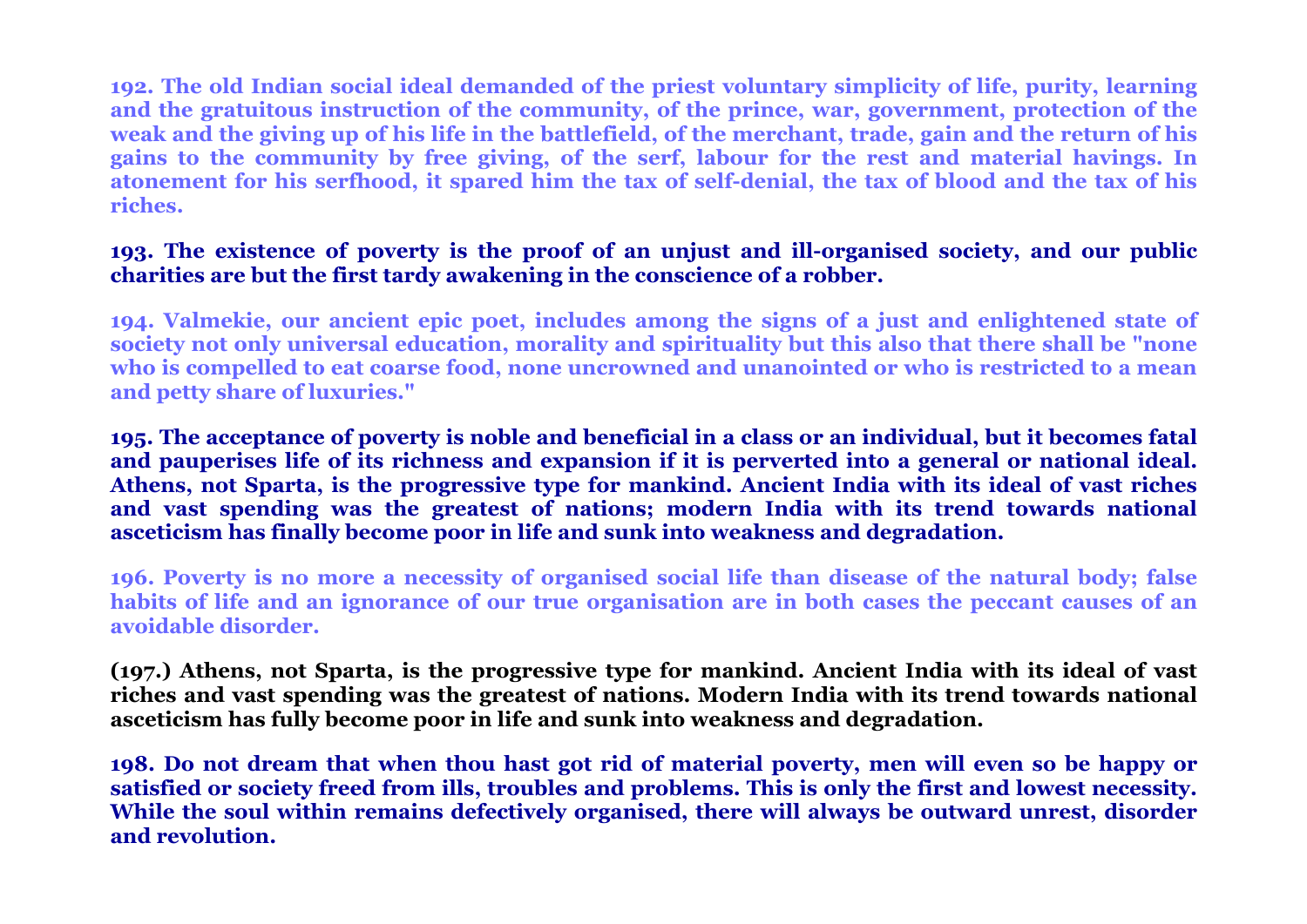**192. The old Indian social ideal demanded of the priest voluntary simplicity of life, purity, learning and the gratuitous instruction of the community, of the prince, war, government, protection of the weak and the giving up of his life in the battlefield, of the merchant, trade, gain and the return of his gains to the community by free giving, of the serf, labour for the rest and material havings. In atonement for his serfhood, it spared him the tax of self-denial, the tax of blood and the tax of his riches.**

#### **193. The existence of poverty is the proof of an unjust and ill-organised society, and our public charities are but the first tardy awakening in the conscience of a robber.**

**194. Valmekie, our ancient epic poet, includes among the signs of a just and enlightened state of society not only universal education, morality and spirituality but this also that there shall be "none who is compelled to eat coarse food, none uncrowned and unanointed or who is restricted to a mean and petty share of luxuries."** 

**195. The acceptance of poverty is noble and beneficial in a class or an individual, but it becomes fatal and pauperises life of its richness and expansion if it is perverted into a general or national ideal. Athens, not Sparta, is the progressive type for mankind. Ancient India with its ideal of vast riches and vast spending was the greatest of nations; modern India with its trend towards national asceticism has finally become poor in life and sunk into weakness and degradation.**

**196. Poverty is no more a necessity of organised social life than disease of the natural body; false habits of life and an ignorance of our true organisation are in both cases the peccant causes of an avoidable disorder.**

**(197.) Athens, not Sparta, is the progressive type for mankind. Ancient India with its ideal of vast riches and vast spending was the greatest of nations. Modern India with its trend towards national asceticism has fully become poor in life and sunk into weakness and degradation.**

**198. Do not dream that when thou hast got rid of material poverty, men will even so be happy or satisfied or society freed from ills, troubles and problems. This is only the first and lowest necessity. While the soul within remains defectively organised, there will always be outward unrest, disorder and revolution.**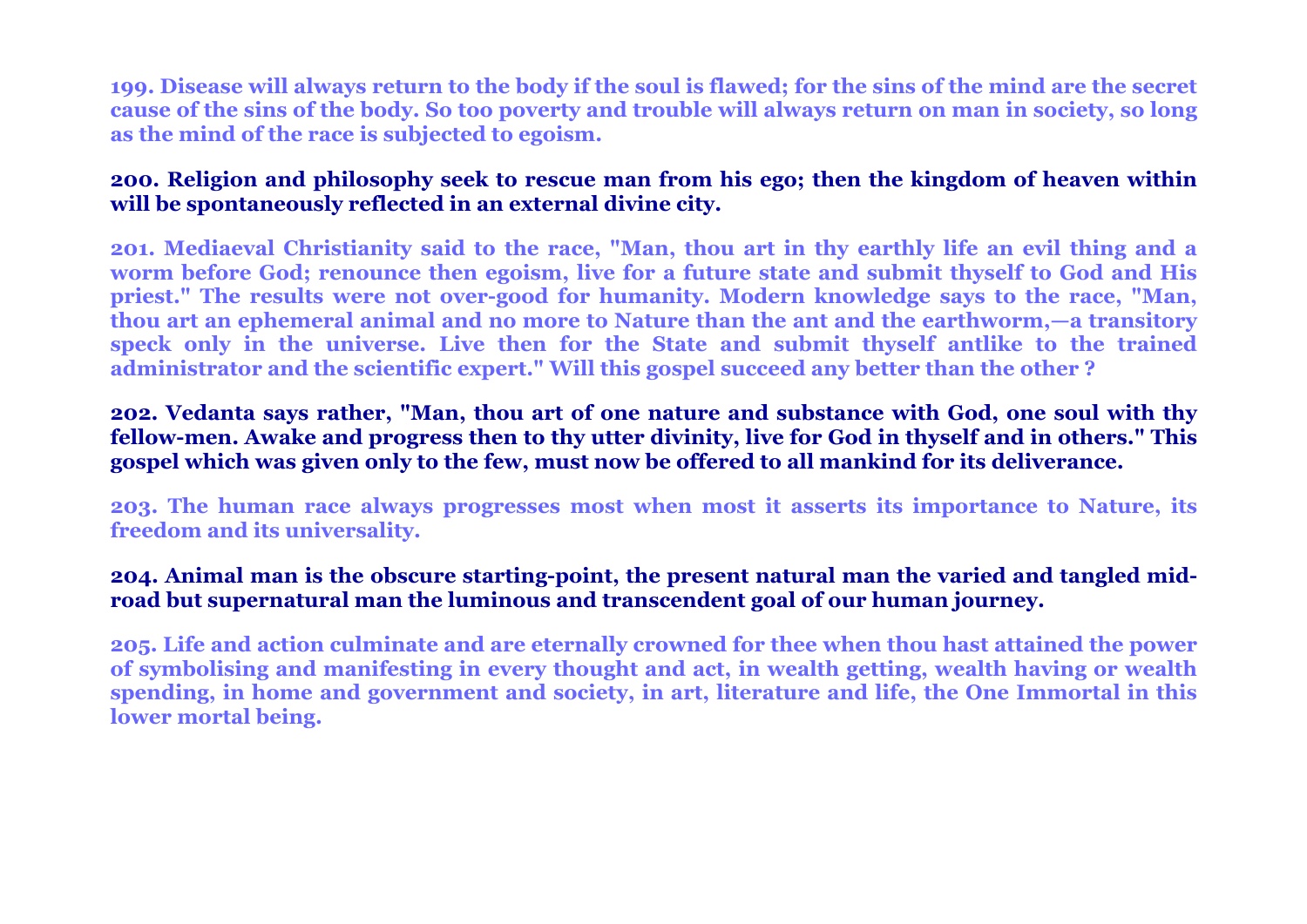**199. Disease will always return to the body if the soul is flawed; for the sins of the mind are the secret cause of the sins of the body. So too poverty and trouble will always return on man in society, so long as the mind of the race is subjected to egoism.**

## **200. Religion and philosophy seek to rescue man from his ego; then the kingdom of heaven within will be spontaneously reflected in an external divine city.**

**201. Mediaeval Christianity said to the race, "Man, thou art in thy earthly life an evil thing and a worm before God; renounce then egoism, live for a future state and submit thyself to God and His priest." The results were not over-good for humanity. Modern knowledge says to the race, "Man, thou art an ephemeral animal and no more to Nature than the ant and the earthworm,—a transitory speck only in the universe. Live then for the State and submit thyself antlike to the trained administrator and the scientific expert." Will this gospel succeed any better than the other ?** 

## **202. Vedanta says rather, "Man, thou art of one nature and substance with God, one soul with thy fellow-men. Awake and progress then to thy utter divinity, live for God in thyself and in others." This gospel which was given only to the few, must now be offered to all mankind for its deliverance.**

**203. The human race always progresses most when most it asserts its importance to Nature, its freedom and its universality.**

## **204. Animal man is the obscure starting-point, the present natural man the varied and tangled midroad but supernatural man the luminous and transcendent goal of our human journey.**

**205. Life and action culminate and are eternally crowned for thee when thou hast attained the power of symbolising and manifesting in every thought and act, in wealth getting, wealth having or wealth spending, in home and government and society, in art, literature and life, the One Immortal in this lower mortal being.**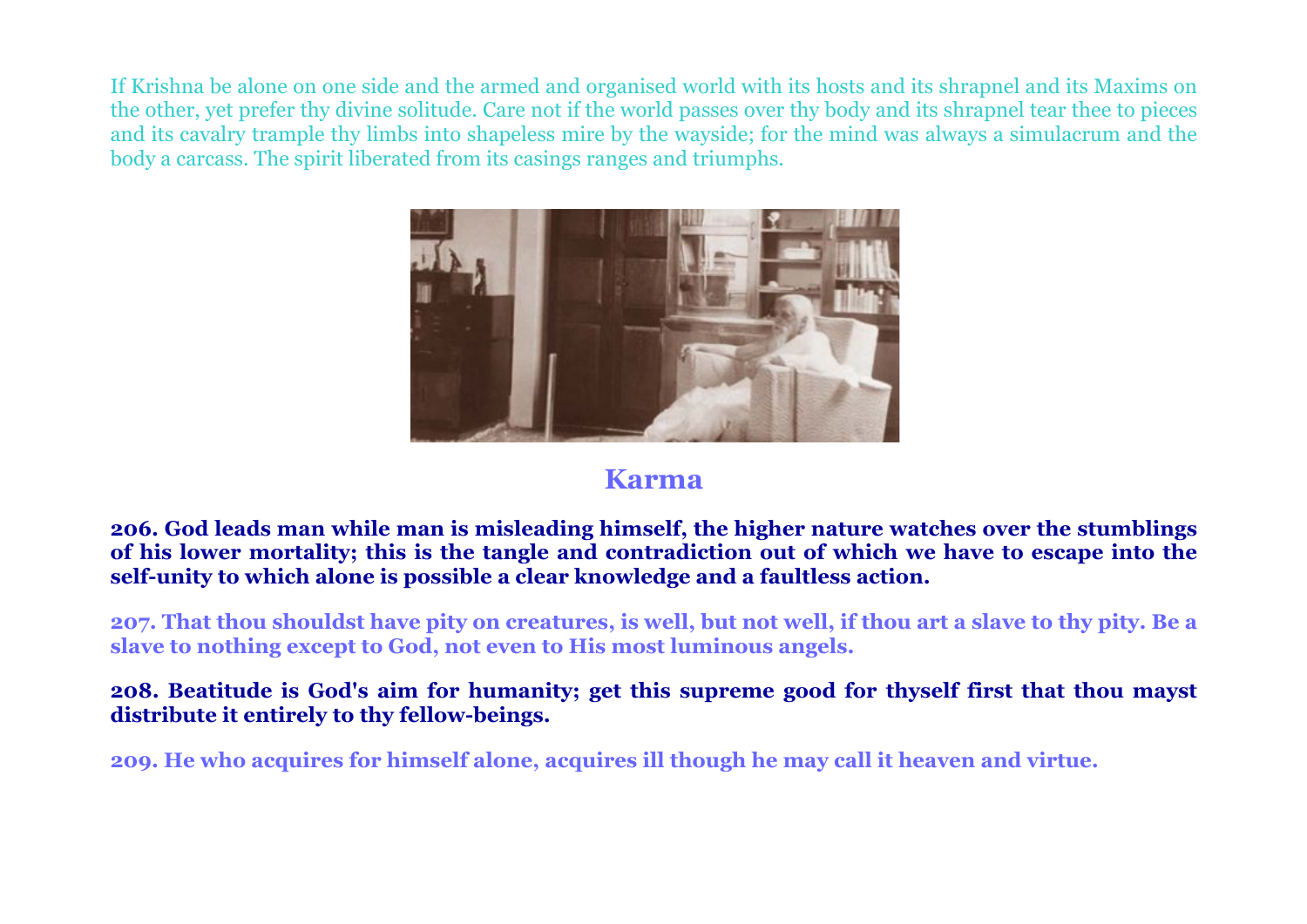If Krishna be alone on one side and the armed and organised world with its hosts and its shrapnel and its Maxims on the other, yet prefer thy divine solitude. Care not if the world passes over thy body and its shrapnel tear thee to pieces and its cavalry trample thy limbs into shapeless mire by the wayside; for the mind was always a simulacrum and the body a carcass. The spirit liberated from its casings ranges and triumphs.



# **Karma**

**206. God leads man while man is misleading himself, the higher nature watches over the stumblings of his lower mortality; this is the tangle and contradiction out of which we have to escape into the self-unity to which alone is possible a clear knowledge and a faultless action.**

**207. That thou shouldst have pity on creatures, is well, but not well, if thou art a slave to thy pity. Be a slave to nothing except to God, not even to His most luminous angels.**

**208. Beatitude is God's aim for humanity; get this supreme good for thyself first that thou mayst distribute it entirely to thy fellow-beings.**

**209. He who acquires for himself alone, acquires ill though he may call it heaven and virtue.**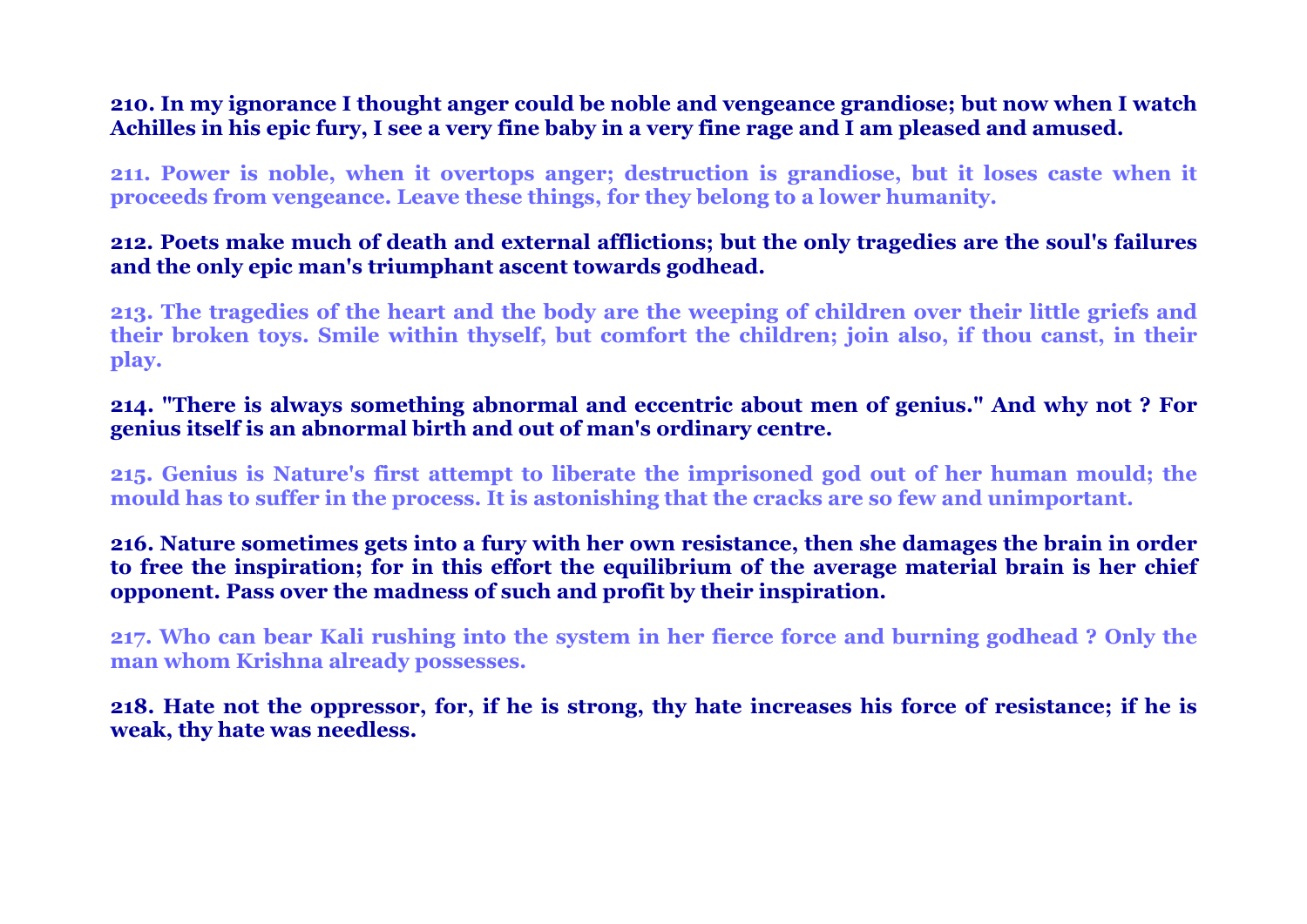#### **210. In my ignorance I thought anger could be noble and vengeance grandiose; but now when I watch Achilles in his epic fury, I see a very fine baby in a very fine rage and I am pleased and amused.**

**211. Power is noble, when it overtops anger; destruction is grandiose, but it loses caste when it proceeds from vengeance. Leave these things, for they belong to a lower humanity.**

#### **212. Poets make much of death and external afflictions; but the only tragedies are the soul's failures and the only epic man's triumphant ascent towards godhead.**

**213. The tragedies of the heart and the body are the weeping of children over their little griefs and their broken toys. Smile within thyself, but comfort the children; join also, if thou canst, in their play.**

## **214. "There is always something abnormal and eccentric about men of genius." And why not ? For genius itself is an abnormal birth and out of man's ordinary centre.**

**215. Genius is Nature's first attempt to liberate the imprisoned god out of her human mould; the mould has to suffer in the process. It is astonishing that the cracks are so few and unimportant.**

## **216. Nature sometimes gets into a fury with her own resistance, then she damages the brain in order to free the inspiration; for in this effort the equilibrium of the average material brain is her chief opponent. Pass over the madness of such and profit by their inspiration.**

**217. Who can bear Kali rushing into the system in her fierce force and burning godhead ? Only the man whom Krishna already possesses.**

**218. Hate not the oppressor, for, if he is strong, thy hate increases his force of resistance; if he is weak, thy hate was needless.**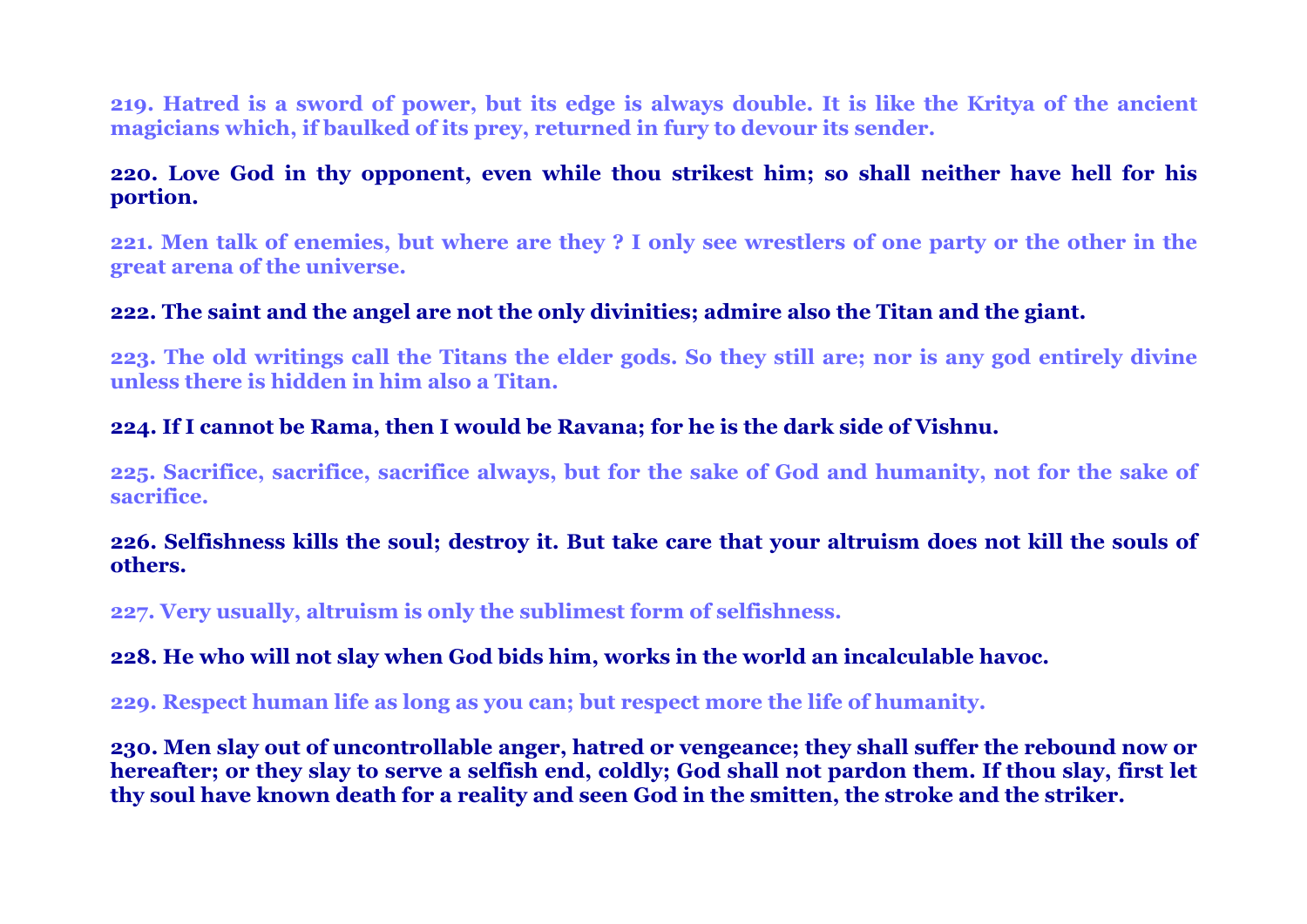**219. Hatred is a sword of power, but its edge is always double. It is like the Kritya of the ancient magicians which, if baulked of its prey, returned in fury to devour its sender.**

## **220. Love God in thy opponent, even while thou strikest him; so shall neither have hell for his portion.**

**221. Men talk of enemies, but where are they ? I only see wrestlers of one party or the other in the great arena of the universe.**

## **222. The saint and the angel are not the only divinities; admire also the Titan and the giant.**

**223. The old writings call the Titans the elder gods. So they still are; nor is any god entirely divine unless there is hidden in him also a Titan.**

#### **224. If I cannot be Rama, then I would be Ravana; for he is the dark side of Vishnu.**

**225. Sacrifice, sacrifice, sacrifice always, but for the sake of God and humanity, not for the sake of sacrifice.**

#### **226. Selfishness kills the soul; destroy it. But take care that your altruism does not kill the souls of others.**

**227. Very usually, altruism is only the sublimest form of selfishness.**

## **228. He who will not slay when God bids him, works in the world an incalculable havoc.**

**229. Respect human life as long as you can; but respect more the life of humanity.**

**230. Men slay out of uncontrollable anger, hatred or vengeance; they shall suffer the rebound now or hereafter; or they slay to serve a selfish end, coldly; God shall not pardon them. If thou slay, first let thy soul have known death for a reality and seen God in the smitten, the stroke and the striker.**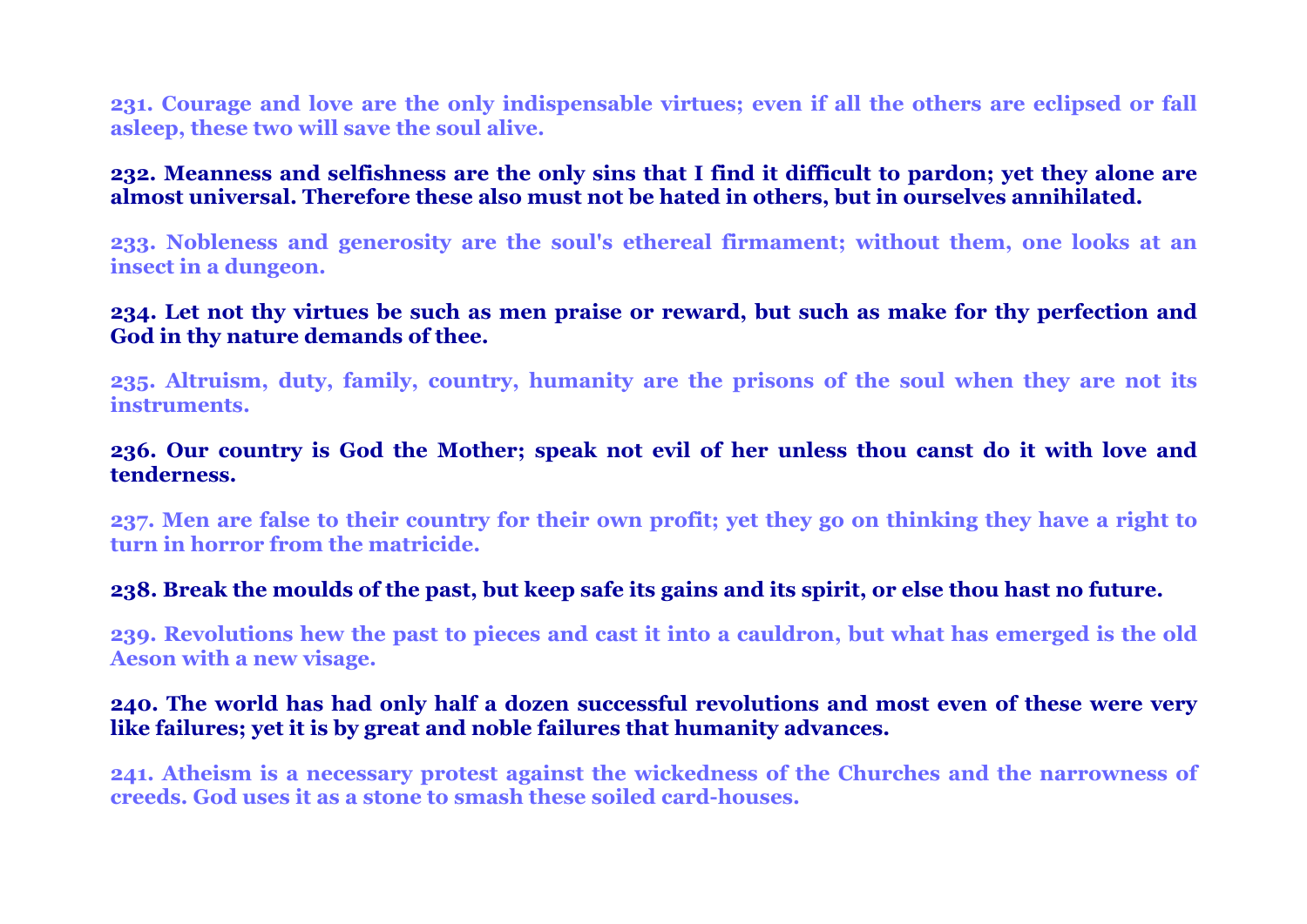**231. Courage and love are the only indispensable virtues; even if all the others are eclipsed or fall asleep, these two will save the soul alive.**

## **232. Meanness and selfishness are the only sins that I find it difficult to pardon; yet they alone are almost universal. Therefore these also must not be hated in others, but in ourselves annihilated.**

**233. Nobleness and generosity are the soul's ethereal firmament; without them, one looks at an insect in a dungeon.**

## **234. Let not thy virtues be such as men praise or reward, but such as make for thy perfection and God in thy nature demands of thee.**

**235. Altruism, duty, family, country, humanity are the prisons of the soul when they are not its instruments.**

#### **236. Our country is God the Mother; speak not evil of her unless thou canst do it with love and tenderness.**

**237. Men are false to their country for their own profit; yet they go on thinking they have a right to turn in horror from the matricide.**

## **238. Break the moulds of the past, but keep safe its gains and its spirit, or else thou hast no future.**

**239. Revolutions hew the past to pieces and cast it into a cauldron, but what has emerged is the old Aeson with a new visage.**

#### **240. The world has had only half a dozen successful revolutions and most even of these were very like failures; yet it is by great and noble failures that humanity advances.**

**241. Atheism is a necessary protest against the wickedness of the Churches and the narrowness of creeds. God uses it as a stone to smash these soiled card-houses.**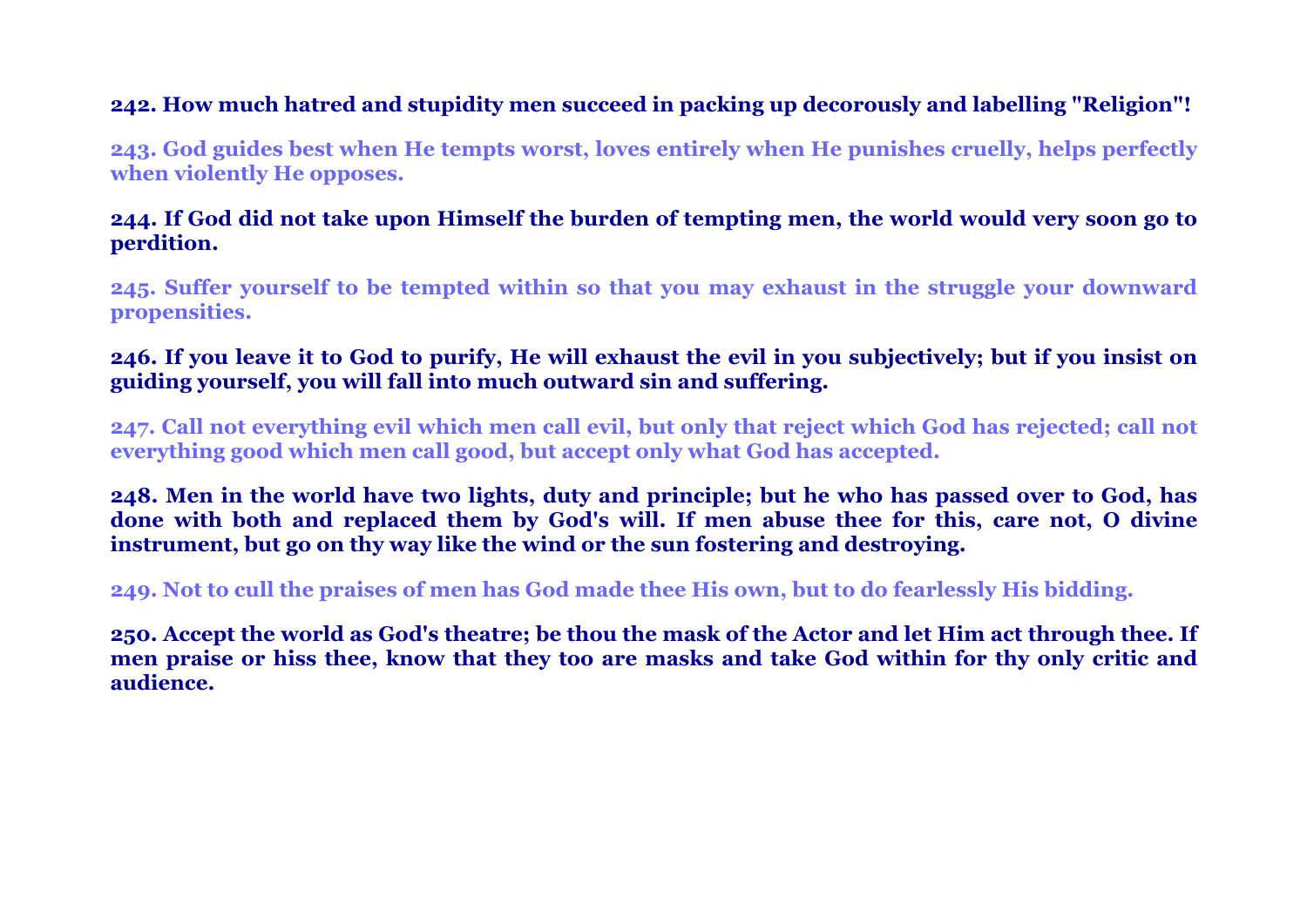## **242. How much hatred and stupidity men succeed in packing up decorously and labelling "Religion"!**

**243. God guides best when He tempts worst, loves entirely when He punishes cruelly, helps perfectly when violently He opposes.**

## **244. If God did not take upon Himself the burden of tempting men, the world would very soon go to perdition.**

**245. Suffer yourself to be tempted within so that you may exhaust in the struggle your downward propensities.**

## **246. If you leave it to God to purify, He will exhaust the evil in you subjectively; but if you insist on guiding yourself, you will fall into much outward sin and suffering.**

**247. Call not everything evil which men call evil, but only that reject which God has rejected; call not everything good which men call good, but accept only what God has accepted.**

**248. Men in the world have two lights, duty and principle; but he who has passed over to God, has done with both and replaced them by God's will. If men abuse thee for this, care not, O divine instrument, but go on thy way like the wind or the sun fostering and destroying.**

**249. Not to cull the praises of men has God made thee His own, but to do fearlessly His bidding.**

**250. Accept the world as God's theatre; be thou the mask of the Actor and let Him act through thee. If men praise or hiss thee, know that they too are masks and take God within for thy only critic and audience.**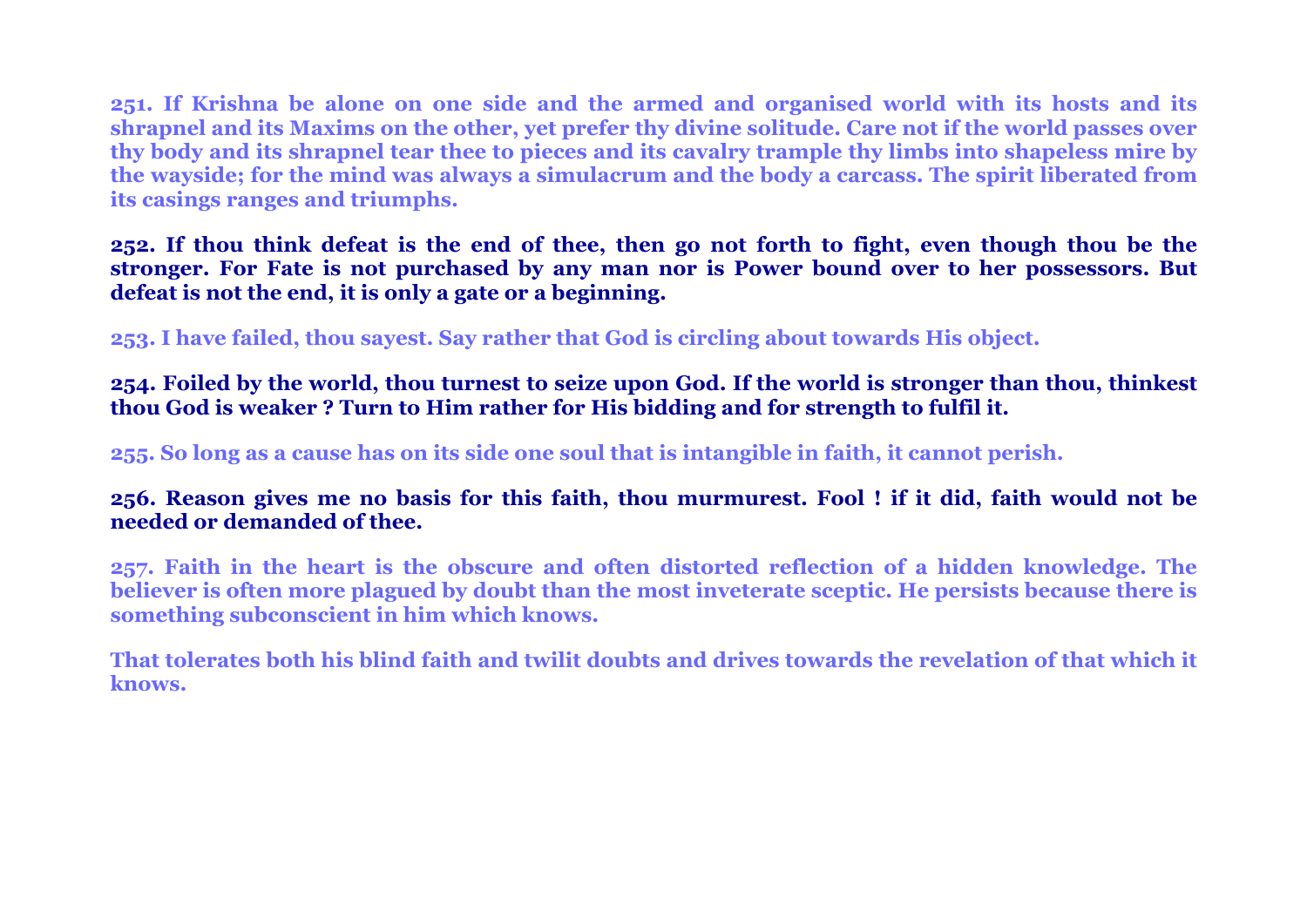**251. If Krishna be alone on one side and the armed and organised world with its hosts and its shrapnel and its Maxims on the other, yet prefer thy divine solitude. Care not if the world passes over thy body and its shrapnel tear thee to pieces and its cavalry trample thy limbs into shapeless mire by the wayside; for the mind was always a simulacrum and the body a carcass. The spirit liberated from its casings ranges and triumphs.**

**252. If thou think defeat is the end of thee, then go not forth to fight, even though thou be the stronger. For Fate is not purchased by any man nor is Power bound over to her possessors. But defeat is not the end, it is only a gate or a beginning.**

**253. I have failed, thou sayest. Say rather that God is circling about towards His object.**

**254. Foiled by the world, thou turnest to seize upon God. If the world is stronger than thou, thinkest thou God is weaker ? Turn to Him rather for His bidding and for strength to fulfil it.**

**255. So long as a cause has on its side one soul that is intangible in faith, it cannot perish.**

**256. Reason gives me no basis for this faith, thou murmurest. Fool ! if it did, faith would not be needed or demanded of thee.**

**257. Faith in the heart is the obscure and often distorted reflection of a hidden knowledge. The believer is often more plagued by doubt than the most inveterate sceptic. He persists because there is something subconscient in him which knows.**

**That tolerates both his blind faith and twilit doubts and drives towards the revelation of that which it knows.**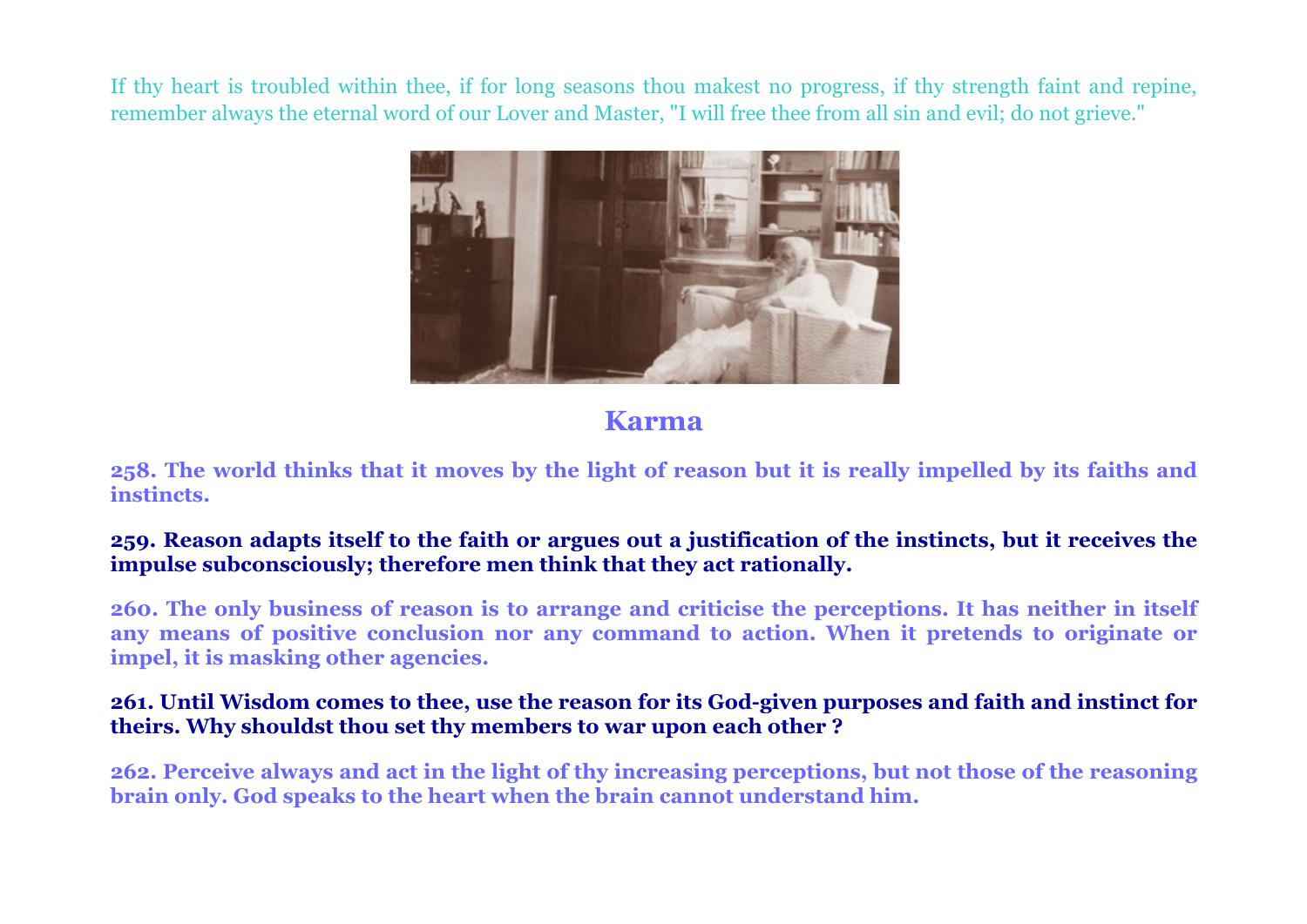If thy heart is troubled within thee, if for long seasons thou makest no progress, if thy strength faint and repine, remember always the eternal word of our Lover and Master, "I will free thee from all sin and evil; do not grieve."



# **Karma**

**258. The world thinks that it moves by the light of reason but it is really impelled by its faiths and instincts.**

## **259. Reason adapts itself to the faith or argues out a justification of the instincts, but it receives the impulse subconsciously; therefore men think that they act rationally.**

**260. The only business of reason is to arrange and criticise the perceptions. It has neither in itself any means of positive conclusion nor any command to action. When it pretends to originate or impel, it is masking other agencies.**

#### **261. Until Wisdom comes to thee, use the reason for its God-given purposes and faith and instinct for theirs. Why shouldst thou set thy members to war upon each other ?**

**262. Perceive always and act in the light of thy increasing perceptions, but not those of the reasoning brain only. God speaks to the heart when the brain cannot understand him.**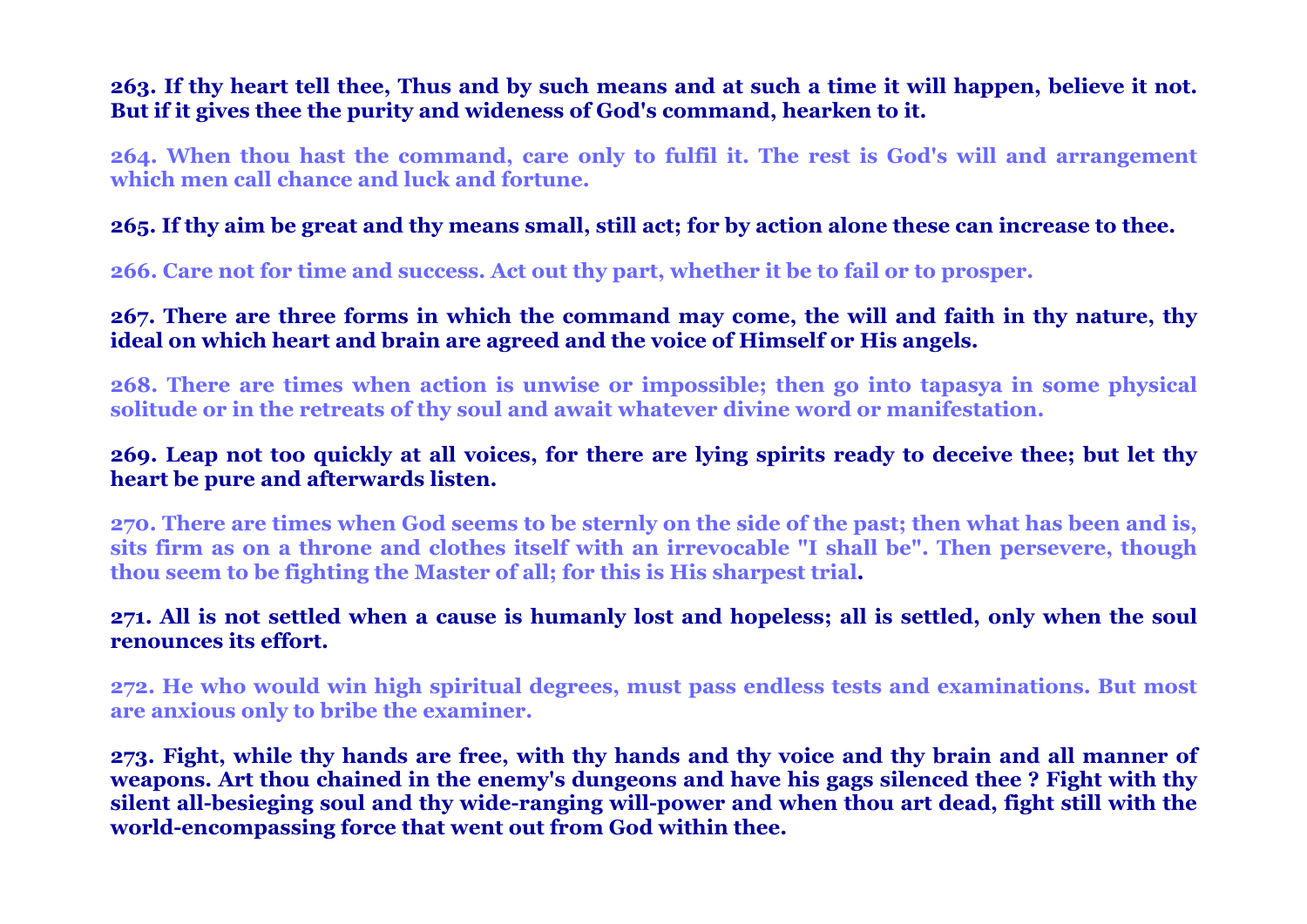## **263. If thy heart tell thee, Thus and by such means and at such a time it will happen, believe it not. But if it gives thee the purity and wideness of God's command, hearken to it.**

**264. When thou hast the command, care only to fulfil it. The rest is God's will and arrangement which men call chance and luck and fortune.**

**265. If thy aim be great and thy means small, still act; for by action alone these can increase to thee.**

**266. Care not for time and success. Act out thy part, whether it be to fail or to prosper.**

## **267. There are three forms in which the command may come, the will and faith in thy nature, thy ideal on which heart and brain are agreed and the voice of Himself or His angels.**

**268. There are times when action is unwise or impossible; then go into tapasya in some physical solitude or in the retreats of thy soul and await whatever divine word or manifestation.**

## **269. Leap not too quickly at all voices, for there are lying spirits ready to deceive thee; but let thy heart be pure and afterwards listen.**

**270. There are times when God seems to be sternly on the side of the past; then what has been and is, sits firm as on a throne and clothes itself with an irrevocable "I shall be". Then persevere, though thou seem to be fighting the Master of all; for this is His sharpest trial.**

## **271. All is not settled when a cause is humanly lost and hopeless; all is settled, only when the soul renounces its effort.**

**272. He who would win high spiritual degrees, must pass endless tests and examinations. But most are anxious only to bribe the examiner.**

**273. Fight, while thy hands are free, with thy hands and thy voice and thy brain and all manner of weapons. Art thou chained in the enemy's dungeons and have his gags silenced thee ? Fight with thy silent all-besieging soul and thy wide-ranging will-power and when thou art dead, fight still with the world-encompassing force that went out from God within thee.**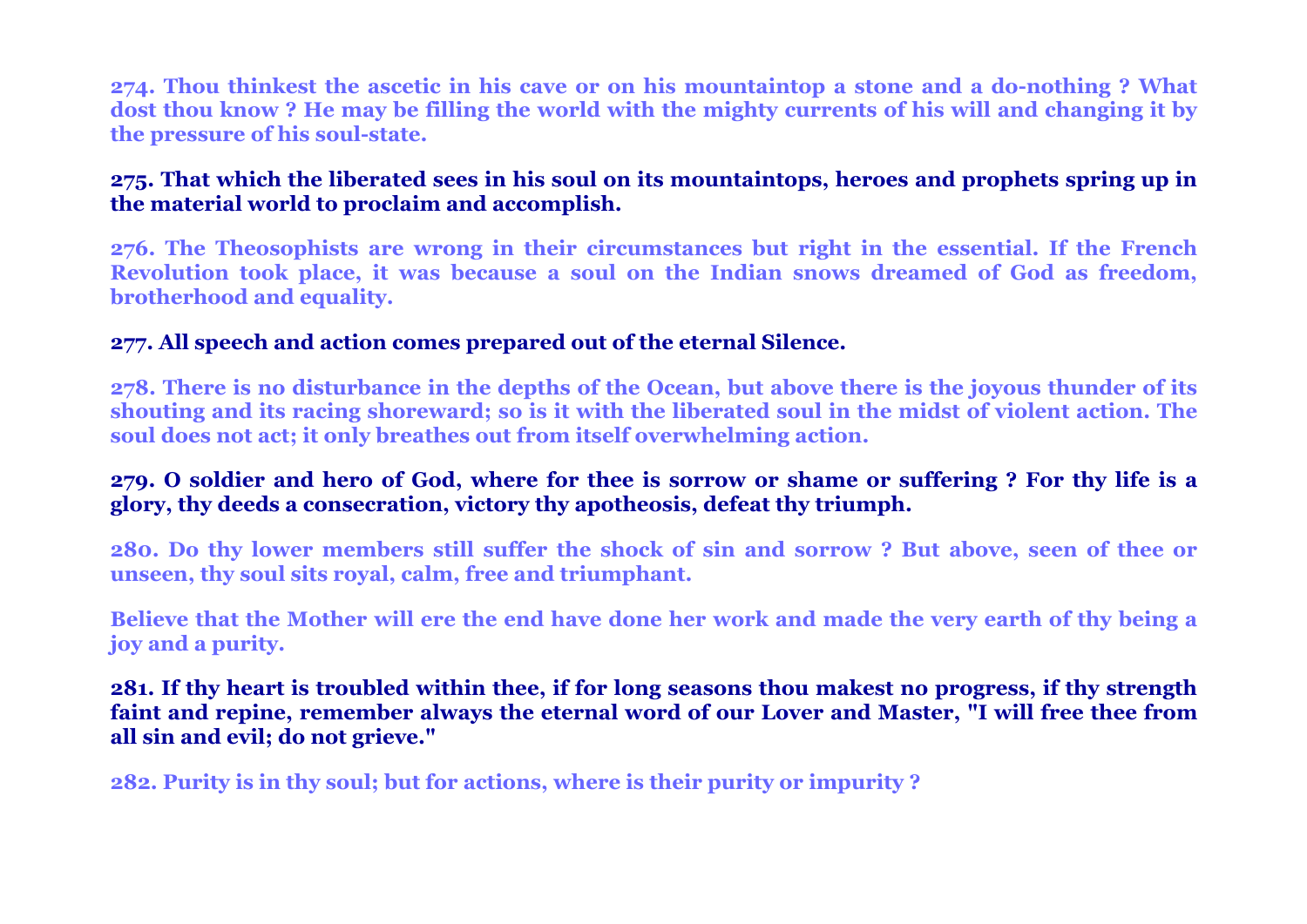**274. Thou thinkest the ascetic in his cave or on his mountaintop a stone and a do-nothing ? What dost thou know ? He may be filling the world with the mighty currents of his will and changing it by the pressure of his soul-state.**

# **275. That which the liberated sees in his soul on its mountaintops, heroes and prophets spring up in the material world to proclaim and accomplish.**

**276. The Theosophists are wrong in their circumstances but right in the essential. If the French Revolution took place, it was because a soul on the Indian snows dreamed of God as freedom, brotherhood and equality.**

# **277. All speech and action comes prepared out of the eternal Silence.**

**278. There is no disturbance in the depths of the Ocean, but above there is the joyous thunder of its shouting and its racing shoreward; so is it with the liberated soul in the midst of violent action. The soul does not act; it only breathes out from itself overwhelming action.**

# **279. O soldier and hero of God, where for thee is sorrow or shame or suffering ? For thy life is a glory, thy deeds a consecration, victory thy apotheosis, defeat thy triumph.**

**280. Do thy lower members still suffer the shock of sin and sorrow ? But above, seen of thee or unseen, thy soul sits royal, calm, free and triumphant.**

**Believe that the Mother will ere the end have done her work and made the very earth of thy being a joy and a purity.**

#### **281. If thy heart is troubled within thee, if for long seasons thou makest no progress, if thy strength faint and repine, remember always the eternal word of our Lover and Master, "I will free thee from all sin and evil; do not grieve."**

**282. Purity is in thy soul; but for actions, where is their purity or impurity ?**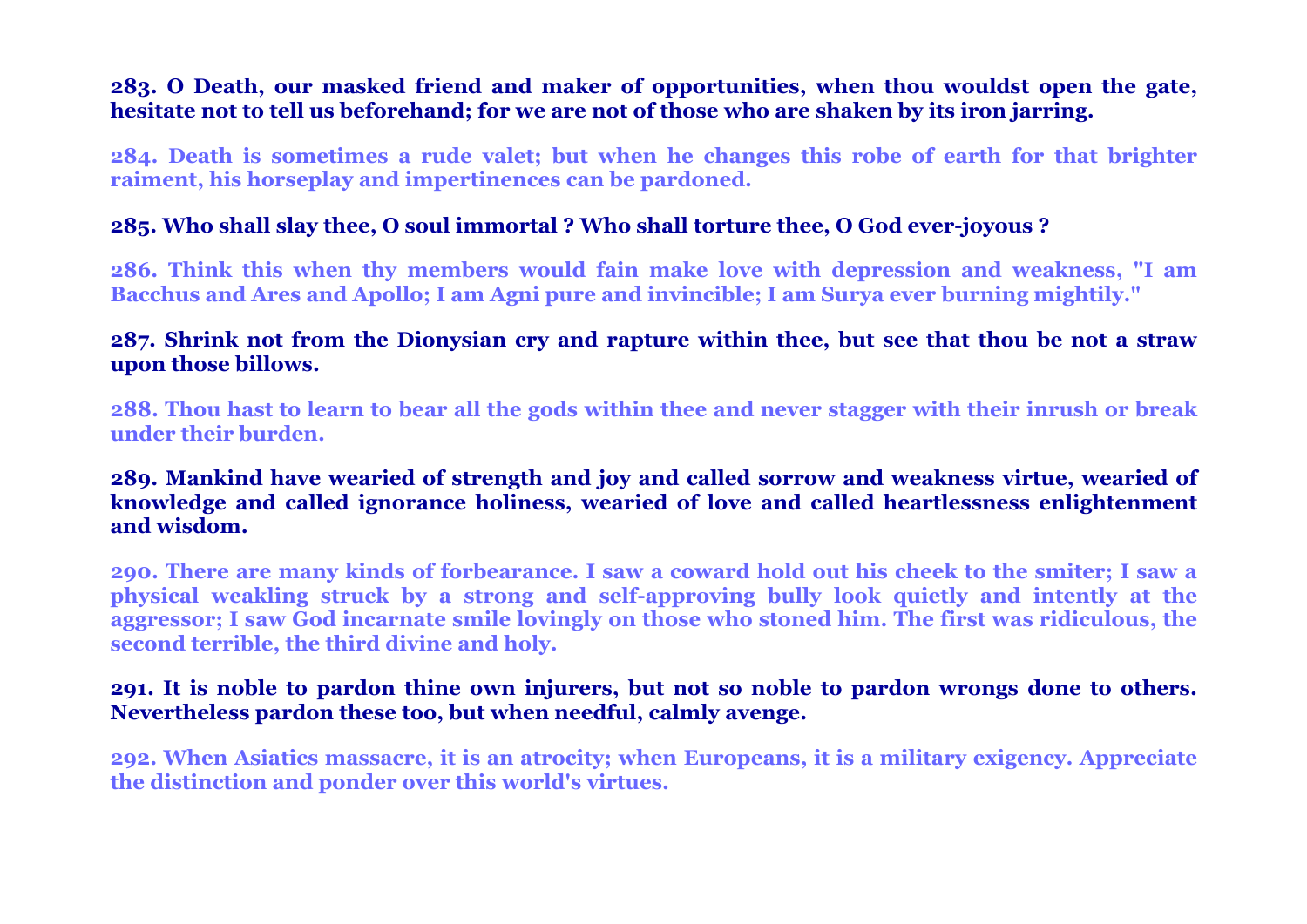#### **283. O Death, our masked friend and maker of opportunities, when thou wouldst open the gate, hesitate not to tell us beforehand; for we are not of those who are shaken by its iron jarring.**

**284. Death is sometimes a rude valet; but when he changes this robe of earth for that brighter raiment, his horseplay and impertinences can be pardoned.**

# **285. Who shall slay thee, O soul immortal ? Who shall torture thee, O God ever-joyous ?**

**286. Think this when thy members would fain make love with depression and weakness, "I am Bacchus and Ares and Apollo; I am Agni pure and invincible; I am Surya ever burning mightily."** 

# **287. Shrink not from the Dionysian cry and rapture within thee, but see that thou be not a straw upon those billows.**

**288. Thou hast to learn to bear all the gods within thee and never stagger with their inrush or break under their burden.**

# **289. Mankind have wearied of strength and joy and called sorrow and weakness virtue, wearied of knowledge and called ignorance holiness, wearied of love and called heartlessness enlightenment and wisdom.**

**290. There are many kinds of forbearance. I saw a coward hold out his cheek to the smiter; I saw a physical weakling struck by a strong and self-approving bully look quietly and intently at the aggressor; I saw God incarnate smile lovingly on those who stoned him. The first was ridiculous, the second terrible, the third divine and holy.**

# **291. It is noble to pardon thine own injurers, but not so noble to pardon wrongs done to others. Nevertheless pardon these too, but when needful, calmly avenge.**

**292. When Asiatics massacre, it is an atrocity; when Europeans, it is a military exigency. Appreciate the distinction and ponder over this world's virtues.**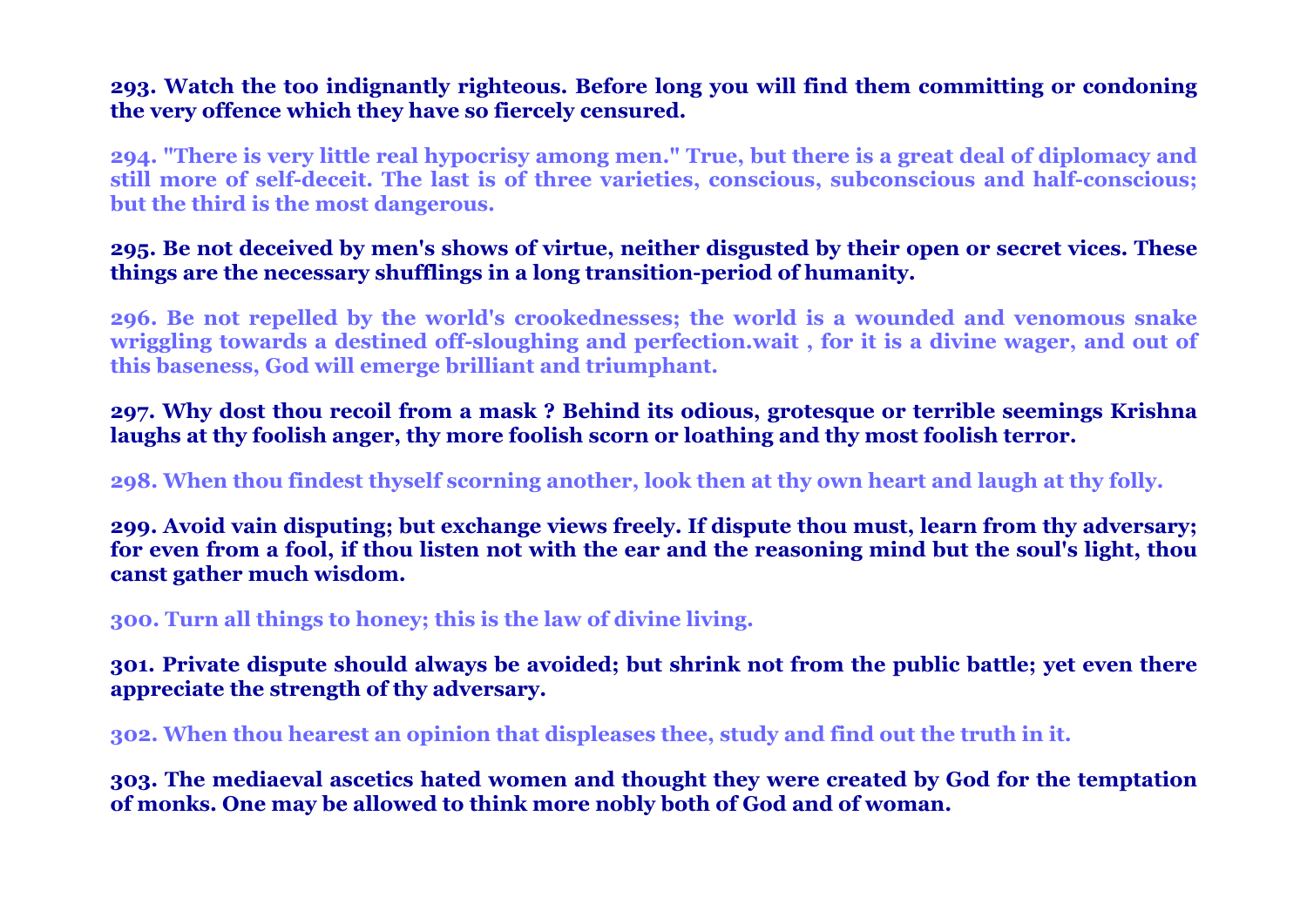#### **293. Watch the too indignantly righteous. Before long you will find them committing or condoning the very offence which they have so fiercely censured.**

**294. "There is very little real hypocrisy among men." True, but there is a great deal of diplomacy and still more of self-deceit. The last is of three varieties, conscious, subconscious and half-conscious; but the third is the most dangerous.**

# **295. Be not deceived by men's shows of virtue, neither disgusted by their open or secret vices. These things are the necessary shufflings in a long transition-period of humanity.**

**296. Be not repelled by the world's crookednesses; the world is a wounded and venomous snake wriggling towards a destined off-sloughing and perfection.wait , for it is a divine wager, and out of this baseness, God will emerge brilliant and triumphant.**

#### **297. Why dost thou recoil from a mask ? Behind its odious, grotesque or terrible seemings Krishna laughs at thy foolish anger, thy more foolish scorn or loathing and thy most foolish terror.**

**298. When thou findest thyself scorning another, look then at thy own heart and laugh at thy folly.**

**299. Avoid vain disputing; but exchange views freely. If dispute thou must, learn from thy adversary; for even from a fool, if thou listen not with the ear and the reasoning mind but the soul's light, thou canst gather much wisdom.**

**300. Turn all things to honey; this is the law of divine living.**

**301. Private dispute should always be avoided; but shrink not from the public battle; yet even there appreciate the strength of thy adversary.**

**302. When thou hearest an opinion that displeases thee, study and find out the truth in it.**

**303. The mediaeval ascetics hated women and thought they were created by God for the temptation of monks. One may be allowed to think more nobly both of God and of woman.**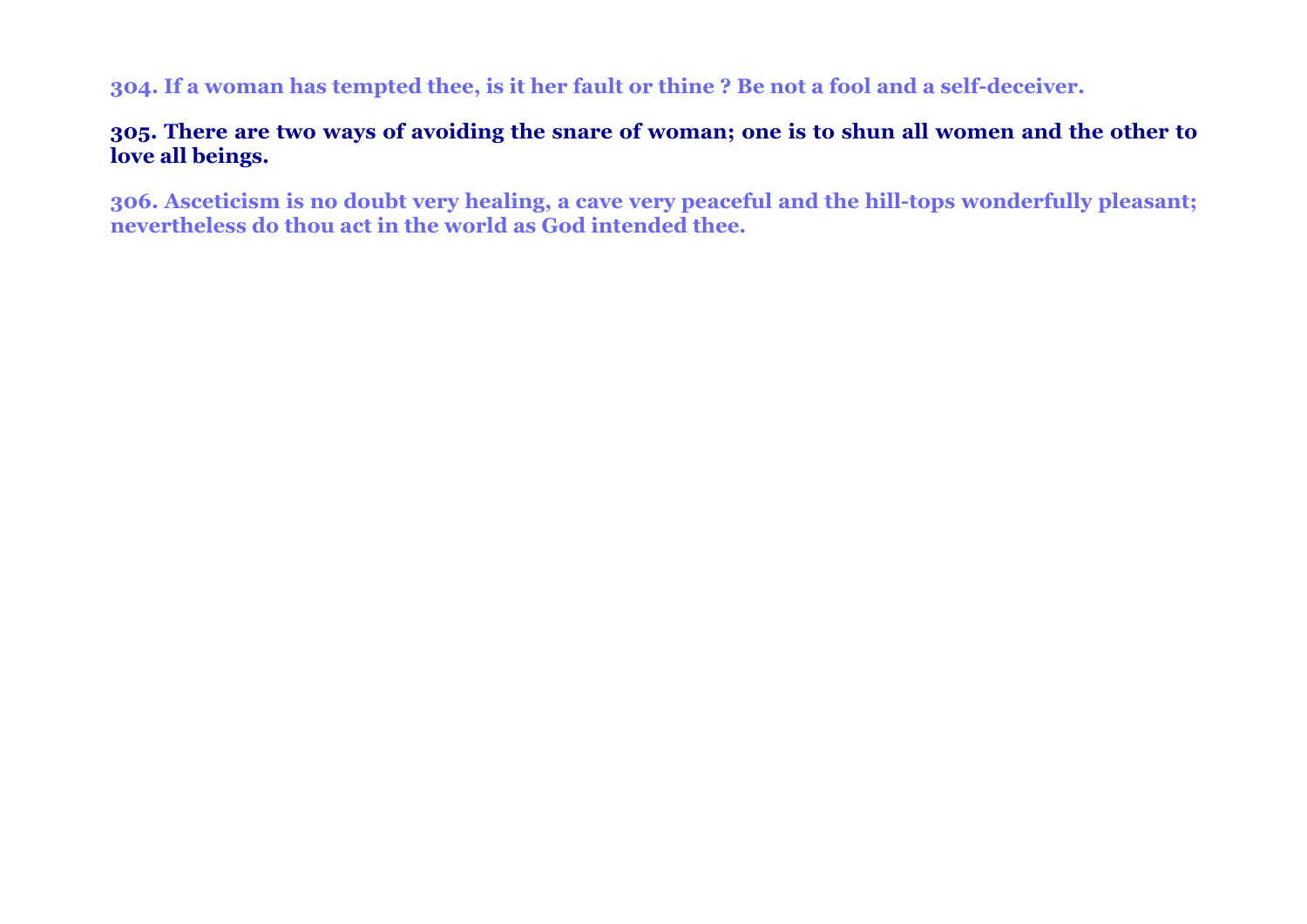**304. If a woman has tempted thee, is it her fault or thine ? Be not a fool and a self-deceiver.**

**305. There are two ways of avoiding the snare of woman; one is to shun all women and the other to love all beings.**

**306. Asceticism is no doubt very healing, a cave very peaceful and the hill-tops wonderfully pleasant; nevertheless do thou act in the world as God intended thee.**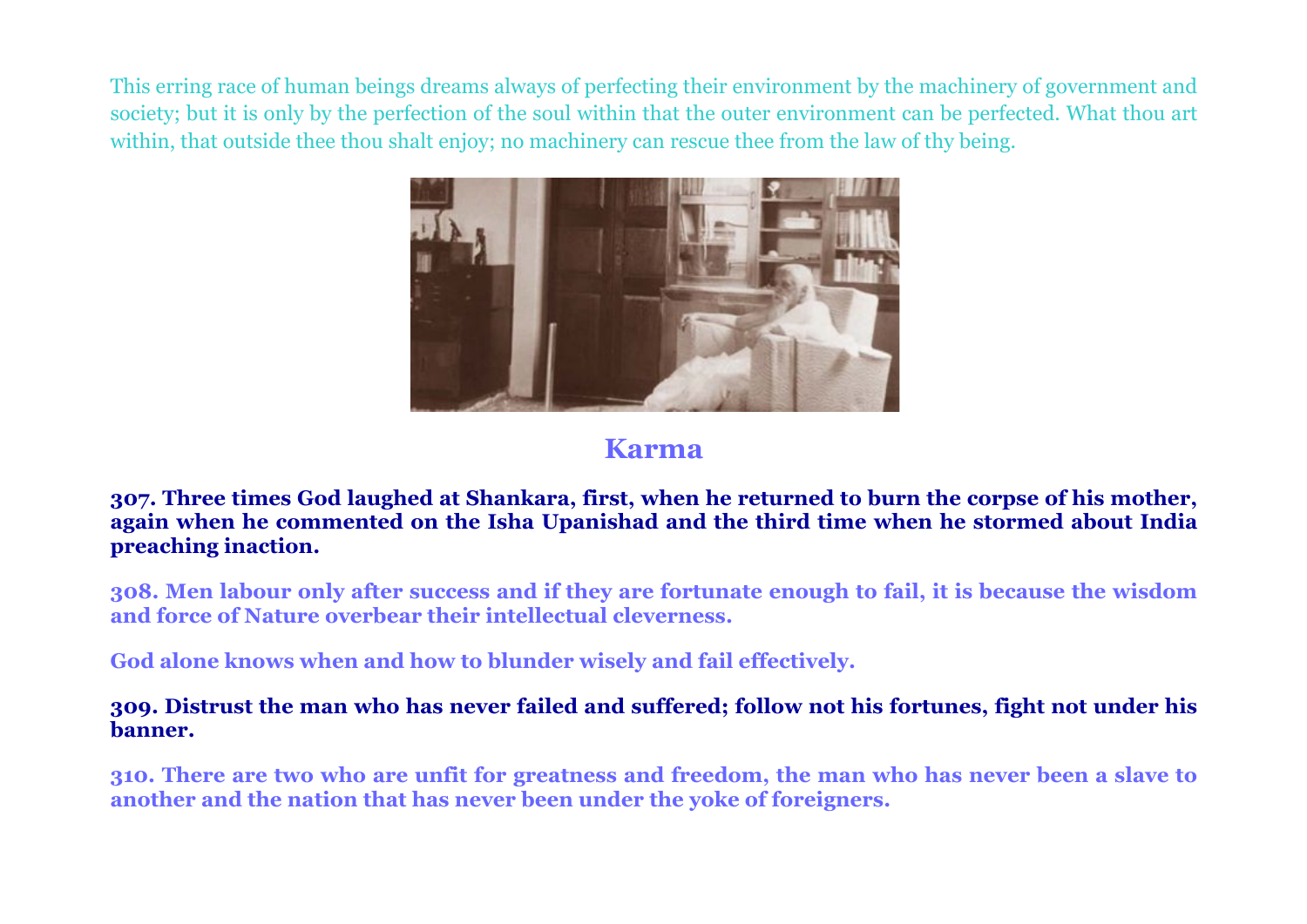This erring race of human beings dreams always of perfecting their environment by the machinery of government and society; but it is only by the perfection of the soul within that the outer environment can be perfected. What thou art within, that outside thee thou shalt enjoy; no machinery can rescue thee from the law of thy being.



# **Karma**

**307. Three times God laughed at Shankara, first, when he returned to burn the corpse of his mother, again when he commented on the Isha Upanishad and the third time when he stormed about India preaching inaction.**

**308. Men labour only after success and if they are fortunate enough to fail, it is because the wisdom and force of Nature overbear their intellectual cleverness.**

**God alone knows when and how to blunder wisely and fail effectively.**

**309. Distrust the man who has never failed and suffered; follow not his fortunes, fight not under his banner.**

**310. There are two who are unfit for greatness and freedom, the man who has never been a slave to another and the nation that has never been under the yoke of foreigners.**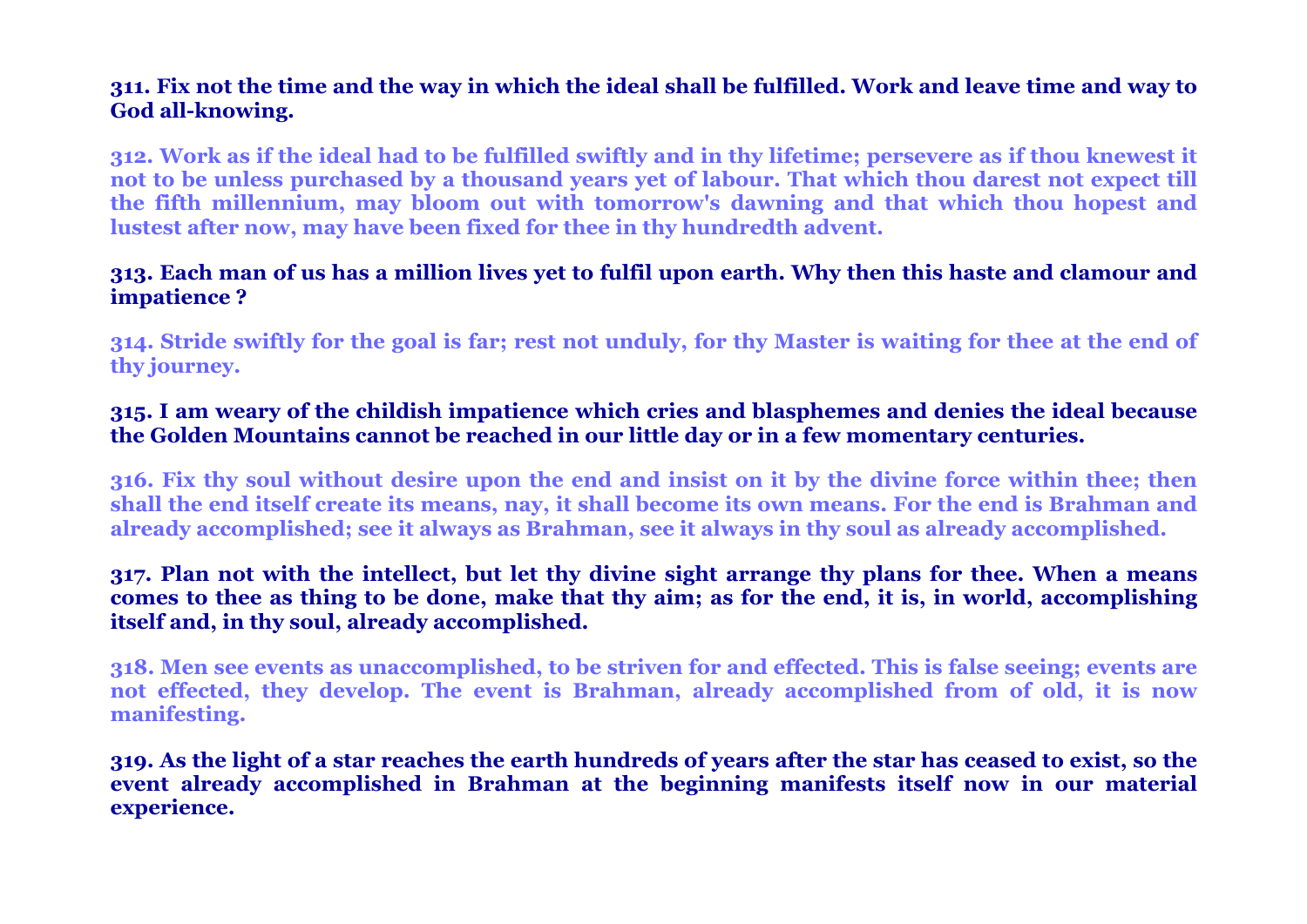# **311. Fix not the time and the way in which the ideal shall be fulfilled. Work and leave time and way to God all-knowing.**

**312. Work as if the ideal had to be fulfilled swiftly and in thy lifetime; persevere as if thou knewest it not to be unless purchased by a thousand years yet of labour. That which thou darest not expect till the fifth millennium, may bloom out with tomorrow's dawning and that which thou hopest and lustest after now, may have been fixed for thee in thy hundredth advent.**

#### **313. Each man of us has a million lives yet to fulfil upon earth. Why then this haste and clamour and impatience ?**

**314. Stride swiftly for the goal is far; rest not unduly, for thy Master is waiting for thee at the end of thy journey.**

#### **315. I am weary of the childish impatience which cries and blasphemes and denies the ideal because the Golden Mountains cannot be reached in our little day or in a few momentary centuries.**

**316. Fix thy soul without desire upon the end and insist on it by the divine force within thee; then shall the end itself create its means, nay, it shall become its own means. For the end is Brahman and already accomplished; see it always as Brahman, see it always in thy soul as already accomplished.**

#### **317. Plan not with the intellect, but let thy divine sight arrange thy plans for thee. When a means comes to thee as thing to be done, make that thy aim; as for the end, it is, in world, accomplishing itself and, in thy soul, already accomplished.**

**318. Men see events as unaccomplished, to be striven for and effected. This is false seeing; events are not effected, they develop. The event is Brahman, already accomplished from of old, it is now manifesting.**

**319. As the light of a star reaches the earth hundreds of years after the star has ceased to exist, so the event already accomplished in Brahman at the beginning manifests itself now in our material experience.**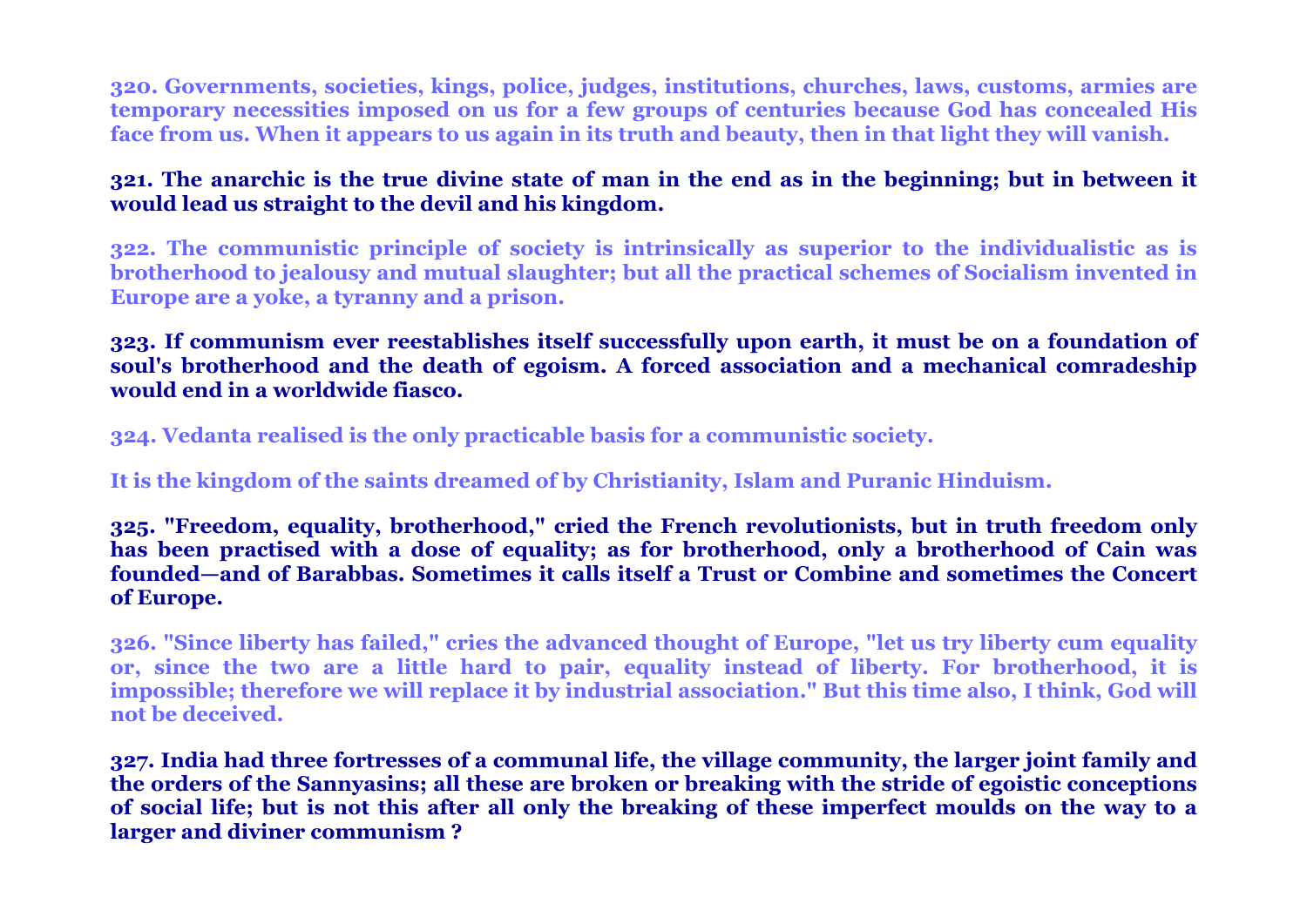**320. Governments, societies, kings, police, judges, institutions, churches, laws, customs, armies are temporary necessities imposed on us for a few groups of centuries because God has concealed His face from us. When it appears to us again in its truth and beauty, then in that light they will vanish.**

# **321. The anarchic is the true divine state of man in the end as in the beginning; but in between it would lead us straight to the devil and his kingdom.**

**322. The communistic principle of society is intrinsically as superior to the individualistic as is brotherhood to jealousy and mutual slaughter; but all the practical schemes of Socialism invented in Europe are a yoke, a tyranny and a prison.**

**323. If communism ever reestablishes itself successfully upon earth, it must be on a foundation of soul's brotherhood and the death of egoism. A forced association and a mechanical comradeship would end in a worldwide fiasco.**

**324. Vedanta realised is the only practicable basis for a communistic society.**

**It is the kingdom of the saints dreamed of by Christianity, Islam and Puranic Hinduism.**

**325. "Freedom, equality, brotherhood," cried the French revolutionists, but in truth freedom only has been practised with a dose of equality; as for brotherhood, only a brotherhood of Cain was founded—and of Barabbas. Sometimes it calls itself a Trust or Combine and sometimes the Concert of Europe.**

**326. "Since liberty has failed," cries the advanced thought of Europe, "let us try liberty cum equality or, since the two are a little hard to pair, equality instead of liberty. For brotherhood, it is impossible; therefore we will replace it by industrial association." But this time also, I think, God will not be deceived.**

**327. India had three fortresses of a communal life, the village community, the larger joint family and the orders of the Sannyasins; all these are broken or breaking with the stride of egoistic conceptions of social life; but is not this after all only the breaking of these imperfect moulds on the way to a larger and diviner communism ?**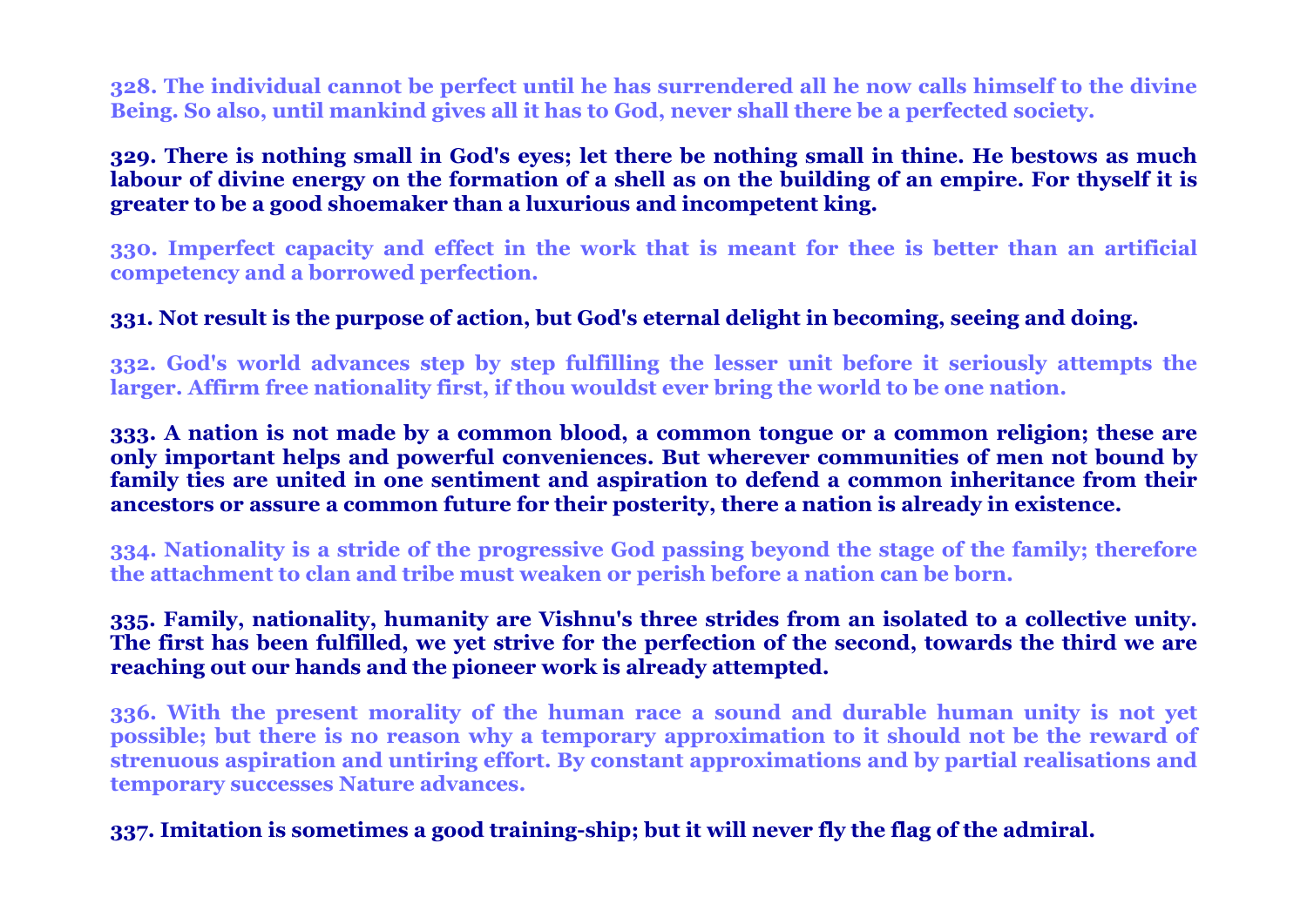**328. The individual cannot be perfect until he has surrendered all he now calls himself to the divine Being. So also, until mankind gives all it has to God, never shall there be a perfected society.**

# **329. There is nothing small in God's eyes; let there be nothing small in thine. He bestows as much labour of divine energy on the formation of a shell as on the building of an empire. For thyself it is greater to be a good shoemaker than a luxurious and incompetent king.**

**330. Imperfect capacity and effect in the work that is meant for thee is better than an artificial competency and a borrowed perfection.**

# **331. Not result is the purpose of action, but God's eternal delight in becoming, seeing and doing.**

**332. God's world advances step by step fulfilling the lesser unit before it seriously attempts the larger. Affirm free nationality first, if thou wouldst ever bring the world to be one nation.**

**333. A nation is not made by a common blood, a common tongue or a common religion; these are only important helps and powerful conveniences. But wherever communities of men not bound by family ties are united in one sentiment and aspiration to defend a common inheritance from their ancestors or assure a common future for their posterity, there a nation is already in existence.**

**334. Nationality is a stride of the progressive God passing beyond the stage of the family; therefore the attachment to clan and tribe must weaken or perish before a nation can be born.**

# **335. Family, nationality, humanity are Vishnu's three strides from an isolated to a collective unity. The first has been fulfilled, we yet strive for the perfection of the second, towards the third we are reaching out our hands and the pioneer work is already attempted.**

**336. With the present morality of the human race a sound and durable human unity is not yet possible; but there is no reason why a temporary approximation to it should not be the reward of strenuous aspiration and untiring effort. By constant approximations and by partial realisations and temporary successes Nature advances.**

**337. Imitation is sometimes a good training-ship; but it will never fly the flag of the admiral.**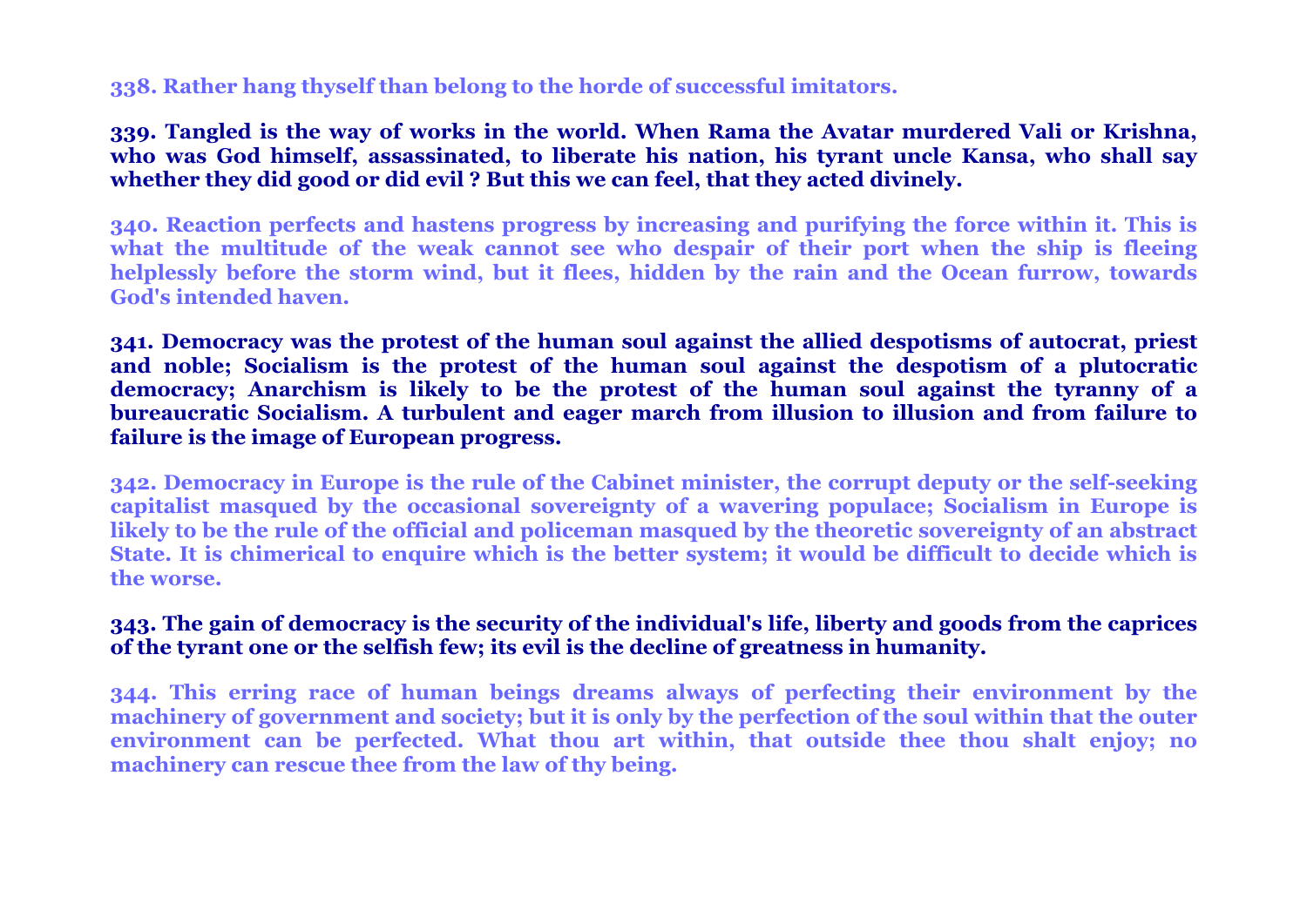# **338. Rather hang thyself than belong to the horde of successful imitators.**

**339. Tangled is the way of works in the world. When Rama the Avatar murdered Vali or Krishna, who was God himself, assassinated, to liberate his nation, his tyrant uncle Kansa, who shall say whether they did good or did evil ? But this we can feel, that they acted divinely.**

**340. Reaction perfects and hastens progress by increasing and purifying the force within it. This is**  what the multitude of the weak cannot see who despair of their port when the ship is fleeing **helplessly before the storm wind, but it flees, hidden by the rain and the Ocean furrow, towards God's intended haven.**

**341. Democracy was the protest of the human soul against the allied despotisms of autocrat, priest and noble; Socialism is the protest of the human soul against the despotism of a plutocratic democracy; Anarchism is likely to be the protest of the human soul against the tyranny of a bureaucratic Socialism. A turbulent and eager march from illusion to illusion and from failure to failure is the image of European progress.**

**342. Democracy in Europe is the rule of the Cabinet minister, the corrupt deputy or the self-seeking capitalist masqued by the occasional sovereignty of a wavering populace; Socialism in Europe is likely to be the rule of the official and policeman masqued by the theoretic sovereignty of an abstract State. It is chimerical to enquire which is the better system; it would be difficult to decide which is the worse.**

# **343. The gain of democracy is the security of the individual's life, liberty and goods from the caprices of the tyrant one or the selfish few; its evil is the decline of greatness in humanity.**

**344. This erring race of human beings dreams always of perfecting their environment by the machinery of government and society; but it is only by the perfection of the soul within that the outer environment can be perfected. What thou art within, that outside thee thou shalt enjoy; no machinery can rescue thee from the law of thy being.**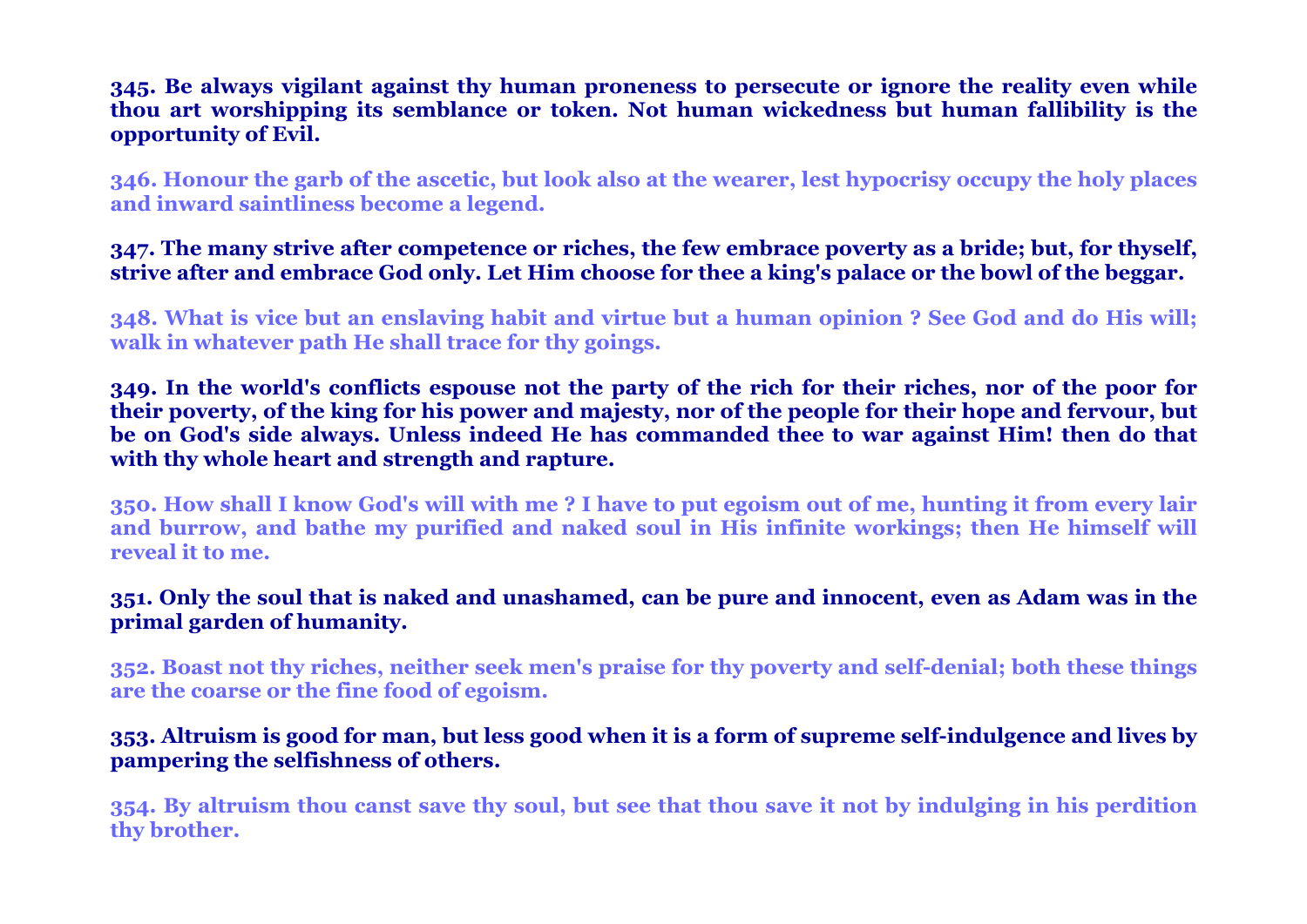**345. Be always vigilant against thy human proneness to persecute or ignore the reality even while thou art worshipping its semblance or token. Not human wickedness but human fallibility is the opportunity of Evil.**

**346. Honour the garb of the ascetic, but look also at the wearer, lest hypocrisy occupy the holy places and inward saintliness become a legend.**

**347. The many strive after competence or riches, the few embrace poverty as a bride; but, for thyself, strive after and embrace God only. Let Him choose for thee a king's palace or the bowl of the beggar.**

**348. What is vice but an enslaving habit and virtue but a human opinion ? See God and do His will; walk in whatever path He shall trace for thy goings.**

**349. In the world's conflicts espouse not the party of the rich for their riches, nor of the poor for their poverty, of the king for his power and majesty, nor of the people for their hope and fervour, but be on God's side always. Unless indeed He has commanded thee to war against Him! then do that with thy whole heart and strength and rapture.**

**350. How shall I know God's will with me ? I have to put egoism out of me, hunting it from every lair and burrow, and bathe my purified and naked soul in His infinite workings; then He himself will reveal it to me.**

**351. Only the soul that is naked and unashamed, can be pure and innocent, even as Adam was in the primal garden of humanity.**

**352. Boast not thy riches, neither seek men's praise for thy poverty and self-denial; both these things are the coarse or the fine food of egoism.**

#### **353. Altruism is good for man, but less good when it is a form of supreme self-indulgence and lives by pampering the selfishness of others.**

**354. By altruism thou canst save thy soul, but see that thou save it not by indulging in his perdition thy brother.**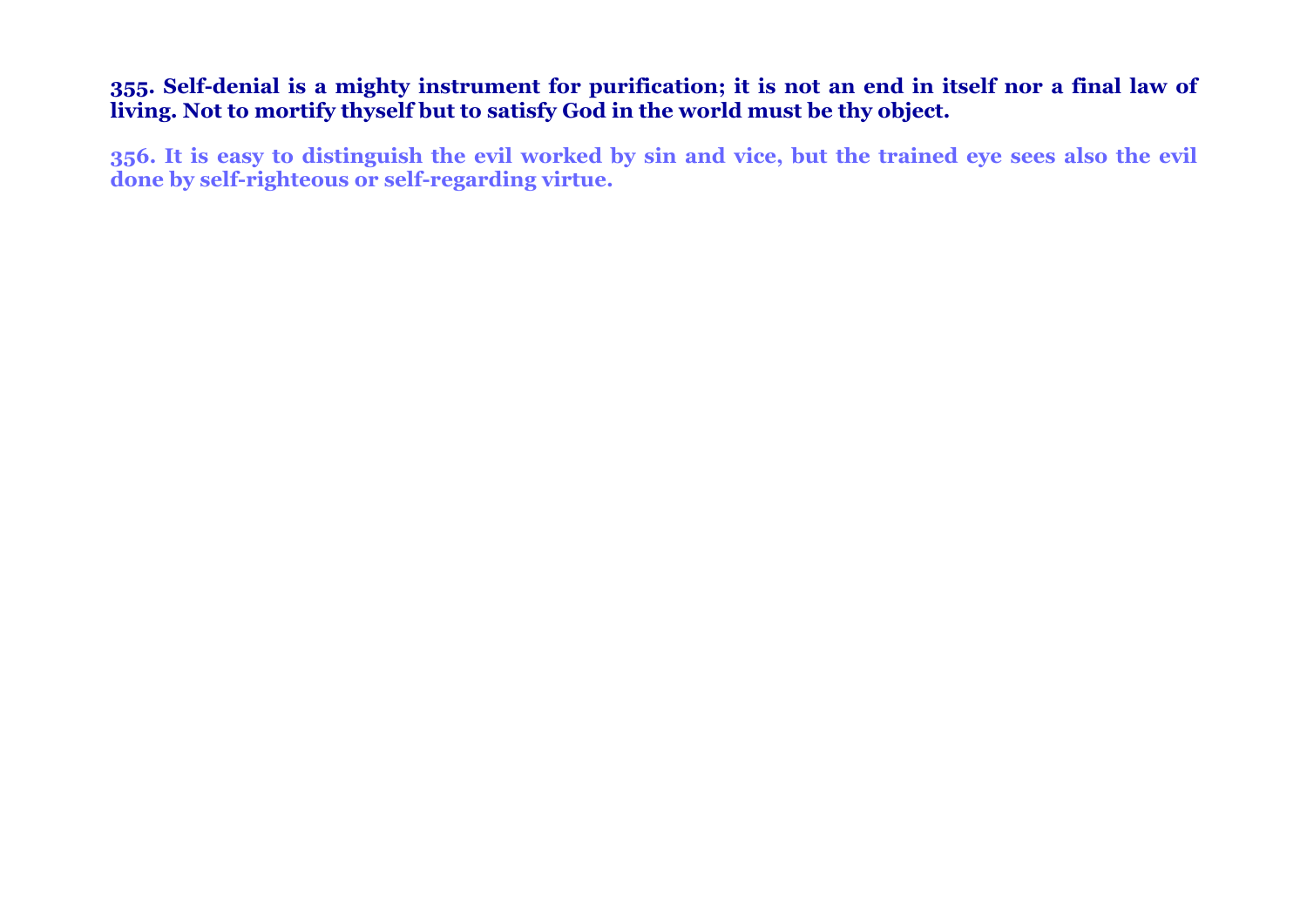# **355. Self-denial is a mighty instrument for purification; it is not an end in itself nor a final law of living. Not to mortify thyself but to satisfy God in the world must be thy object.**

**356. It is easy to distinguish the evil worked by sin and vice, but the trained eye sees also the evil done by self-righteous or self-regarding virtue.**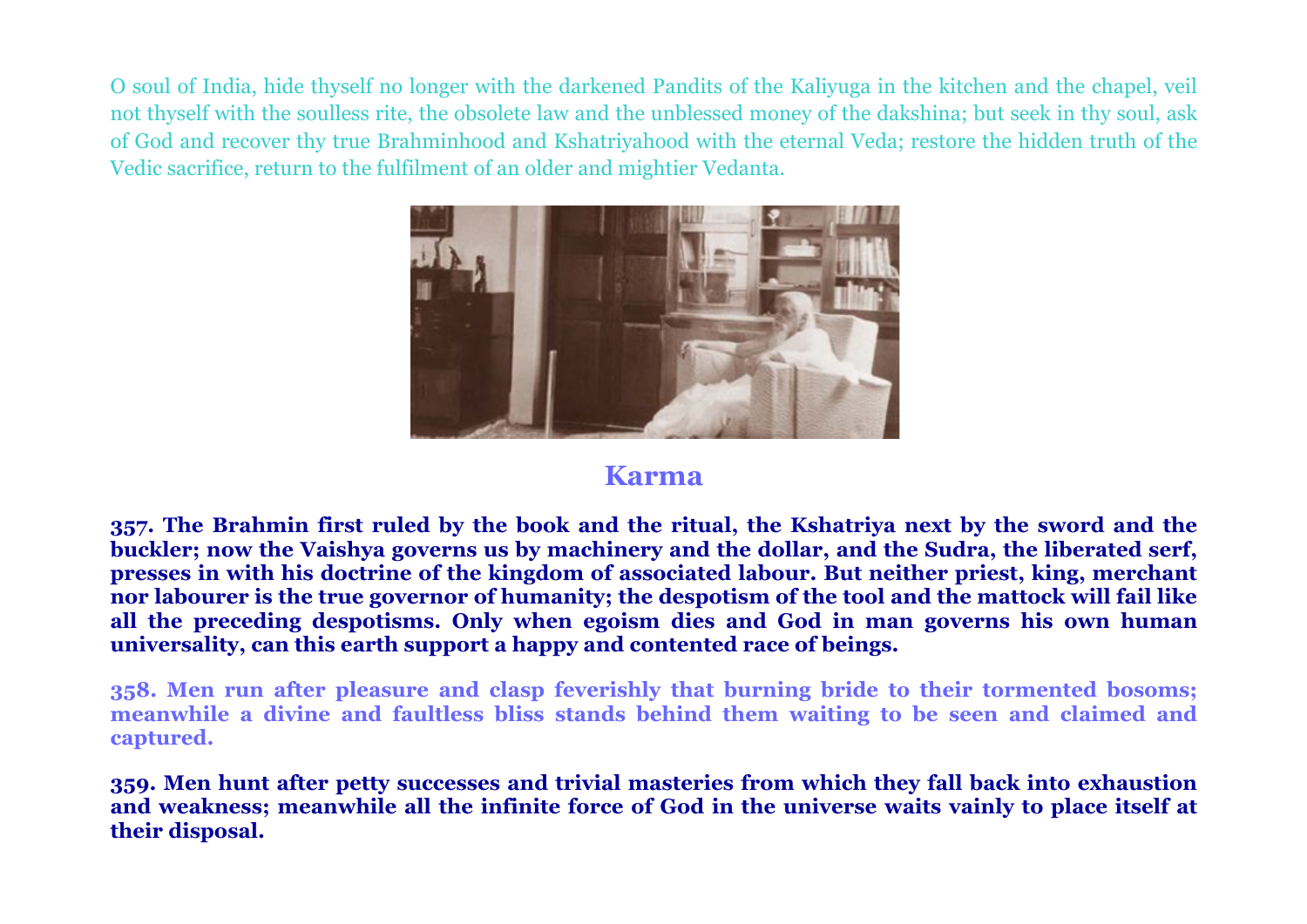O soul of India, hide thyself no longer with the darkened Pandits of the Kaliyuga in the kitchen and the chapel, veil not thyself with the soulless rite, the obsolete law and the unblessed money of the dakshina; but seek in thy soul, ask of God and recover thy true Brahminhood and Kshatriyahood with the eternal Veda; restore the hidden truth of the Vedic sacrifice, return to the fulfilment of an older and mightier Vedanta.



# **Karma**

**357. The Brahmin first ruled by the book and the ritual, the Kshatriya next by the sword and the buckler; now the Vaishya governs us by machinery and the dollar, and the Sudra, the liberated serf, presses in with his doctrine of the kingdom of associated labour. But neither priest, king, merchant nor labourer is the true governor of humanity; the despotism of the tool and the mattock will fail like all the preceding despotisms. Only when egoism dies and God in man governs his own human universality, can this earth support a happy and contented race of beings.**

**358. Men run after pleasure and clasp feverishly that burning bride to their tormented bosoms; meanwhile a divine and faultless bliss stands behind them waiting to be seen and claimed and captured.**

**359. Men hunt after petty successes and trivial masteries from which they fall back into exhaustion and weakness; meanwhile all the infinite force of God in the universe waits vainly to place itself at their disposal.**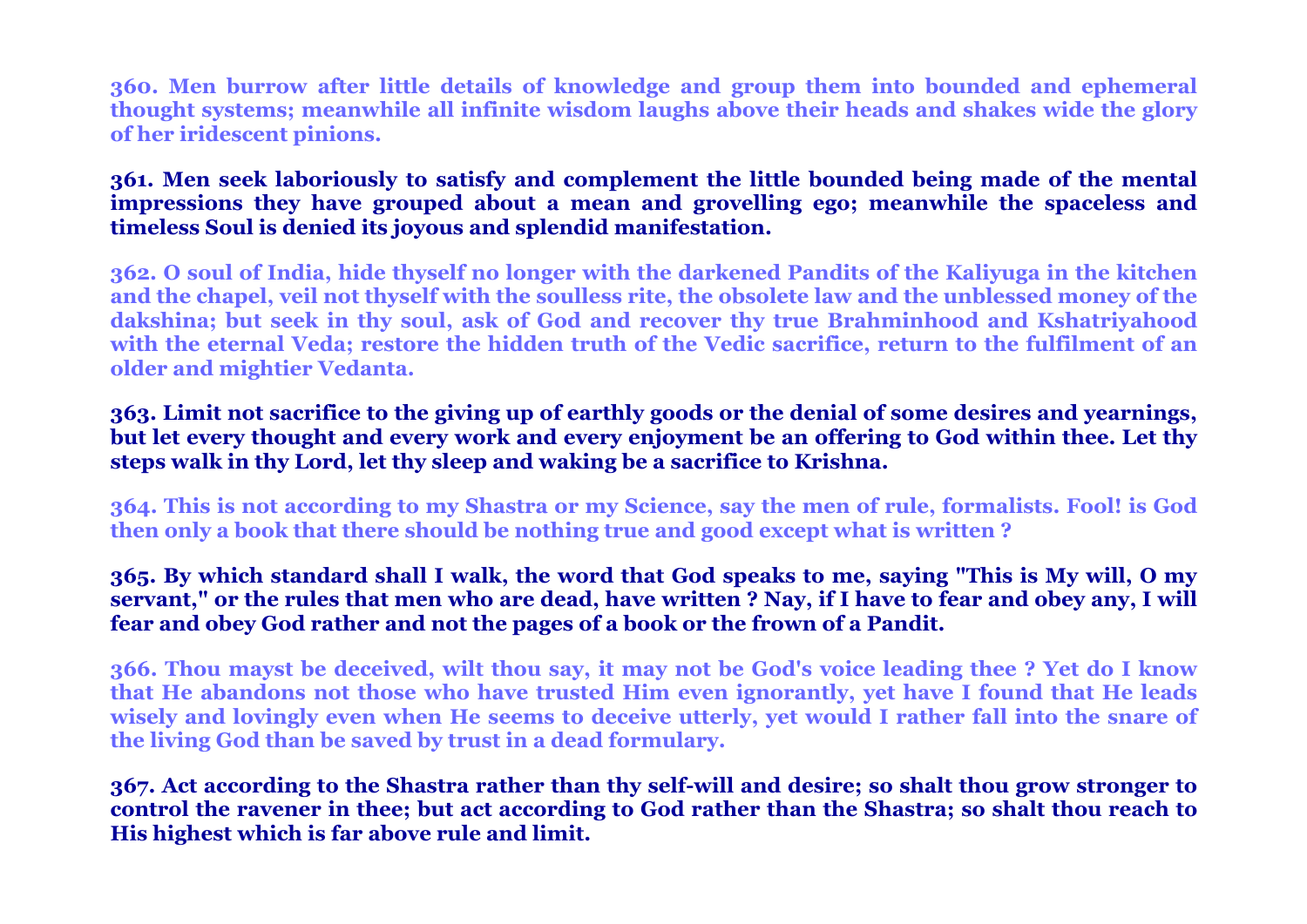**360. Men burrow after little details of knowledge and group them into bounded and ephemeral thought systems; meanwhile all infinite wisdom laughs above their heads and shakes wide the glory of her iridescent pinions.**

# **361. Men seek laboriously to satisfy and complement the little bounded being made of the mental impressions they have grouped about a mean and grovelling ego; meanwhile the spaceless and timeless Soul is denied its joyous and splendid manifestation.**

**362. O soul of India, hide thyself no longer with the darkened Pandits of the Kaliyuga in the kitchen and the chapel, veil not thyself with the soulless rite, the obsolete law and the unblessed money of the dakshina; but seek in thy soul, ask of God and recover thy true Brahminhood and Kshatriyahood with the eternal Veda; restore the hidden truth of the Vedic sacrifice, return to the fulfilment of an older and mightier Vedanta.**

#### **363. Limit not sacrifice to the giving up of earthly goods or the denial of some desires and yearnings, but let every thought and every work and every enjoyment be an offering to God within thee. Let thy steps walk in thy Lord, let thy sleep and waking be a sacrifice to Krishna.**

**364. This is not according to my Shastra or my Science, say the men of rule, formalists. Fool! is God then only a book that there should be nothing true and good except what is written ?** 

# **365. By which standard shall I walk, the word that God speaks to me, saying "This is My will, O my servant," or the rules that men who are dead, have written ? Nay, if I have to fear and obey any, I will fear and obey God rather and not the pages of a book or the frown of a Pandit.**

**366. Thou mayst be deceived, wilt thou say, it may not be God's voice leading thee ? Yet do I know that He abandons not those who have trusted Him even ignorantly, yet have I found that He leads wisely and lovingly even when He seems to deceive utterly, yet would I rather fall into the snare of the living God than be saved by trust in a dead formulary.**

**367. Act according to the Shastra rather than thy self-will and desire; so shalt thou grow stronger to control the ravener in thee; but act according to God rather than the Shastra; so shalt thou reach to His highest which is far above rule and limit.**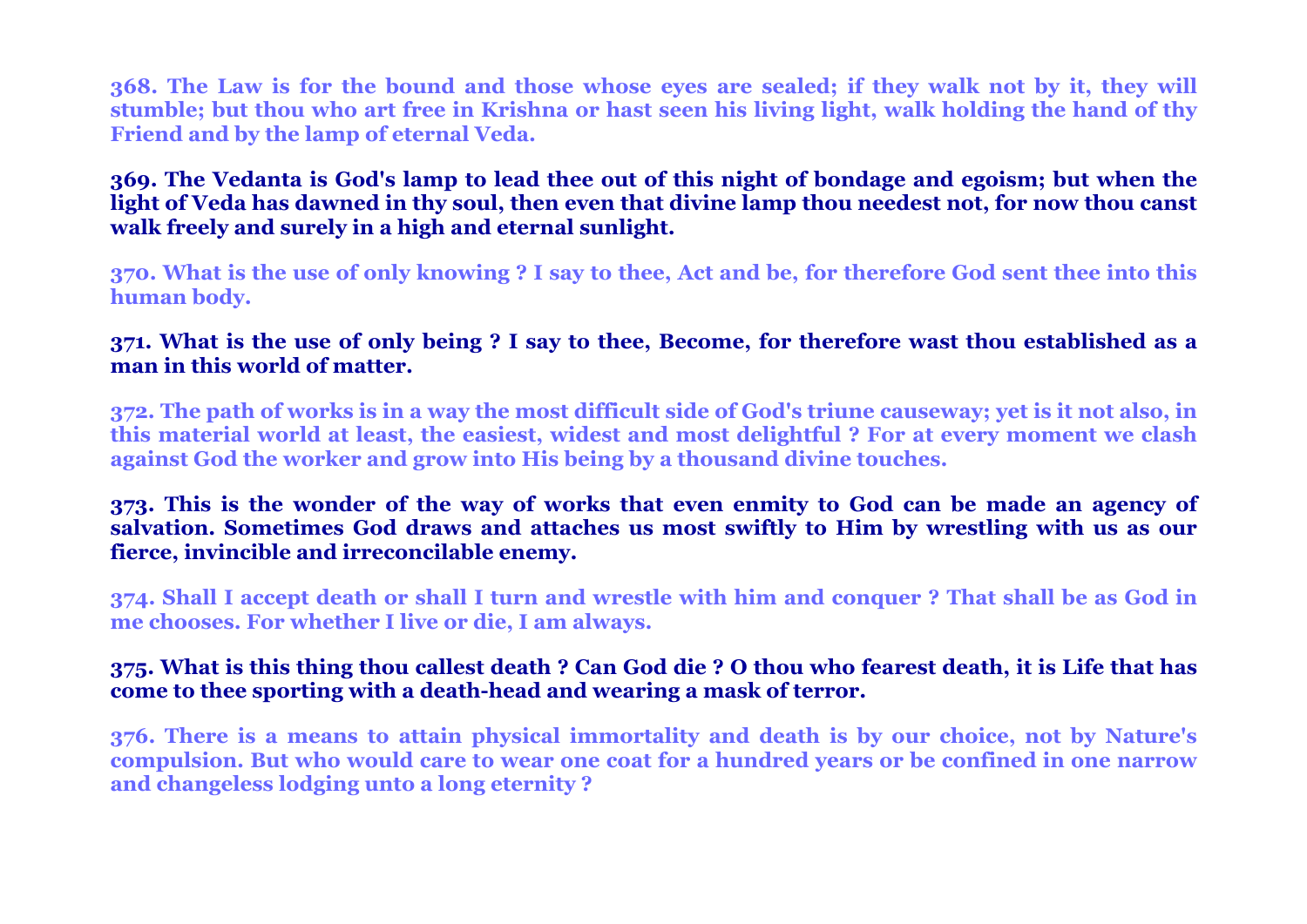**368. The Law is for the bound and those whose eyes are sealed; if they walk not by it, they will stumble; but thou who art free in Krishna or hast seen his living light, walk holding the hand of thy Friend and by the lamp of eternal Veda.**

#### **369. The Vedanta is God's lamp to lead thee out of this night of bondage and egoism; but when the**  light of Veda has dawned in thy soul, then even that divine lamp thou needest not, for now thou canst **walk freely and surely in a high and eternal sunlight.**

**370. What is the use of only knowing ? I say to thee, Act and be, for therefore God sent thee into this human body.**

# **371. What is the use of only being ? I say to thee, Become, for therefore wast thou established as a man in this world of matter.**

**372. The path of works is in a way the most difficult side of God's triune causeway; yet is it not also, in this material world at least, the easiest, widest and most delightful ? For at every moment we clash against God the worker and grow into His being by a thousand divine touches.**

#### **373. This is the wonder of the way of works that even enmity to God can be made an agency of salvation. Sometimes God draws and attaches us most swiftly to Him by wrestling with us as our fierce, invincible and irreconcilable enemy.**

**374. Shall I accept death or shall I turn and wrestle with him and conquer ? That shall be as God in me chooses. For whether I live or die, I am always.**

#### **375. What is this thing thou callest death ? Can God die ? O thou who fearest death, it is Life that has come to thee sporting with a death-head and wearing a mask of terror.**

**376. There is a means to attain physical immortality and death is by our choice, not by Nature's compulsion. But who would care to wear one coat for a hundred years or be confined in one narrow and changeless lodging unto a long eternity ?**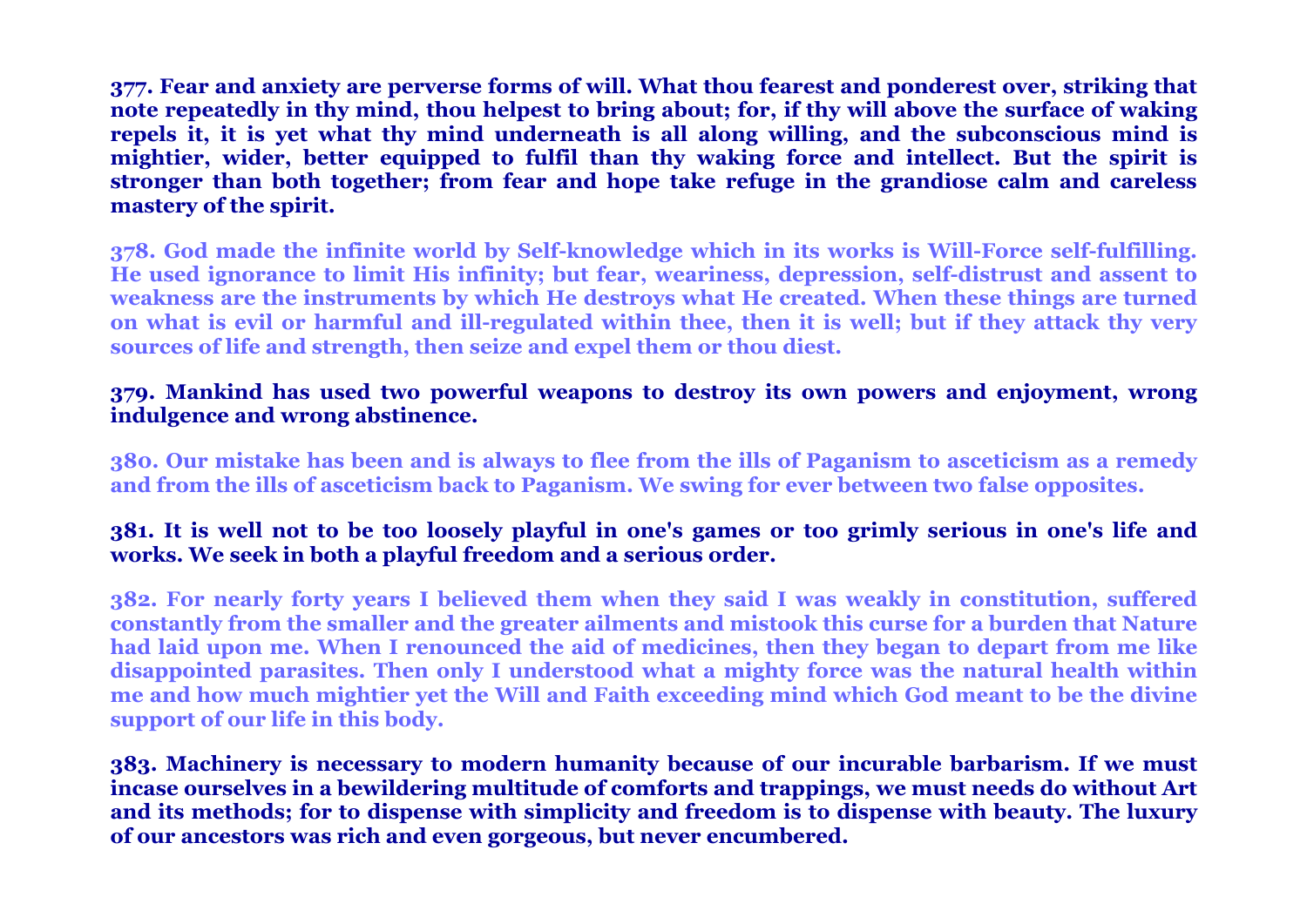**377. Fear and anxiety are perverse forms of will. What thou fearest and ponderest over, striking that note repeatedly in thy mind, thou helpest to bring about; for, if thy will above the surface of waking repels it, it is yet what thy mind underneath is all along willing, and the subconscious mind is mightier, wider, better equipped to fulfil than thy waking force and intellect. But the spirit is stronger than both together; from fear and hope take refuge in the grandiose calm and careless mastery of the spirit.**

**378. God made the infinite world by Self-knowledge which in its works is Will-Force self-fulfilling. He used ignorance to limit His infinity; but fear, weariness, depression, self-distrust and assent to weakness are the instruments by which He destroys what He created. When these things are turned on what is evil or harmful and ill-regulated within thee, then it is well; but if they attack thy very sources of life and strength, then seize and expel them or thou diest.**

#### **379. Mankind has used two powerful weapons to destroy its own powers and enjoyment, wrong indulgence and wrong abstinence.**

**380. Our mistake has been and is always to flee from the ills of Paganism to asceticism as a remedy and from the ills of asceticism back to Paganism. We swing for ever between two false opposites.**

# **381. It is well not to be too loosely playful in one's games or too grimly serious in one's life and works. We seek in both a playful freedom and a serious order.**

**382. For nearly forty years I believed them when they said I was weakly in constitution, suffered constantly from the smaller and the greater ailments and mistook this curse for a burden that Nature had laid upon me. When I renounced the aid of medicines, then they began to depart from me like disappointed parasites. Then only I understood what a mighty force was the natural health within me and how much mightier yet the Will and Faith exceeding mind which God meant to be the divine support of our life in this body.**

**383. Machinery is necessary to modern humanity because of our incurable barbarism. If we must incase ourselves in a bewildering multitude of comforts and trappings, we must needs do without Art and its methods; for to dispense with simplicity and freedom is to dispense with beauty. The luxury of our ancestors was rich and even gorgeous, but never encumbered.**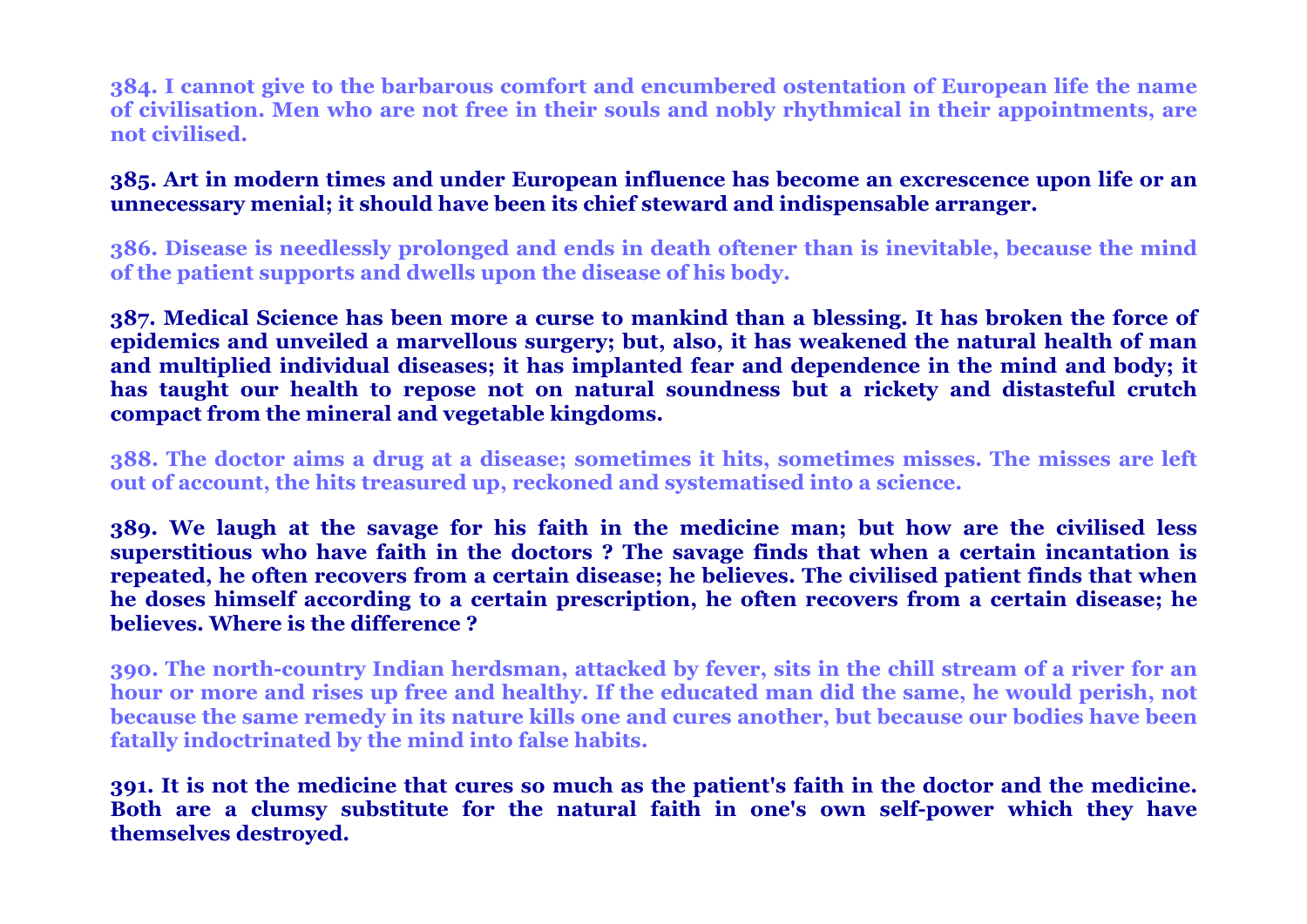**384. I cannot give to the barbarous comfort and encumbered ostentation of European life the name of civilisation. Men who are not free in their souls and nobly rhythmical in their appointments, are not civilised.**

#### **385. Art in modern times and under European influence has become an excrescence upon life or an unnecessary menial; it should have been its chief steward and indispensable arranger.**

**386. Disease is needlessly prolonged and ends in death oftener than is inevitable, because the mind of the patient supports and dwells upon the disease of his body.**

**387. Medical Science has been more a curse to mankind than a blessing. It has broken the force of epidemics and unveiled a marvellous surgery; but, also, it has weakened the natural health of man and multiplied individual diseases; it has implanted fear and dependence in the mind and body; it has taught our health to repose not on natural soundness but a rickety and distasteful crutch compact from the mineral and vegetable kingdoms.**

**388. The doctor aims a drug at a disease; sometimes it hits, sometimes misses. The misses are left out of account, the hits treasured up, reckoned and systematised into a science.**

**389. We laugh at the savage for his faith in the medicine man; but how are the civilised less superstitious who have faith in the doctors ? The savage finds that when a certain incantation is repeated, he often recovers from a certain disease; he believes. The civilised patient finds that when he doses himself according to a certain prescription, he often recovers from a certain disease; he believes. Where is the difference ?**

**390. The north-country Indian herdsman, attacked by fever, sits in the chill stream of a river for an hour or more and rises up free and healthy. If the educated man did the same, he would perish, not because the same remedy in its nature kills one and cures another, but because our bodies have been fatally indoctrinated by the mind into false habits.**

**391. It is not the medicine that cures so much as the patient's faith in the doctor and the medicine. Both are a clumsy substitute for the natural faith in one's own self-power which they have themselves destroyed.**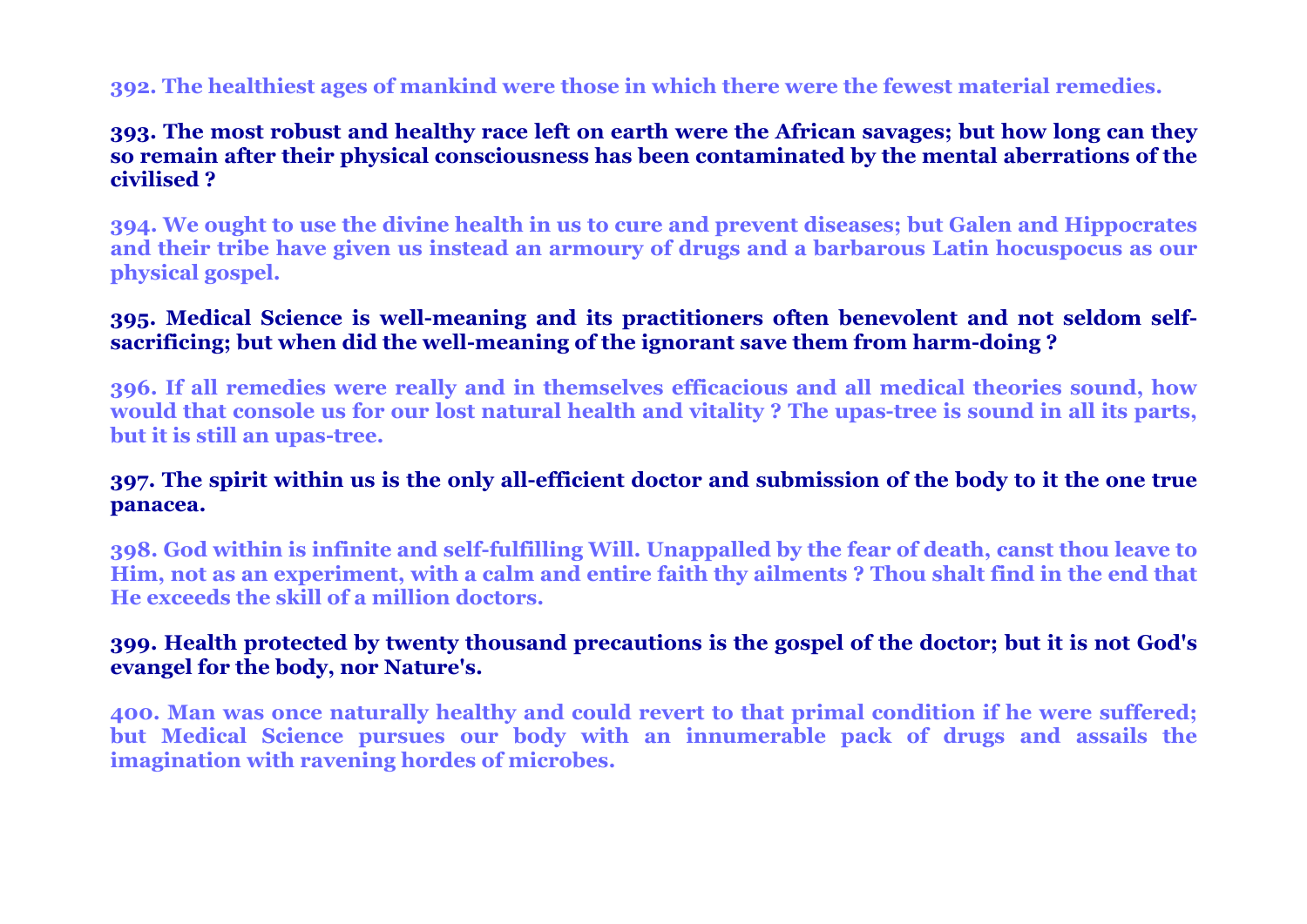**392. The healthiest ages of mankind were those in which there were the fewest material remedies.**

#### **393. The most robust and healthy race left on earth were the African savages; but how long can they so remain after their physical consciousness has been contaminated by the mental aberrations of the civilised ?**

**394. We ought to use the divine health in us to cure and prevent diseases; but Galen and Hippocrates and their tribe have given us instead an armoury of drugs and a barbarous Latin hocuspocus as our physical gospel.**

# **395. Medical Science is well-meaning and its practitioners often benevolent and not seldom selfsacrificing; but when did the well-meaning of the ignorant save them from harm-doing ?**

**396. If all remedies were really and in themselves efficacious and all medical theories sound, how would that console us for our lost natural health and vitality ? The upas-tree is sound in all its parts, but it is still an upas-tree.**

# **397. The spirit within us is the only all-efficient doctor and submission of the body to it the one true panacea.**

**398. God within is infinite and self-fulfilling Will. Unappalled by the fear of death, canst thou leave to Him, not as an experiment, with a calm and entire faith thy ailments ? Thou shalt find in the end that He exceeds the skill of a million doctors.**

# **399. Health protected by twenty thousand precautions is the gospel of the doctor; but it is not God's evangel for the body, nor Nature's.**

**400. Man was once naturally healthy and could revert to that primal condition if he were suffered; but Medical Science pursues our body with an innumerable pack of drugs and assails the imagination with ravening hordes of microbes.**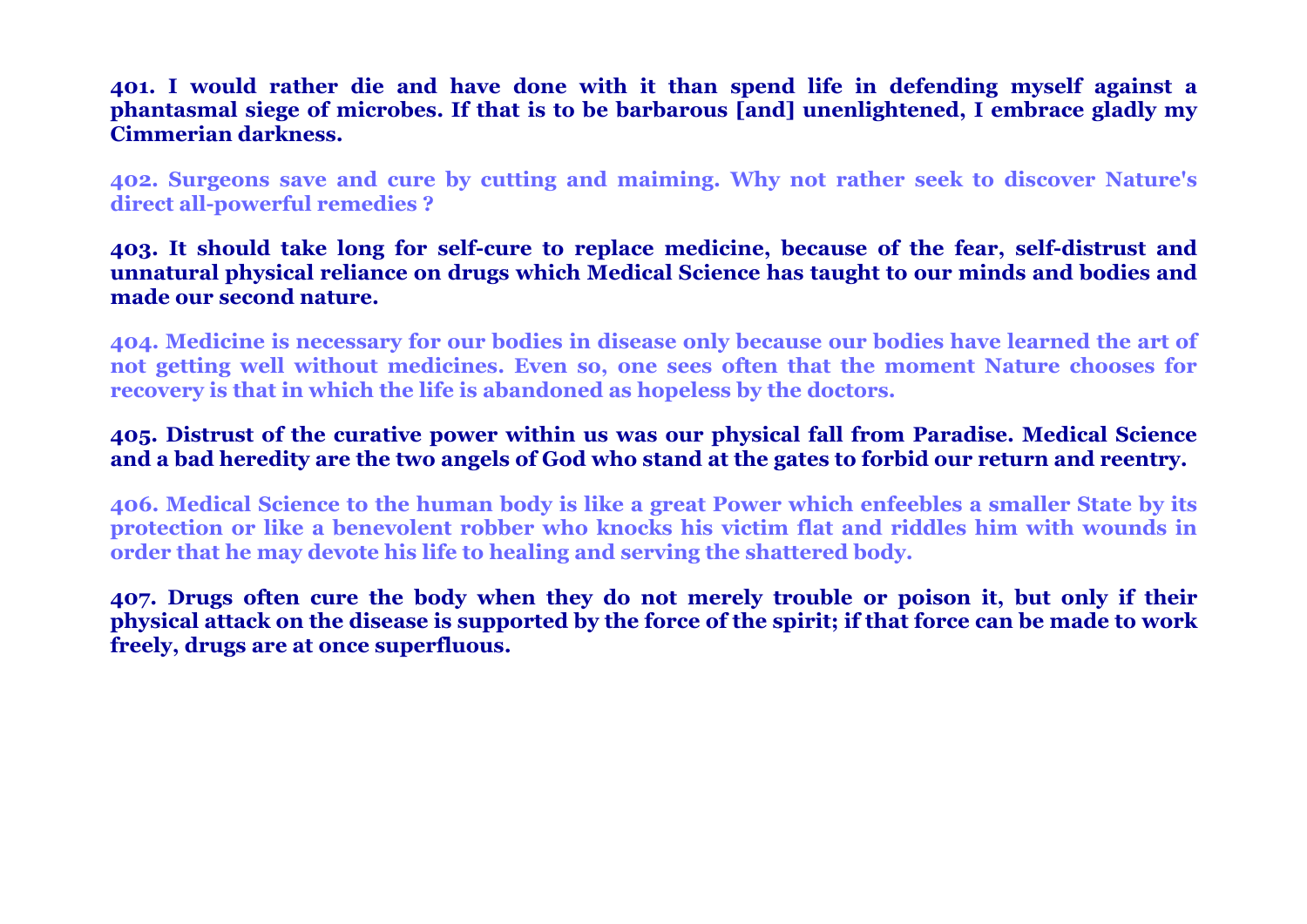#### **401. I would rather die and have done with it than spend life in defending myself against a phantasmal siege of microbes. If that is to be barbarous [and] unenlightened, I embrace gladly my Cimmerian darkness.**

**402. Surgeons save and cure by cutting and maiming. Why not rather seek to discover Nature's direct all-powerful remedies ?** 

#### **403. It should take long for self-cure to replace medicine, because of the fear, self-distrust and unnatural physical reliance on drugs which Medical Science has taught to our minds and bodies and made our second nature.**

**404. Medicine is necessary for our bodies in disease only because our bodies have learned the art of not getting well without medicines. Even so, one sees often that the moment Nature chooses for recovery is that in which the life is abandoned as hopeless by the doctors.**

# **405. Distrust of the curative power within us was our physical fall from Paradise. Medical Science and a bad heredity are the two angels of God who stand at the gates to forbid our return and reentry.**

**406. Medical Science to the human body is like a great Power which enfeebles a smaller State by its protection or like a benevolent robber who knocks his victim flat and riddles him with wounds in order that he may devote his life to healing and serving the shattered body.**

**407. Drugs often cure the body when they do not merely trouble or poison it, but only if their physical attack on the disease is supported by the force of the spirit; if that force can be made to work freely, drugs are at once superfluous.**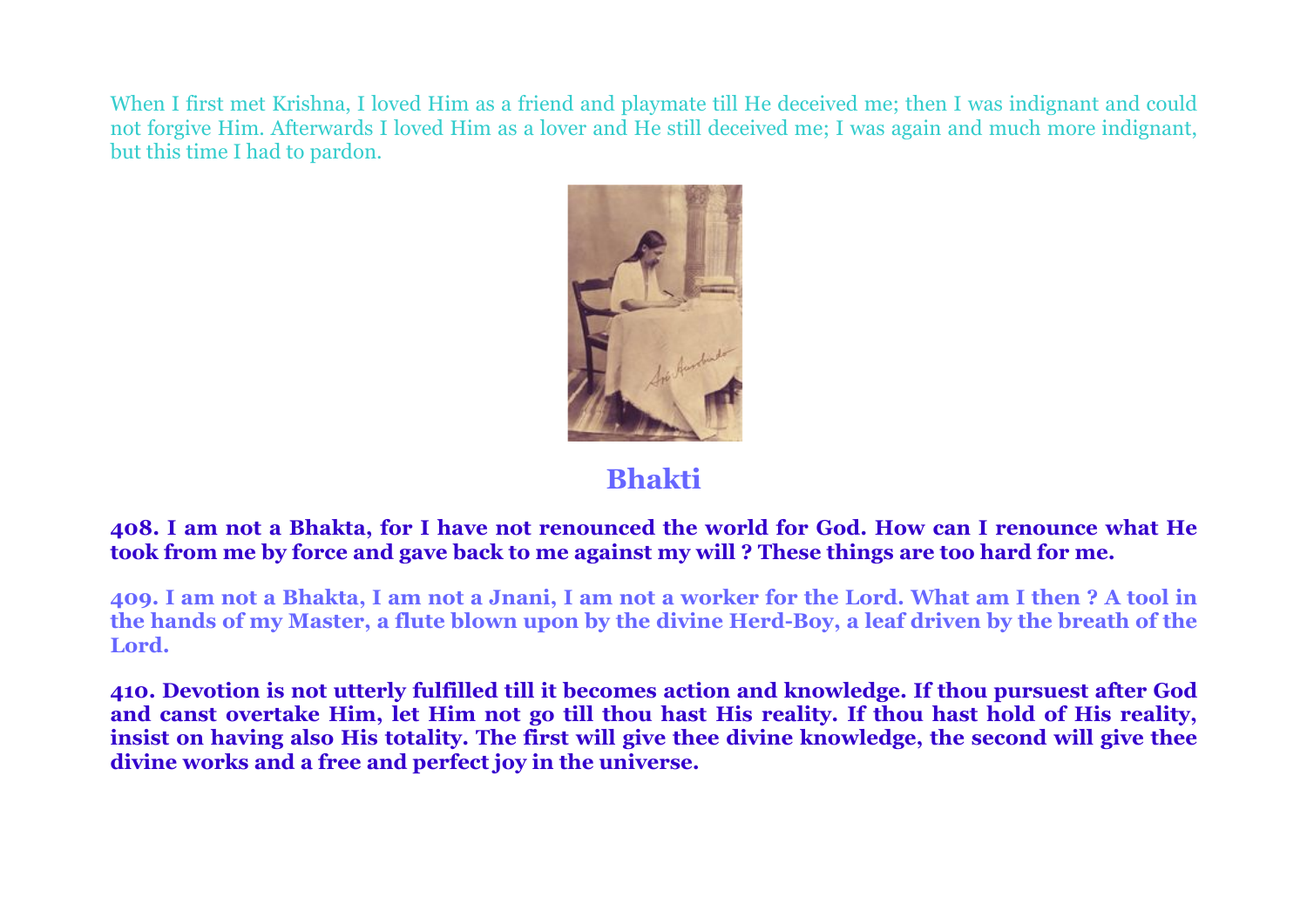When I first met Krishna, I loved Him as a friend and playmate till He deceived me; then I was indignant and could not forgive Him. Afterwards I loved Him as a lover and He still deceived me; I was again and much more indignant, but this time I had to pardon.



# **Bhakti**

**408. I am not a Bhakta, for I have not renounced the world for God. How can I renounce what He took from me by force and gave back to me against my will ? These things are too hard for me.**

**409. I am not a Bhakta, I am not a Jnani, I am not a worker for the Lord. What am I then ? A tool in the hands of my Master, a flute blown upon by the divine Herd-Boy, a leaf driven by the breath of the Lord.**

**410. Devotion is not utterly fulfilled till it becomes action and knowledge. If thou pursuest after God and canst overtake Him, let Him not go till thou hast His reality. If thou hast hold of His reality, insist on having also His totality. The first will give thee divine knowledge, the second will give thee divine works and a free and perfect joy in the universe.**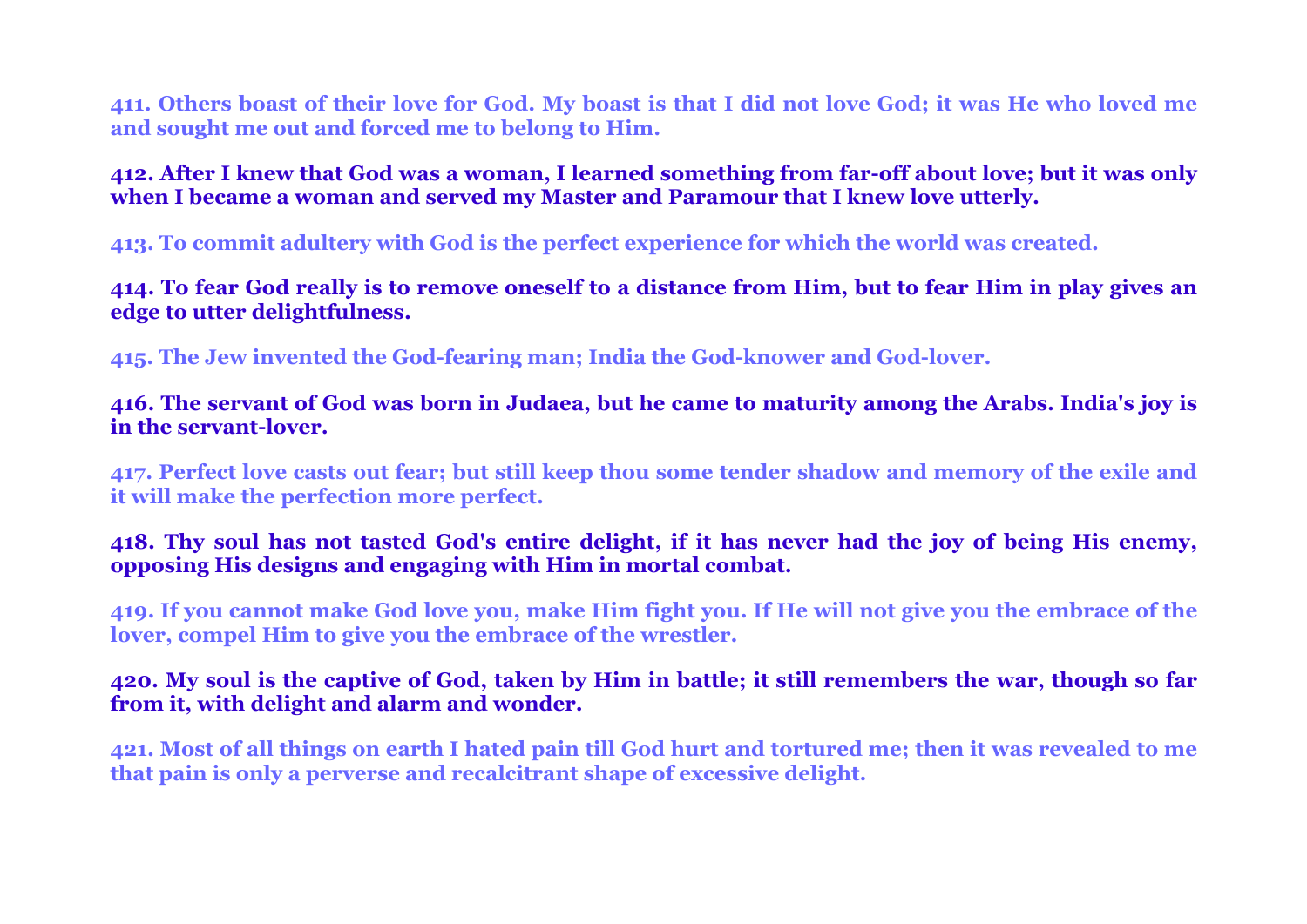**411. Others boast of their love for God. My boast is that I did not love God; it was He who loved me and sought me out and forced me to belong to Him.**

# **412. After I knew that God was a woman, I learned something from far-off about love; but it was only when I became a woman and served my Master and Paramour that I knew love utterly.**

**413. To commit adultery with God is the perfect experience for which the world was created.**

**414. To fear God really is to remove oneself to a distance from Him, but to fear Him in play gives an edge to utter delightfulness.**

**415. The Jew invented the God-fearing man; India the God-knower and God-lover.**

**416. The servant of God was born in Judaea, but he came to maturity among the Arabs. India's joy is in the servant-lover.**

**417. Perfect love casts out fear; but still keep thou some tender shadow and memory of the exile and it will make the perfection more perfect.**

# **418. Thy soul has not tasted God's entire delight, if it has never had the joy of being His enemy, opposing His designs and engaging with Him in mortal combat.**

**419. If you cannot make God love you, make Him fight you. If He will not give you the embrace of the lover, compel Him to give you the embrace of the wrestler.**

# **420. My soul is the captive of God, taken by Him in battle; it still remembers the war, though so far from it, with delight and alarm and wonder.**

**421. Most of all things on earth I hated pain till God hurt and tortured me; then it was revealed to me that pain is only a perverse and recalcitrant shape of excessive delight.**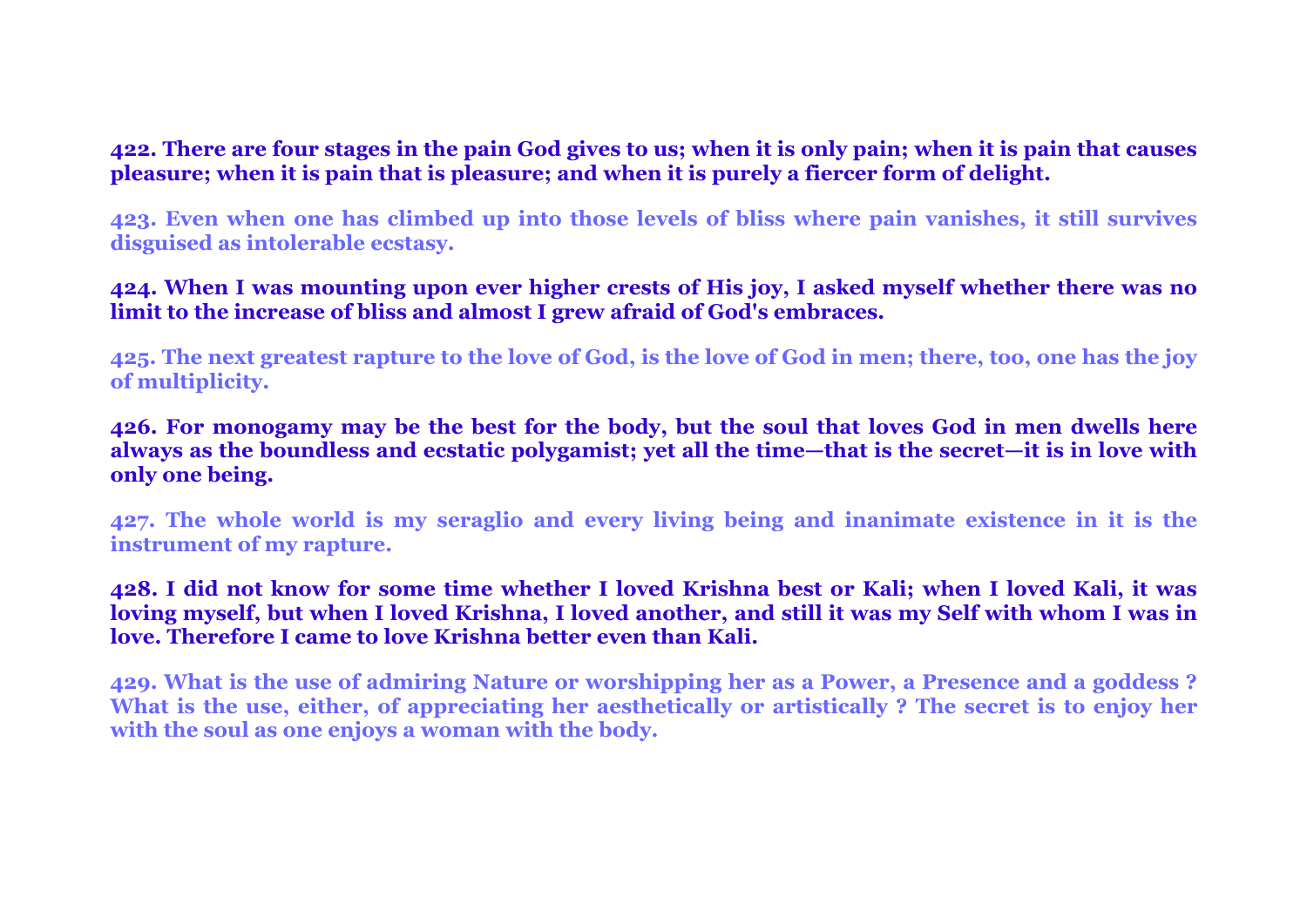# **422. There are four stages in the pain God gives to us; when it is only pain; when it is pain that causes pleasure; when it is pain that is pleasure; and when it is purely a fiercer form of delight.**

**423. Even when one has climbed up into those levels of bliss where pain vanishes, it still survives disguised as intolerable ecstasy.**

#### **424. When I was mounting upon ever higher crests of His joy, I asked myself whether there was no limit to the increase of bliss and almost I grew afraid of God's embraces.**

**425. The next greatest rapture to the love of God, is the love of God in men; there, too, one has the joy of multiplicity.**

#### **426. For monogamy may be the best for the body, but the soul that loves God in men dwells here always as the boundless and ecstatic polygamist; yet all the time—that is the secret—it is in love with only one being.**

**427. The whole world is my seraglio and every living being and inanimate existence in it is the instrument of my rapture.**

# **428. I did not know for some time whether I loved Krishna best or Kali; when I loved Kali, it was loving myself, but when I loved Krishna, I loved another, and still it was my Self with whom I was in love. Therefore I came to love Krishna better even than Kali.**

**429. What is the use of admiring Nature or worshipping her as a Power, a Presence and a goddess ? What is the use, either, of appreciating her aesthetically or artistically ? The secret is to enjoy her with the soul as one enjoys a woman with the body.**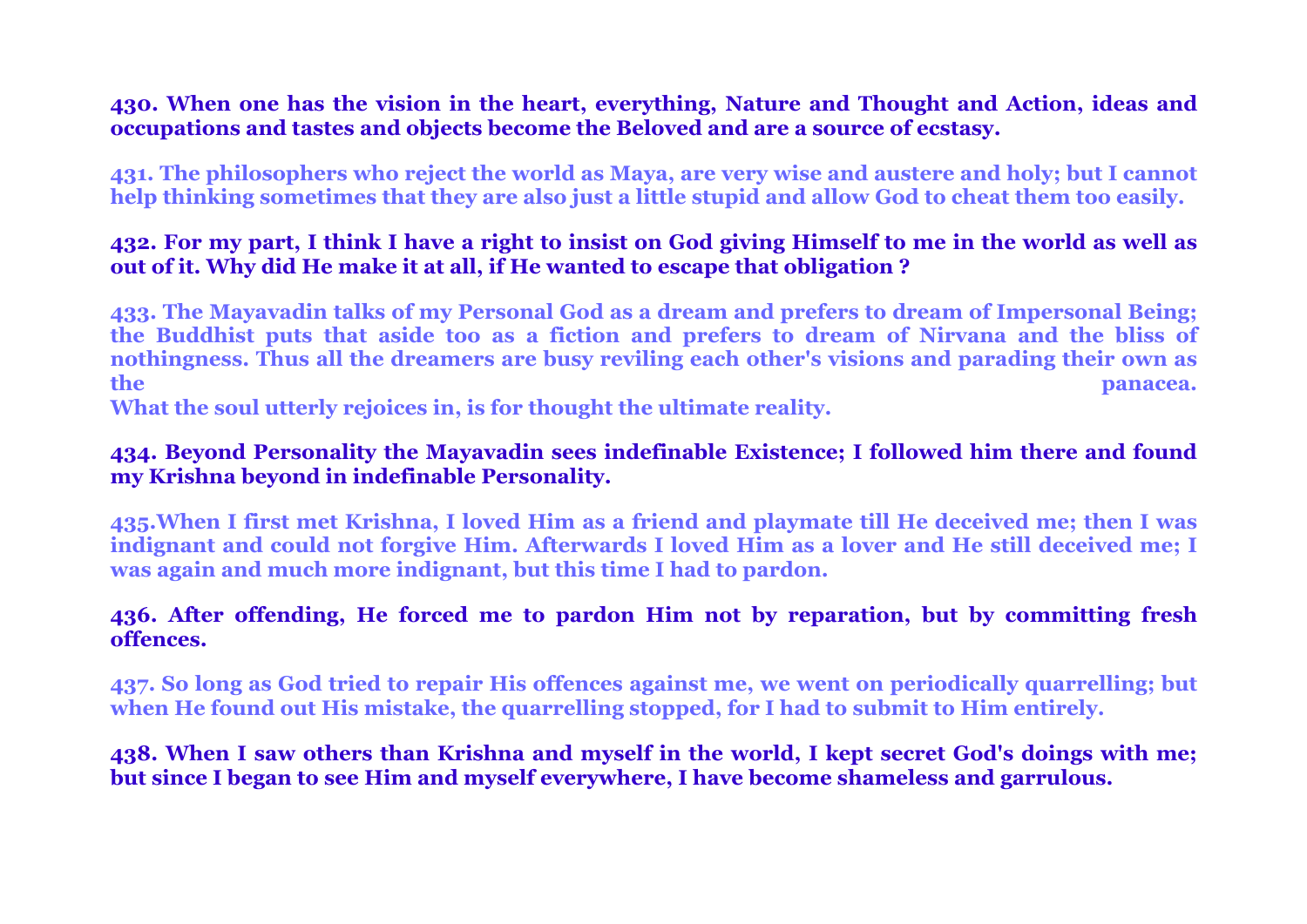#### **430. When one has the vision in the heart, everything, Nature and Thought and Action, ideas and occupations and tastes and objects become the Beloved and are a source of ecstasy.**

**431. The philosophers who reject the world as Maya, are very wise and austere and holy; but I cannot help thinking sometimes that they are also just a little stupid and allow God to cheat them too easily.**

#### **432. For my part, I think I have a right to insist on God giving Himself to me in the world as well as out of it. Why did He make it at all, if He wanted to escape that obligation ?**

**433. The Mayavadin talks of my Personal God as a dream and prefers to dream of Impersonal Being; the Buddhist puts that aside too as a fiction and prefers to dream of Nirvana and the bliss of nothingness. Thus all the dreamers are busy reviling each other's visions and parading their own as the panacea.**

**What the soul utterly rejoices in, is for thought the ultimate reality.**

# **434. Beyond Personality the Mayavadin sees indefinable Existence; I followed him there and found my Krishna beyond in indefinable Personality.**

**435.When I first met Krishna, I loved Him as a friend and playmate till He deceived me; then I was indignant and could not forgive Him. Afterwards I loved Him as a lover and He still deceived me; I was again and much more indignant, but this time I had to pardon.**

# **436. After offending, He forced me to pardon Him not by reparation, but by committing fresh offences.**

**437. So long as God tried to repair His offences against me, we went on periodically quarrelling; but when He found out His mistake, the quarrelling stopped, for I had to submit to Him entirely.**

**438. When I saw others than Krishna and myself in the world, I kept secret God's doings with me; but since I began to see Him and myself everywhere, I have become shameless and garrulous.**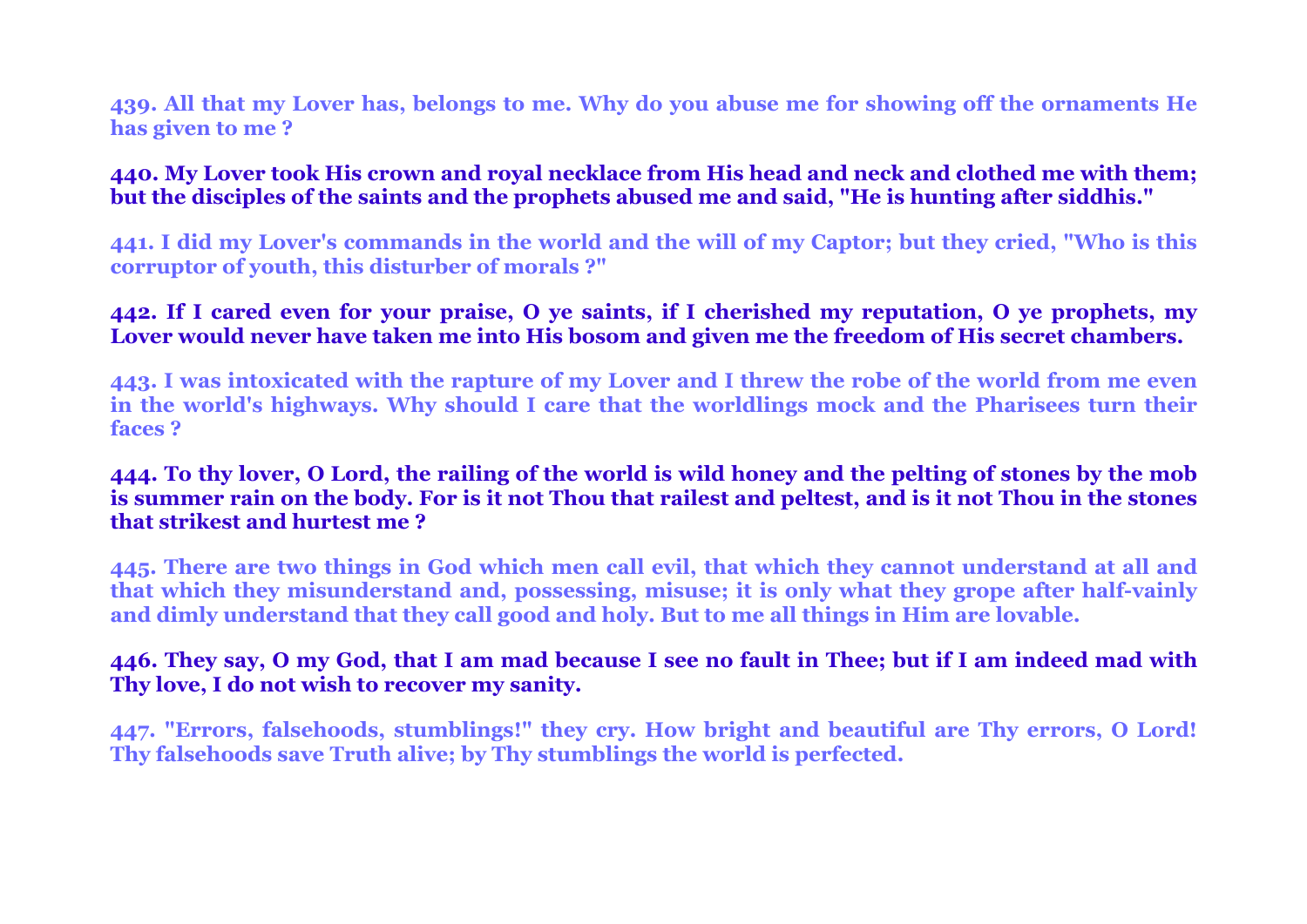#### **439. All that my Lover has, belongs to me. Why do you abuse me for showing off the ornaments He has given to me ?**

# **440. My Lover took His crown and royal necklace from His head and neck and clothed me with them; but the disciples of the saints and the prophets abused me and said, "He is hunting after siddhis."**

**441. I did my Lover's commands in the world and the will of my Captor; but they cried, "Who is this corruptor of youth, this disturber of morals ?"** 

# **442. If I cared even for your praise, O ye saints, if I cherished my reputation, O ye prophets, my Lover would never have taken me into His bosom and given me the freedom of His secret chambers.**

**443. I was intoxicated with the rapture of my Lover and I threw the robe of the world from me even in the world's highways. Why should I care that the worldlings mock and the Pharisees turn their faces ?** 

#### **444. To thy lover, O Lord, the railing of the world is wild honey and the pelting of stones by the mob is summer rain on the body. For is it not Thou that railest and peltest, and is it not Thou in the stones that strikest and hurtest me ?**

**445. There are two things in God which men call evil, that which they cannot understand at all and that which they misunderstand and, possessing, misuse; it is only what they grope after half-vainly and dimly understand that they call good and holy. But to me all things in Him are lovable.**

# **446. They say, O my God, that I am mad because I see no fault in Thee; but if I am indeed mad with Thy love, I do not wish to recover my sanity.**

**447. "Errors, falsehoods, stumblings!" they cry. How bright and beautiful are Thy errors, O Lord! Thy falsehoods save Truth alive; by Thy stumblings the world is perfected.**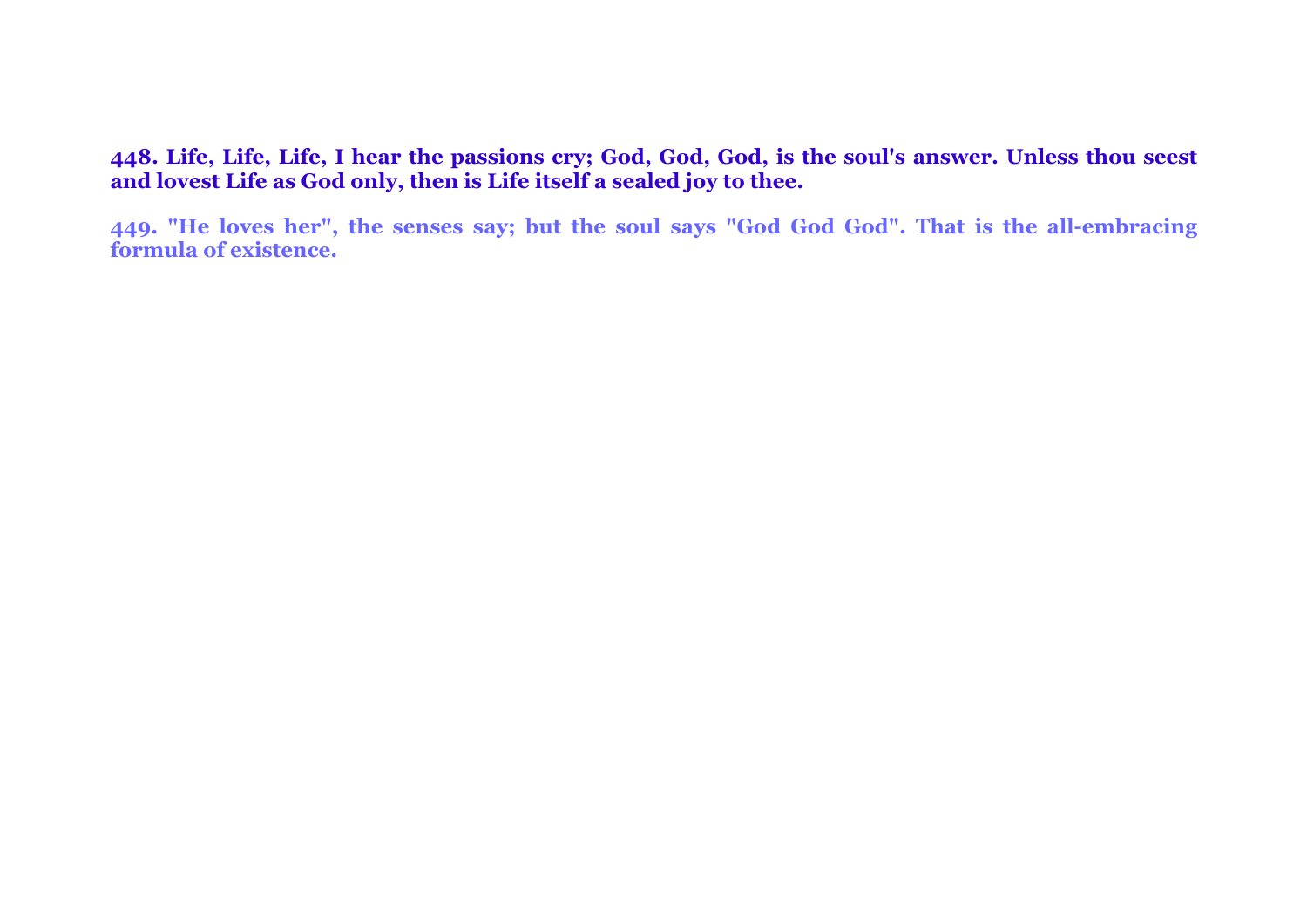# **448. Life, Life, Life, I hear the passions cry; God, God, God, is the soul's answer. Unless thou seest and lovest Life as God only, then is Life itself a sealed joy to thee.**

**449. "He loves her", the senses say; but the soul says "God God God". That is the all-embracing formula of existence.**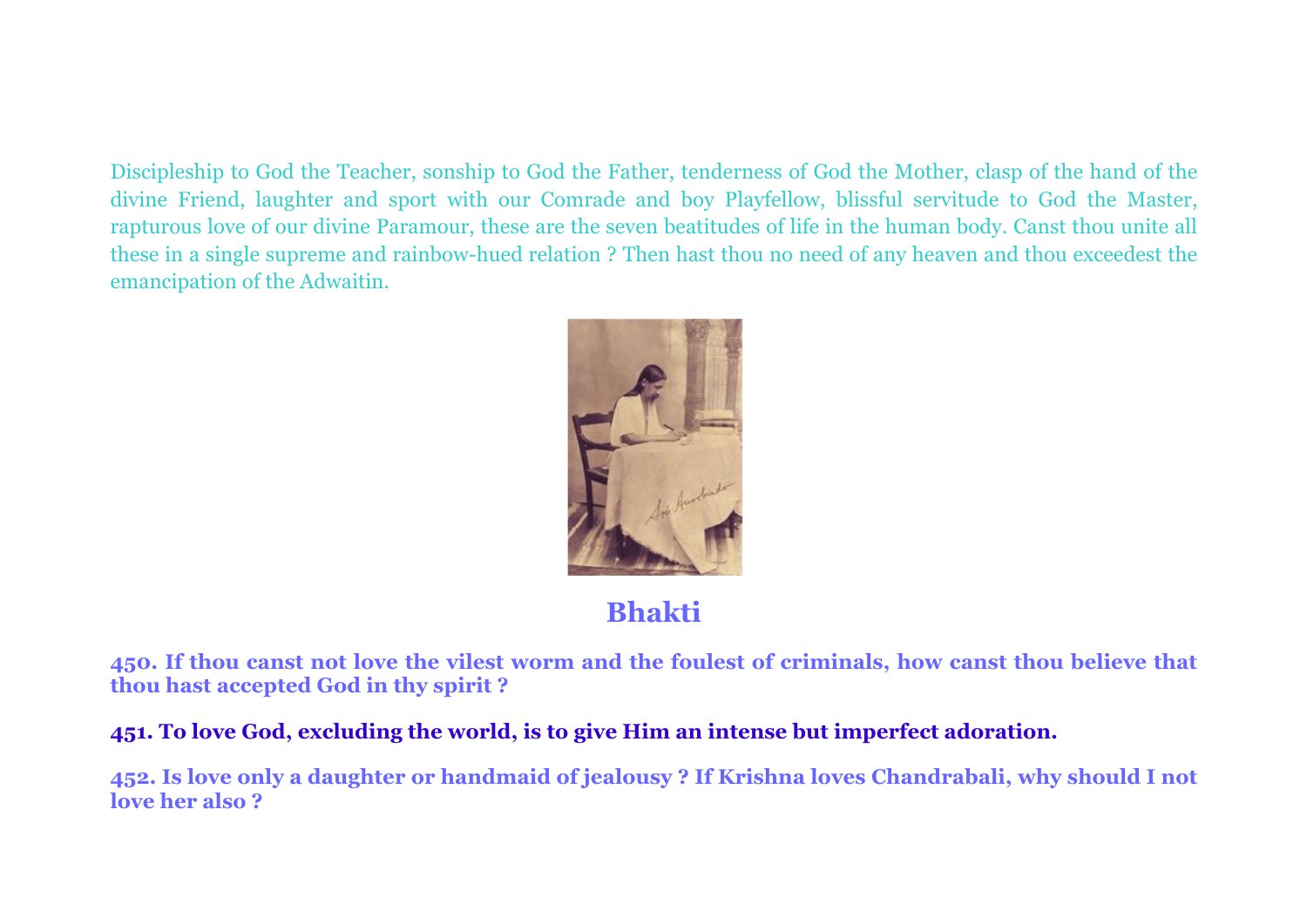Discipleship to God the Teacher, sonship to God the Father, tenderness of God the Mother, clasp of the hand of the divine Friend, laughter and sport with our Comrade and boy Playfellow, blissful servitude to God the Master, rapturous love of our divine Paramour, these are the seven beatitudes of life in the human body. Canst thou unite all these in a single supreme and rainbow-hued relation ? Then hast thou no need of any heaven and thou exceedest the emancipation of the Adwaitin.



# **Bhakti**

**450. If thou canst not love the vilest worm and the foulest of criminals, how canst thou believe that thou hast accepted God in thy spirit ?**

**451. To love God, excluding the world, is to give Him an intense but imperfect adoration.**

**452. Is love only a daughter or handmaid of jealousy ? If Krishna loves Chandrabali, why should I not love her also ?**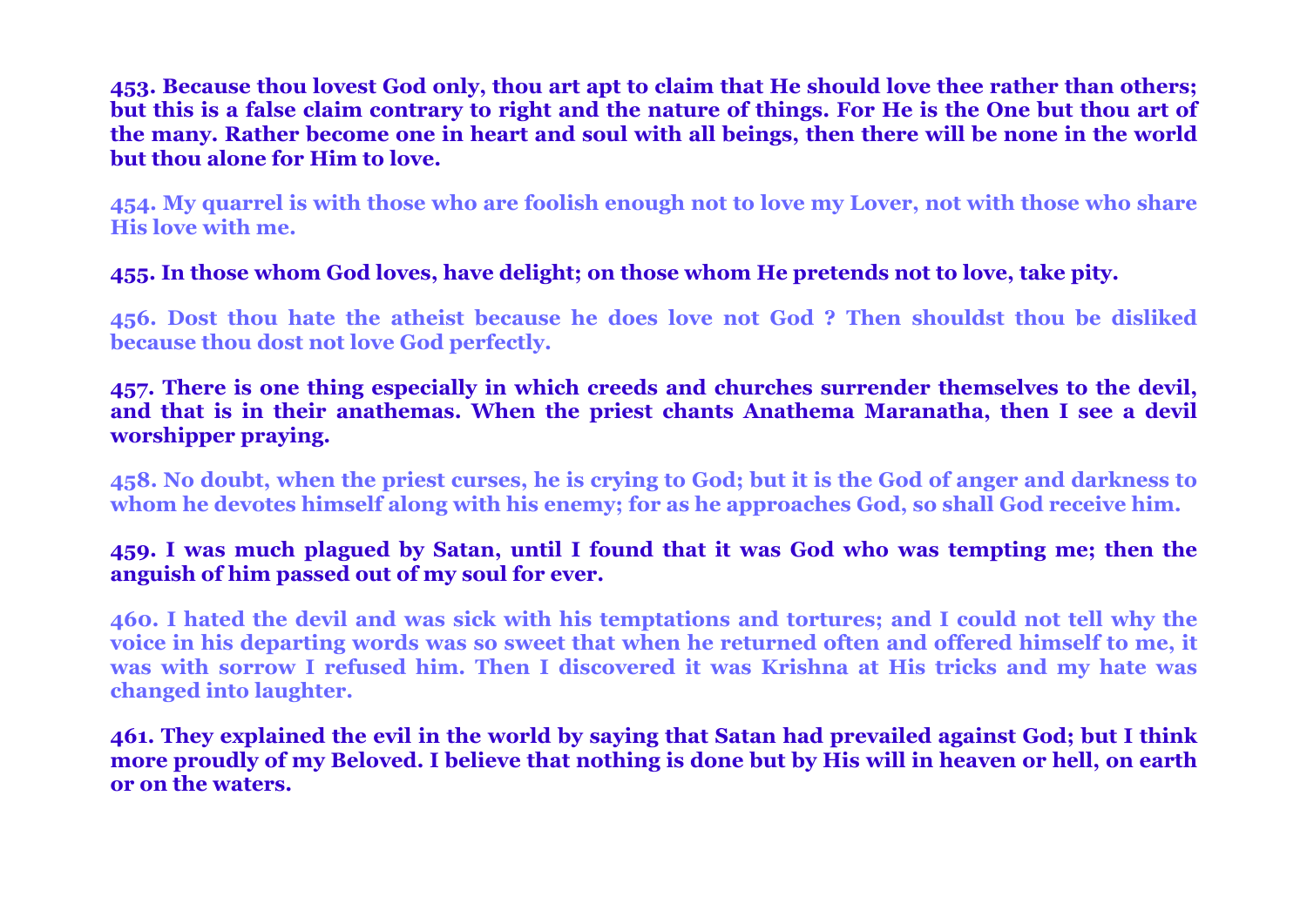**453. Because thou lovest God only, thou art apt to claim that He should love thee rather than others; but this is a false claim contrary to right and the nature of things. For He is the One but thou art of the many. Rather become one in heart and soul with all beings, then there will be none in the world but thou alone for Him to love.**

**454. My quarrel is with those who are foolish enough not to love my Lover, not with those who share His love with me.**

**455. In those whom God loves, have delight; on those whom He pretends not to love, take pity.**

**456. Dost thou hate the atheist because he does love not God ? Then shouldst thou be disliked because thou dost not love God perfectly.**

**457. There is one thing especially in which creeds and churches surrender themselves to the devil, and that is in their anathemas. When the priest chants Anathema Maranatha, then I see a devil worshipper praying.**

**458. No doubt, when the priest curses, he is crying to God; but it is the God of anger and darkness to whom he devotes himself along with his enemy; for as he approaches God, so shall God receive him.**

# **459. I was much plagued by Satan, until I found that it was God who was tempting me; then the anguish of him passed out of my soul for ever.**

**460. I hated the devil and was sick with his temptations and tortures; and I could not tell why the voice in his departing words was so sweet that when he returned often and offered himself to me, it was with sorrow I refused him. Then I discovered it was Krishna at His tricks and my hate was changed into laughter.**

**461. They explained the evil in the world by saying that Satan had prevailed against God; but I think more proudly of my Beloved. I believe that nothing is done but by His will in heaven or hell, on earth or on the waters.**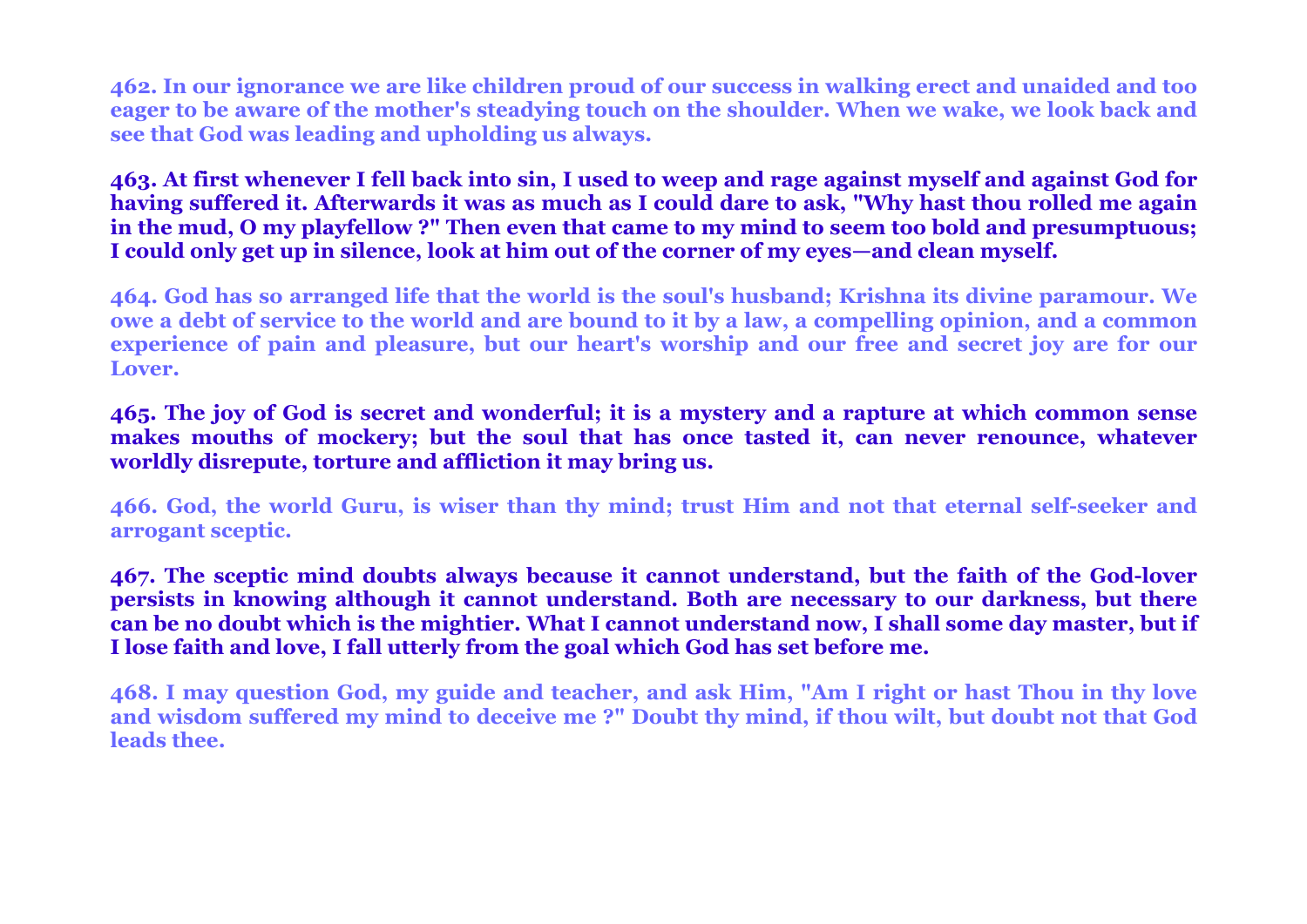**462. In our ignorance we are like children proud of our success in walking erect and unaided and too eager to be aware of the mother's steadying touch on the shoulder. When we wake, we look back and see that God was leading and upholding us always.**

**463. At first whenever I fell back into sin, I used to weep and rage against myself and against God for having suffered it. Afterwards it was as much as I could dare to ask, "Why hast thou rolled me again in the mud, O my playfellow ?" Then even that came to my mind to seem too bold and presumptuous; I could only get up in silence, look at him out of the corner of my eyes—and clean myself.**

**464. God has so arranged life that the world is the soul's husband; Krishna its divine paramour. We owe a debt of service to the world and are bound to it by a law, a compelling opinion, and a common experience of pain and pleasure, but our heart's worship and our free and secret joy are for our Lover.**

**465. The joy of God is secret and wonderful; it is a mystery and a rapture at which common sense makes mouths of mockery; but the soul that has once tasted it, can never renounce, whatever worldly disrepute, torture and affliction it may bring us.**

**466. God, the world Guru, is wiser than thy mind; trust Him and not that eternal self-seeker and arrogant sceptic.**

**467. The sceptic mind doubts always because it cannot understand, but the faith of the God-lover persists in knowing although it cannot understand. Both are necessary to our darkness, but there can be no doubt which is the mightier. What I cannot understand now, I shall some day master, but if I lose faith and love, I fall utterly from the goal which God has set before me.**

**468. I may question God, my guide and teacher, and ask Him, "Am I right or hast Thou in thy love and wisdom suffered my mind to deceive me ?" Doubt thy mind, if thou wilt, but doubt not that God leads thee.**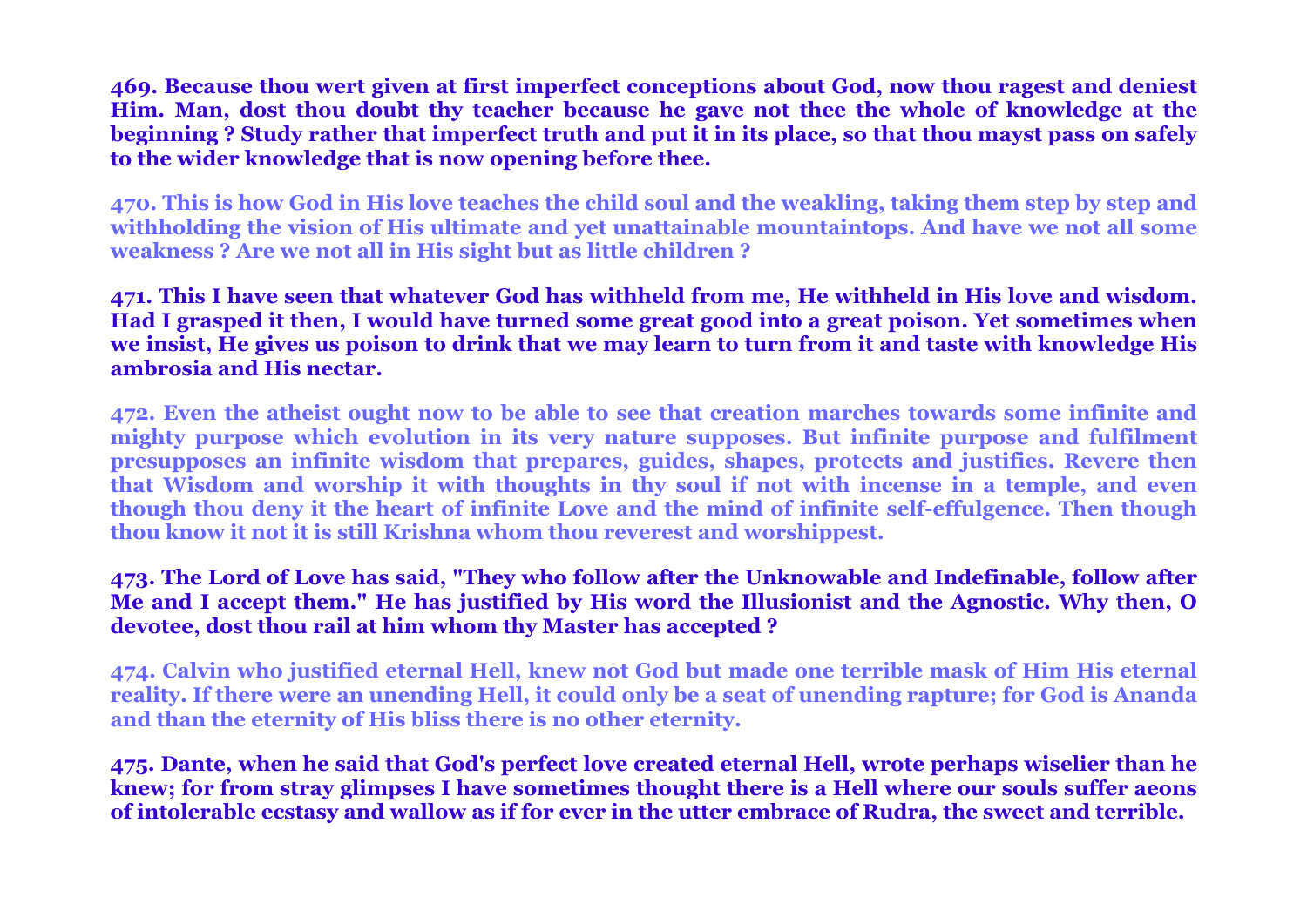**469. Because thou wert given at first imperfect conceptions about God, now thou ragest and deniest Him. Man, dost thou doubt thy teacher because he gave not thee the whole of knowledge at the beginning ? Study rather that imperfect truth and put it in its place, so that thou mayst pass on safely to the wider knowledge that is now opening before thee.**

**470. This is how God in His love teaches the child soul and the weakling, taking them step by step and withholding the vision of His ultimate and yet unattainable mountaintops. And have we not all some weakness ? Are we not all in His sight but as little children ?** 

**471. This I have seen that whatever God has withheld from me, He withheld in His love and wisdom. Had I grasped it then, I would have turned some great good into a great poison. Yet sometimes when we insist, He gives us poison to drink that we may learn to turn from it and taste with knowledge His ambrosia and His nectar.**

**472. Even the atheist ought now to be able to see that creation marches towards some infinite and mighty purpose which evolution in its very nature supposes. But infinite purpose and fulfilment presupposes an infinite wisdom that prepares, guides, shapes, protects and justifies. Revere then that Wisdom and worship it with thoughts in thy soul if not with incense in a temple, and even though thou deny it the heart of infinite Love and the mind of infinite self-effulgence. Then though thou know it not it is still Krishna whom thou reverest and worshippest.**

# **473. The Lord of Love has said, "They who follow after the Unknowable and Indefinable, follow after Me and I accept them." He has justified by His word the Illusionist and the Agnostic. Why then, O devotee, dost thou rail at him whom thy Master has accepted ?**

**474. Calvin who justified eternal Hell, knew not God but made one terrible mask of Him His eternal reality. If there were an unending Hell, it could only be a seat of unending rapture; for God is Ananda and than the eternity of His bliss there is no other eternity.**

**475. Dante, when he said that God's perfect love created eternal Hell, wrote perhaps wiselier than he knew; for from stray glimpses I have sometimes thought there is a Hell where our souls suffer aeons of intolerable ecstasy and wallow as if for ever in the utter embrace of Rudra, the sweet and terrible.**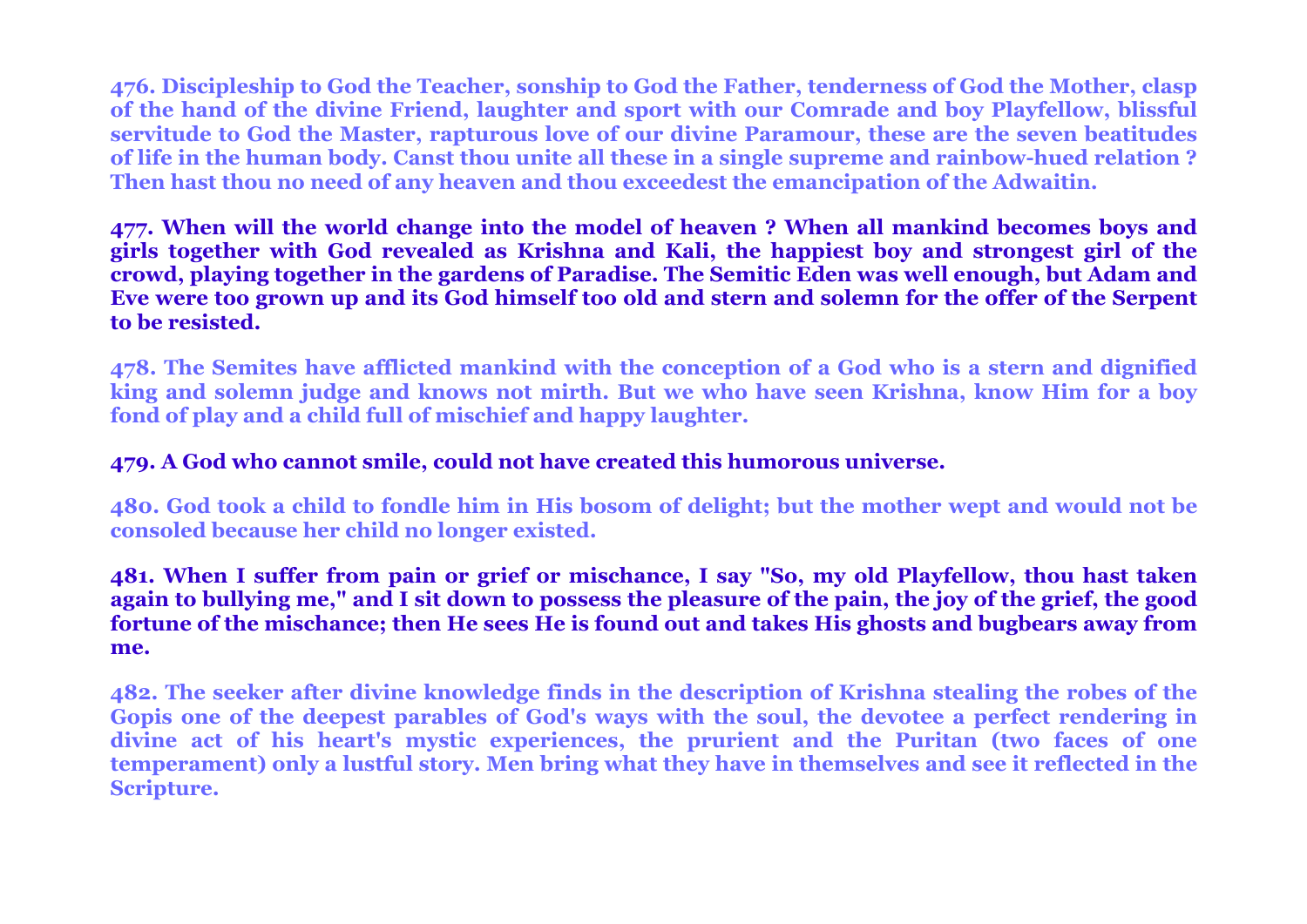**476. Discipleship to God the Teacher, sonship to God the Father, tenderness of God the Mother, clasp of the hand of the divine Friend, laughter and sport with our Comrade and boy Playfellow, blissful servitude to God the Master, rapturous love of our divine Paramour, these are the seven beatitudes of life in the human body. Canst thou unite all these in a single supreme and rainbow-hued relation ? Then hast thou no need of any heaven and thou exceedest the emancipation of the Adwaitin.**

**477. When will the world change into the model of heaven ? When all mankind becomes boys and girls together with God revealed as Krishna and Kali, the happiest boy and strongest girl of the crowd, playing together in the gardens of Paradise. The Semitic Eden was well enough, but Adam and Eve were too grown up and its God himself too old and stern and solemn for the offer of the Serpent to be resisted.**

**478. The Semites have afflicted mankind with the conception of a God who is a stern and dignified king and solemn judge and knows not mirth. But we who have seen Krishna, know Him for a boy fond of play and a child full of mischief and happy laughter.**

# **479. A God who cannot smile, could not have created this humorous universe.**

**480. God took a child to fondle him in His bosom of delight; but the mother wept and would not be consoled because her child no longer existed.**

# **481. When I suffer from pain or grief or mischance, I say "So, my old Playfellow, thou hast taken again to bullying me," and I sit down to possess the pleasure of the pain, the joy of the grief, the good fortune of the mischance; then He sees He is found out and takes His ghosts and bugbears away from me.**

**482. The seeker after divine knowledge finds in the description of Krishna stealing the robes of the Gopis one of the deepest parables of God's ways with the soul, the devotee a perfect rendering in divine act of his heart's mystic experiences, the prurient and the Puritan (two faces of one temperament) only a lustful story. Men bring what they have in themselves and see it reflected in the Scripture.**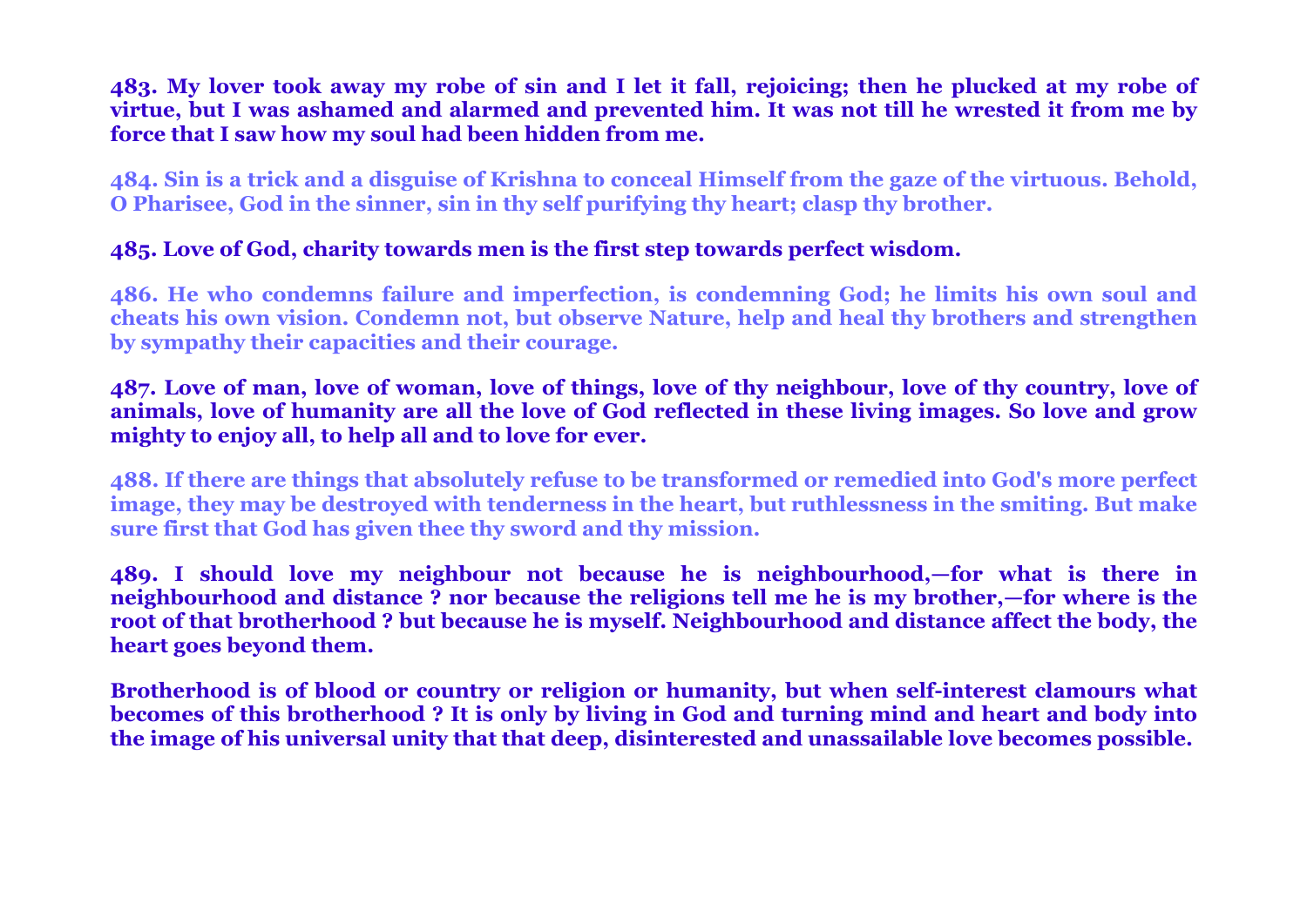**483. My lover took away my robe of sin and I let it fall, rejoicing; then he plucked at my robe of virtue, but I was ashamed and alarmed and prevented him. It was not till he wrested it from me by force that I saw how my soul had been hidden from me.**

**484. Sin is a trick and a disguise of Krishna to conceal Himself from the gaze of the virtuous. Behold, O Pharisee, God in the sinner, sin in thy self purifying thy heart; clasp thy brother.**

# **485. Love of God, charity towards men is the first step towards perfect wisdom.**

**486. He who condemns failure and imperfection, is condemning God; he limits his own soul and cheats his own vision. Condemn not, but observe Nature, help and heal thy brothers and strengthen by sympathy their capacities and their courage.**

# **487. Love of man, love of woman, love of things, love of thy neighbour, love of thy country, love of animals, love of humanity are all the love of God reflected in these living images. So love and grow mighty to enjoy all, to help all and to love for ever.**

**488. If there are things that absolutely refuse to be transformed or remedied into God's more perfect image, they may be destroyed with tenderness in the heart, but ruthlessness in the smiting. But make sure first that God has given thee thy sword and thy mission.**

**489. I should love my neighbour not because he is neighbourhood,—for what is there in neighbourhood and distance ? nor because the religions tell me he is my brother,—for where is the root of that brotherhood ? but because he is myself. Neighbourhood and distance affect the body, the heart goes beyond them.**

**Brotherhood is of blood or country or religion or humanity, but when self-interest clamours what becomes of this brotherhood ? It is only by living in God and turning mind and heart and body into the image of his universal unity that that deep, disinterested and unassailable love becomes possible.**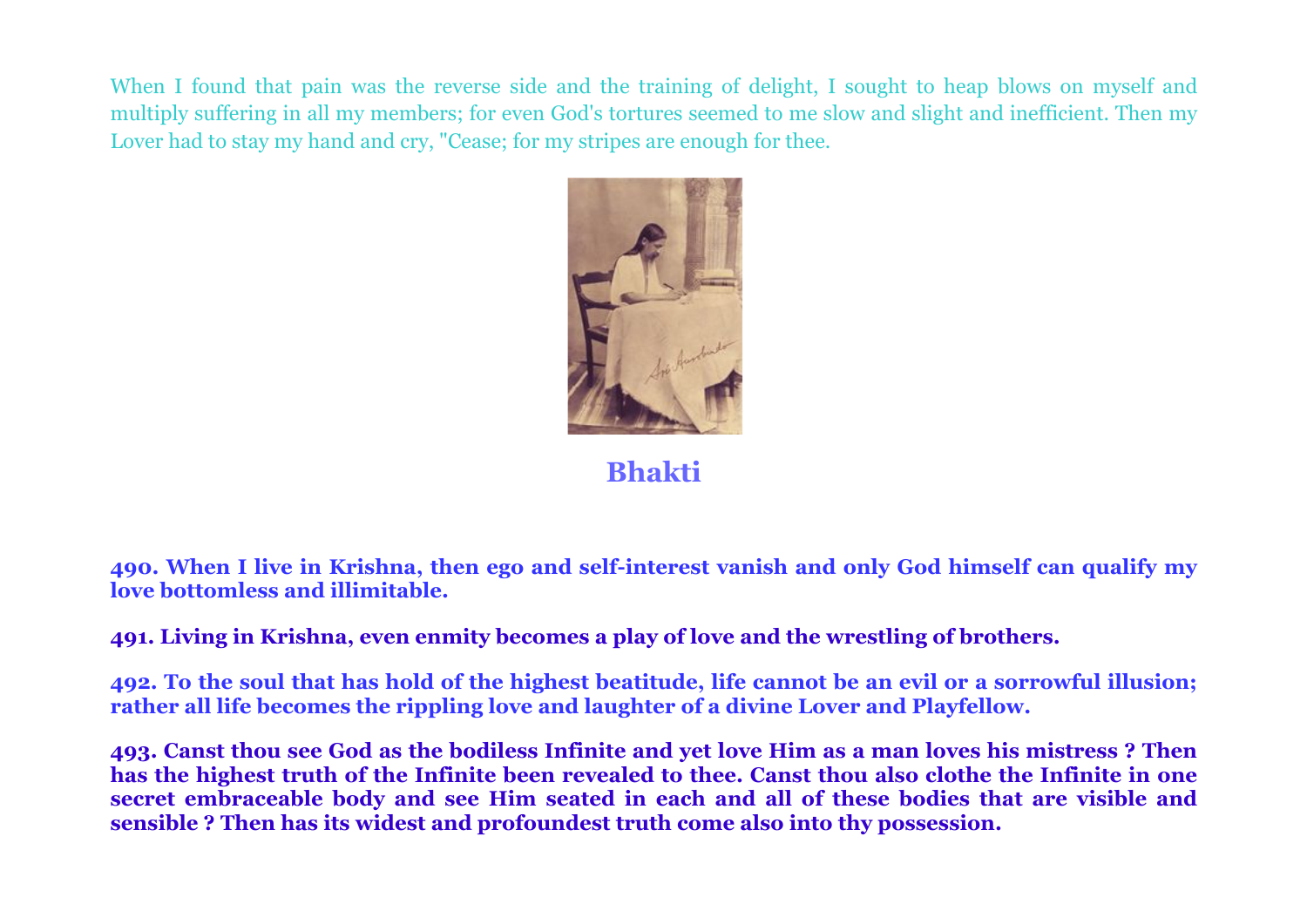When I found that pain was the reverse side and the training of delight, I sought to heap blows on myself and multiply suffering in all my members; for even God's tortures seemed to me slow and slight and inefficient. Then my Lover had to stay my hand and cry, "Cease; for my stripes are enough for thee.



**Bhakti**

**490. When I live in Krishna, then ego and self-interest vanish and only God himself can qualify my love bottomless and illimitable.**

**491. Living in Krishna, even enmity becomes a play of love and the wrestling of brothers.**

**492. To the soul that has hold of the highest beatitude, life cannot be an evil or a sorrowful illusion; rather all life becomes the rippling love and laughter of a divine Lover and Playfellow.**

**493. Canst thou see God as the bodiless Infinite and yet love Him as a man loves his mistress ? Then has the highest truth of the Infinite been revealed to thee. Canst thou also clothe the Infinite in one secret embraceable body and see Him seated in each and all of these bodies that are visible and sensible ? Then has its widest and profoundest truth come also into thy possession.**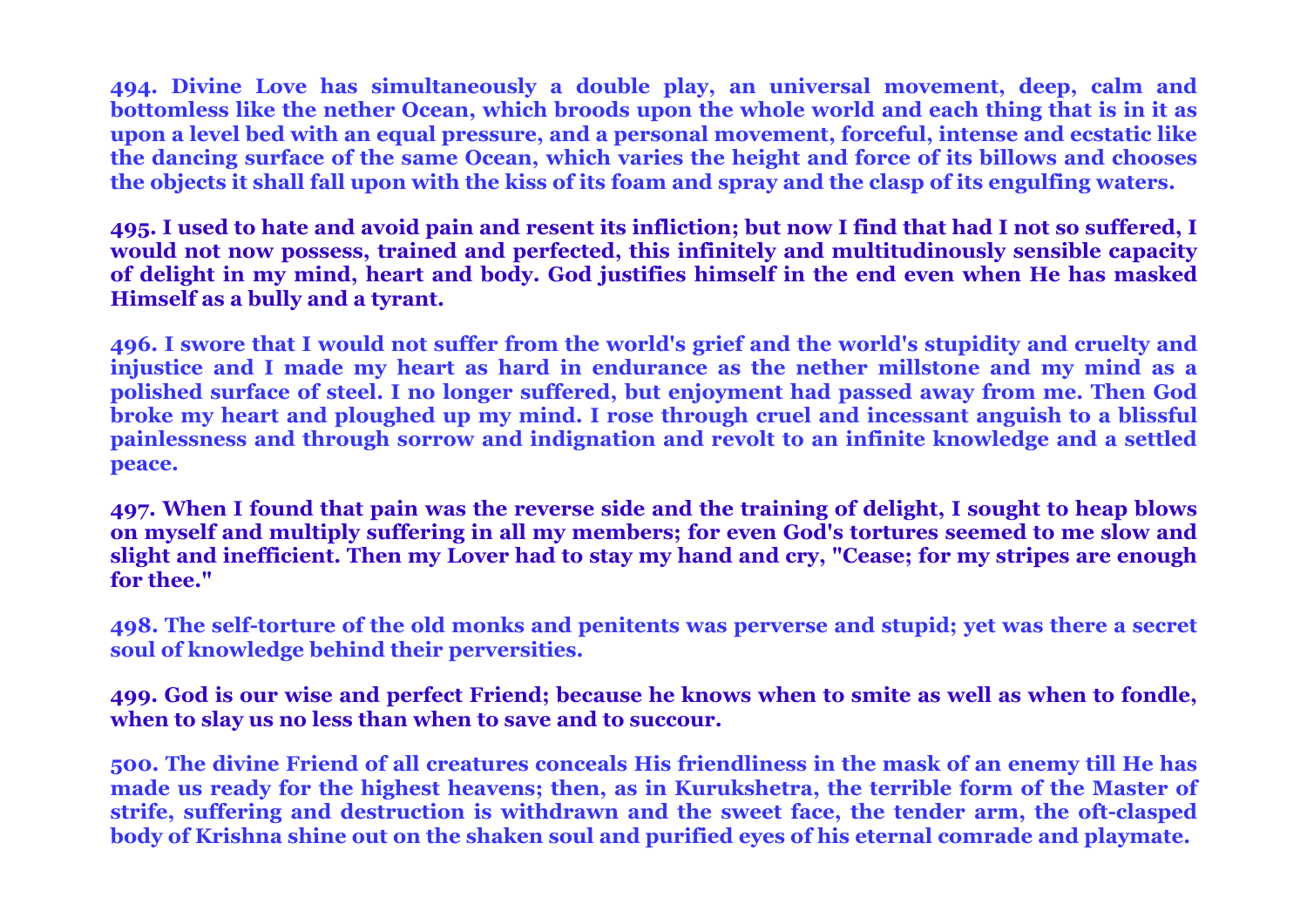**494. Divine Love has simultaneously a double play, an universal movement, deep, calm and bottomless like the nether Ocean, which broods upon the whole world and each thing that is in it as upon a level bed with an equal pressure, and a personal movement, forceful, intense and ecstatic like the dancing surface of the same Ocean, which varies the height and force of its billows and chooses the objects it shall fall upon with the kiss of its foam and spray and the clasp of its engulfing waters.**

**495. I used to hate and avoid pain and resent its infliction; but now I find that had I not so suffered, I would not now possess, trained and perfected, this infinitely and multitudinously sensible capacity of delight in my mind, heart and body. God justifies himself in the end even when He has masked Himself as a bully and a tyrant.**

**496. I swore that I would not suffer from the world's grief and the world's stupidity and cruelty and injustice and I made my heart as hard in endurance as the nether millstone and my mind as a polished surface of steel. I no longer suffered, but enjoyment had passed away from me. Then God broke my heart and ploughed up my mind. I rose through cruel and incessant anguish to a blissful painlessness and through sorrow and indignation and revolt to an infinite knowledge and a settled peace.**

**497. When I found that pain was the reverse side and the training of delight, I sought to heap blows on myself and multiply suffering in all my members; for even God's tortures seemed to me slow and slight and inefficient. Then my Lover had to stay my hand and cry, "Cease; for my stripes are enough for thee."** 

**498. The self-torture of the old monks and penitents was perverse and stupid; yet was there a secret soul of knowledge behind their perversities.**

**499. God is our wise and perfect Friend; because he knows when to smite as well as when to fondle, when to slay us no less than when to save and to succour.**

**500. The divine Friend of all creatures conceals His friendliness in the mask of an enemy till He has made us ready for the highest heavens; then, as in Kurukshetra, the terrible form of the Master of strife, suffering and destruction is withdrawn and the sweet face, the tender arm, the oft-clasped body of Krishna shine out on the shaken soul and purified eyes of his eternal comrade and playmate.**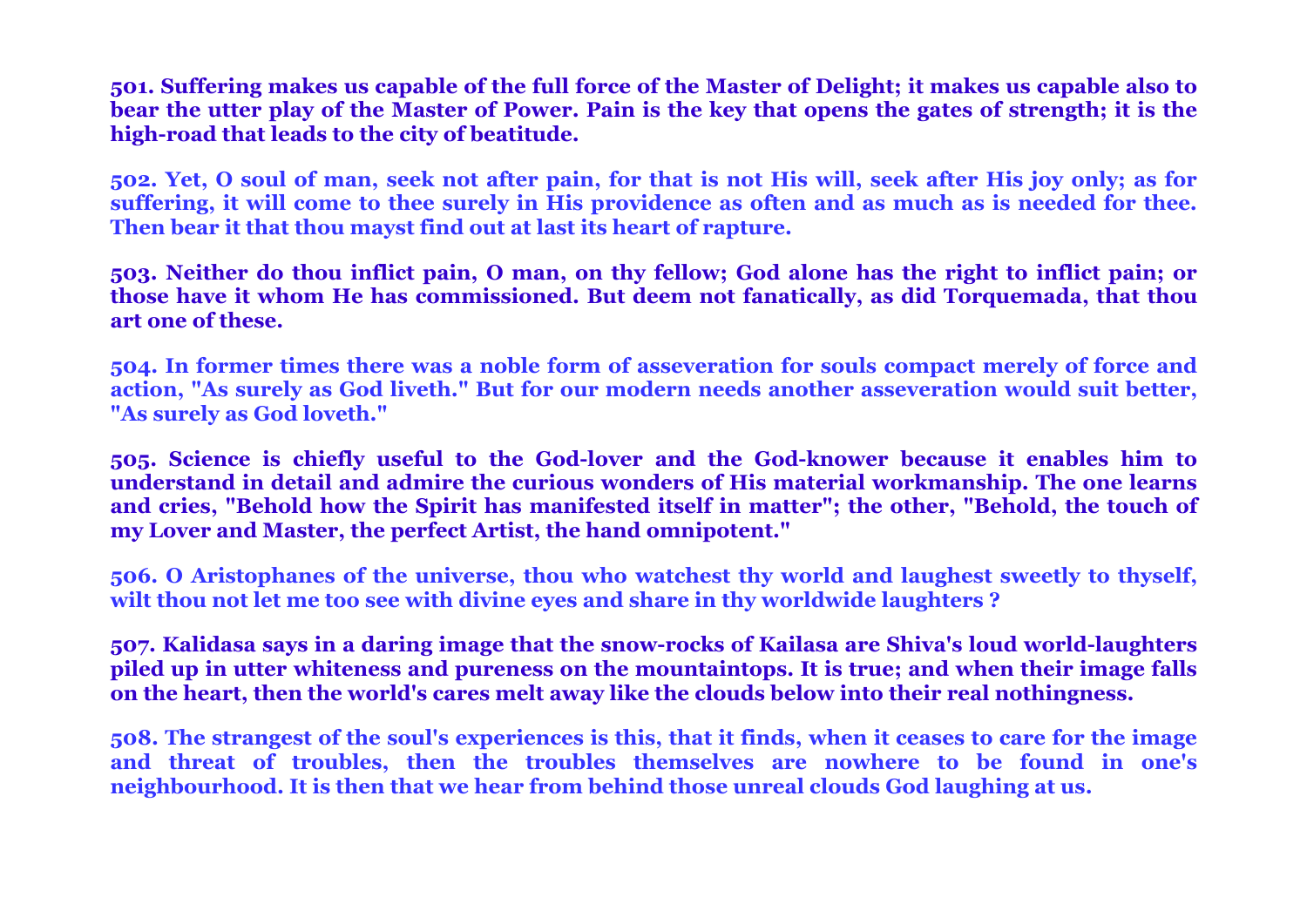**501. Suffering makes us capable of the full force of the Master of Delight; it makes us capable also to bear the utter play of the Master of Power. Pain is the key that opens the gates of strength; it is the high-road that leads to the city of beatitude.**

**502. Yet, O soul of man, seek not after pain, for that is not His will, seek after His joy only; as for suffering, it will come to thee surely in His providence as often and as much as is needed for thee. Then bear it that thou mayst find out at last its heart of rapture.**

**503. Neither do thou inflict pain, O man, on thy fellow; God alone has the right to inflict pain; or those have it whom He has commissioned. But deem not fanatically, as did Torquemada, that thou art one of these.**

**504. In former times there was a noble form of asseveration for souls compact merely of force and action, "As surely as God liveth." But for our modern needs another asseveration would suit better, "As surely as God loveth."** 

**505. Science is chiefly useful to the God-lover and the God-knower because it enables him to understand in detail and admire the curious wonders of His material workmanship. The one learns and cries, "Behold how the Spirit has manifested itself in matter"; the other, "Behold, the touch of my Lover and Master, the perfect Artist, the hand omnipotent."** 

**506. O Aristophanes of the universe, thou who watchest thy world and laughest sweetly to thyself, wilt thou not let me too see with divine eyes and share in thy worldwide laughters ?** 

**507. Kalidasa says in a daring image that the snow-rocks of Kailasa are Shiva's loud world-laughters piled up in utter whiteness and pureness on the mountaintops. It is true; and when their image falls on the heart, then the world's cares melt away like the clouds below into their real nothingness.**

**508. The strangest of the soul's experiences is this, that it finds, when it ceases to care for the image and threat of troubles, then the troubles themselves are nowhere to be found in one's neighbourhood. It is then that we hear from behind those unreal clouds God laughing at us.**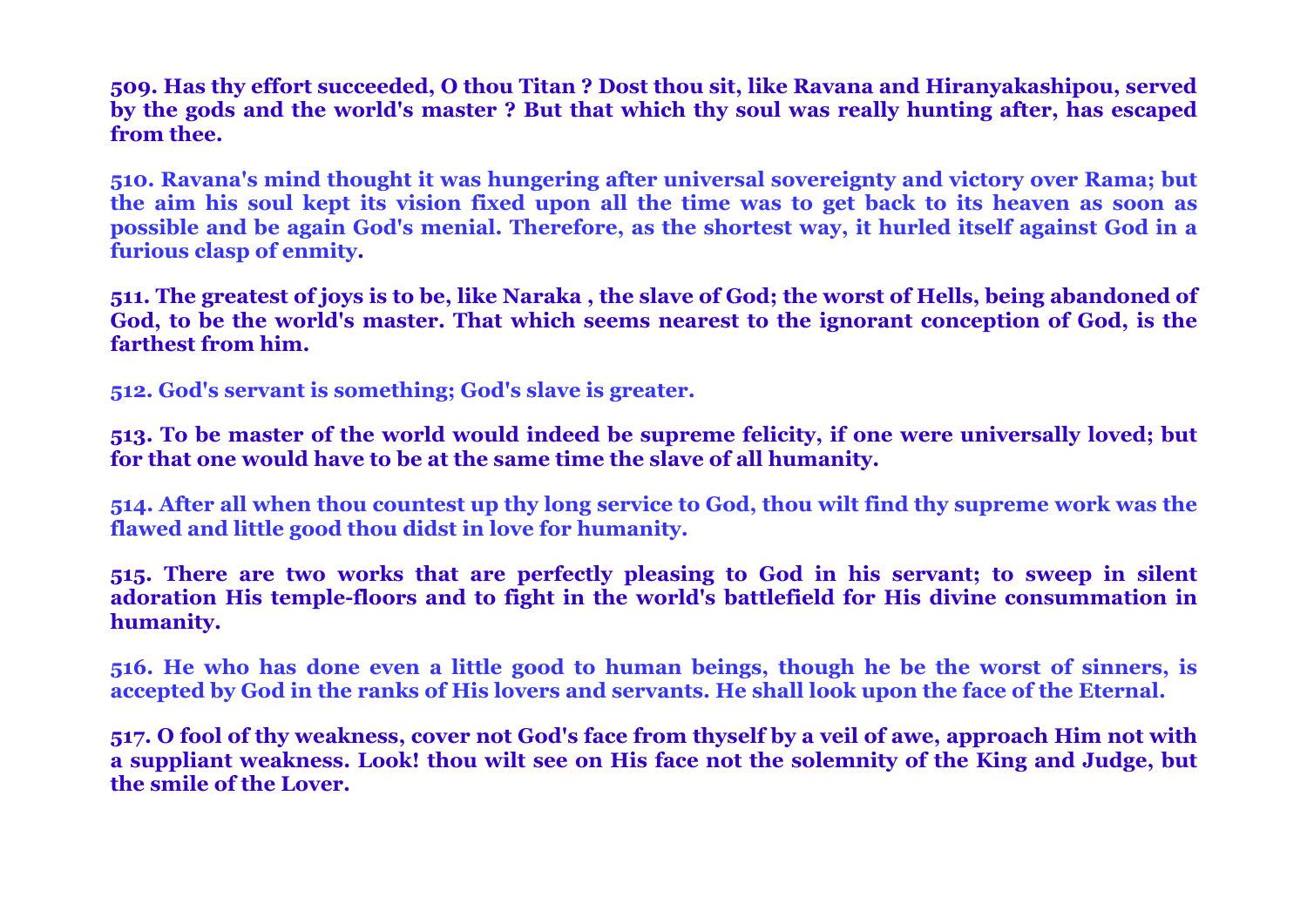**509. Has thy effort succeeded, O thou Titan ? Dost thou sit, like Ravana and Hiranyakashipou, served by the gods and the world's master ? But that which thy soul was really hunting after, has escaped from thee.**

**510. Ravana's mind thought it was hungering after universal sovereignty and victory over Rama; but the aim his soul kept its vision fixed upon all the time was to get back to its heaven as soon as possible and be again God's menial. Therefore, as the shortest way, it hurled itself against God in a furious clasp of enmity.**

**511. The greatest of joys is to be, like Naraka , the slave of God; the worst of Hells, being abandoned of God, to be the world's master. That which seems nearest to the ignorant conception of God, is the farthest from him.**

**512. God's servant is something; God's slave is greater.**

**513. To be master of the world would indeed be supreme felicity, if one were universally loved; but for that one would have to be at the same time the slave of all humanity.**

**514. After all when thou countest up thy long service to God, thou wilt find thy supreme work was the flawed and little good thou didst in love for humanity.**

**515. There are two works that are perfectly pleasing to God in his servant; to sweep in silent adoration His temple-floors and to fight in the world's battlefield for His divine consummation in humanity.**

**516. He who has done even a little good to human beings, though he be the worst of sinners, is accepted by God in the ranks of His lovers and servants. He shall look upon the face of the Eternal.**

**517. O fool of thy weakness, cover not God's face from thyself by a veil of awe, approach Him not with a suppliant weakness. Look! thou wilt see on His face not the solemnity of the King and Judge, but the smile of the Lover.**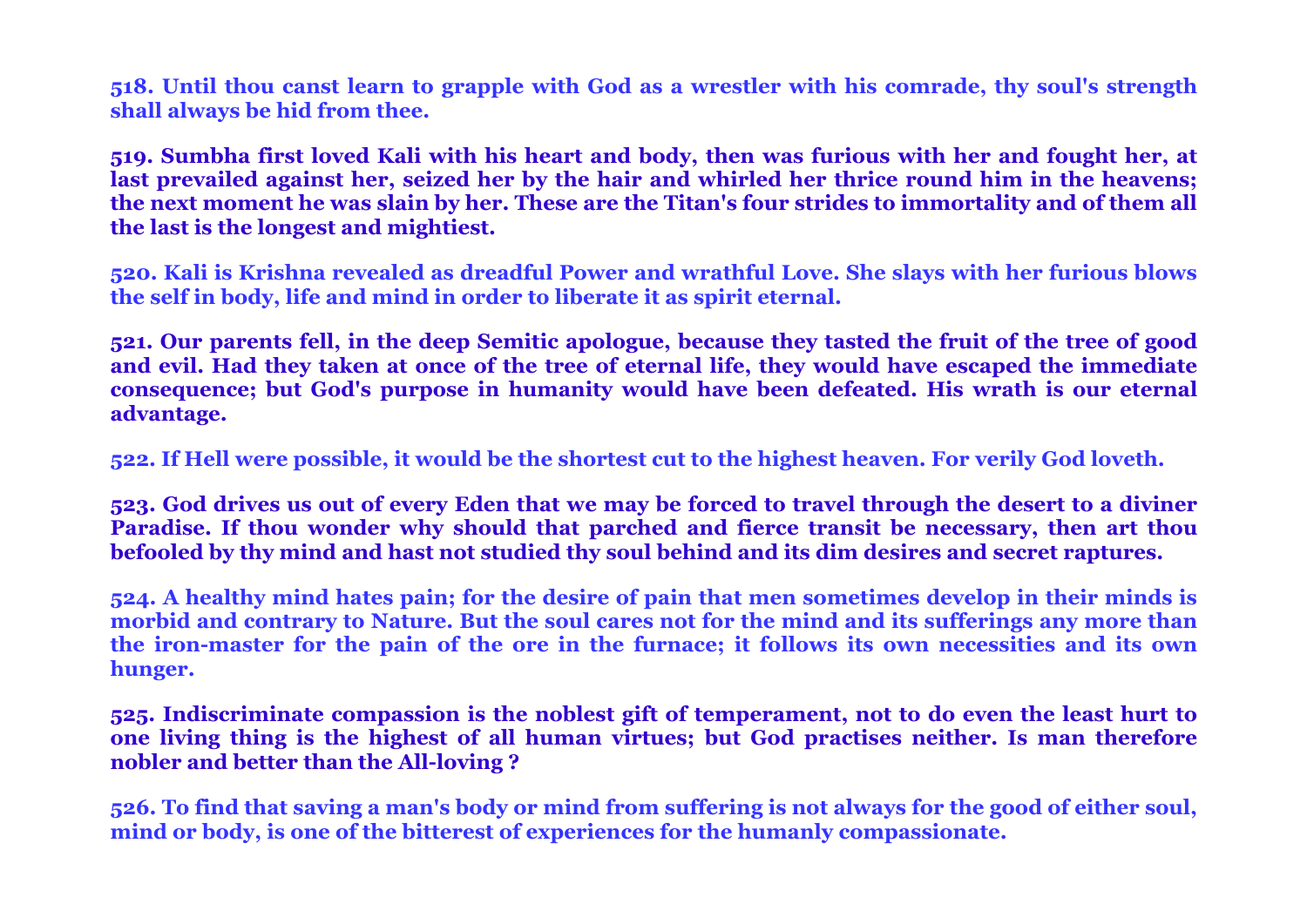**518. Until thou canst learn to grapple with God as a wrestler with his comrade, thy soul's strength shall always be hid from thee.**

**519. Sumbha first loved Kali with his heart and body, then was furious with her and fought her, at last prevailed against her, seized her by the hair and whirled her thrice round him in the heavens; the next moment he was slain by her. These are the Titan's four strides to immortality and of them all the last is the longest and mightiest.**

**520. Kali is Krishna revealed as dreadful Power and wrathful Love. She slays with her furious blows the self in body, life and mind in order to liberate it as spirit eternal.**

**521. Our parents fell, in the deep Semitic apologue, because they tasted the fruit of the tree of good and evil. Had they taken at once of the tree of eternal life, they would have escaped the immediate consequence; but God's purpose in humanity would have been defeated. His wrath is our eternal advantage.**

**522. If Hell were possible, it would be the shortest cut to the highest heaven. For verily God loveth.**

**523. God drives us out of every Eden that we may be forced to travel through the desert to a diviner Paradise. If thou wonder why should that parched and fierce transit be necessary, then art thou befooled by thy mind and hast not studied thy soul behind and its dim desires and secret raptures.**

**524. A healthy mind hates pain; for the desire of pain that men sometimes develop in their minds is morbid and contrary to Nature. But the soul cares not for the mind and its sufferings any more than the iron-master for the pain of the ore in the furnace; it follows its own necessities and its own hunger.**

**525. Indiscriminate compassion is the noblest gift of temperament, not to do even the least hurt to one living thing is the highest of all human virtues; but God practises neither. Is man therefore nobler and better than the All-loving ?**

**526. To find that saving a man's body or mind from suffering is not always for the good of either soul, mind or body, is one of the bitterest of experiences for the humanly compassionate.**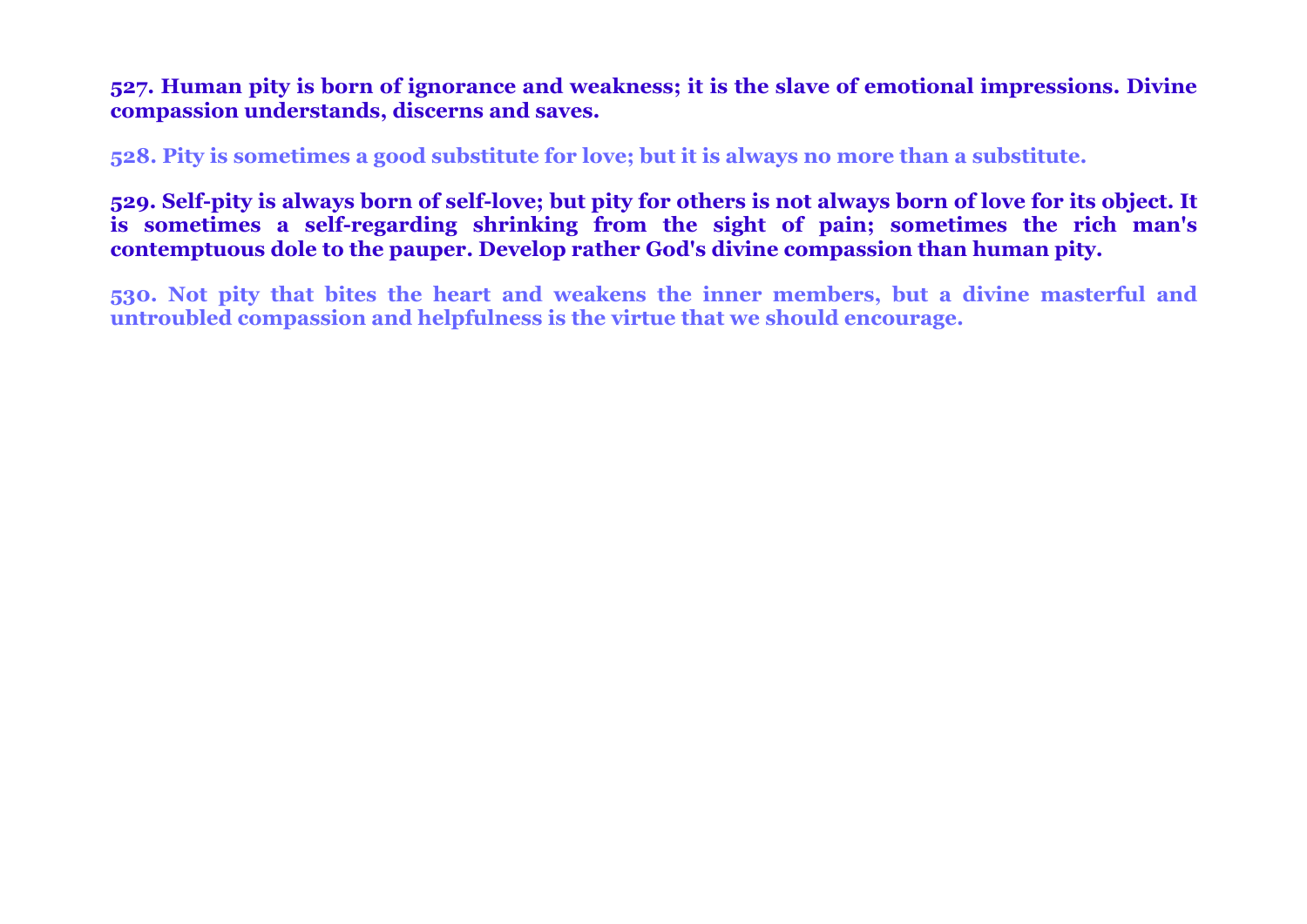**527. Human pity is born of ignorance and weakness; it is the slave of emotional impressions. Divine compassion understands, discerns and saves.**

**528. Pity is sometimes a good substitute for love; but it is always no more than a substitute.**

**529. Self-pity is always born of self-love; but pity for others is not always born of love for its object. It is sometimes a self-regarding shrinking from the sight of pain; sometimes the rich man's contemptuous dole to the pauper. Develop rather God's divine compassion than human pity.**

**530. Not pity that bites the heart and weakens the inner members, but a divine masterful and untroubled compassion and helpfulness is the virtue that we should encourage.**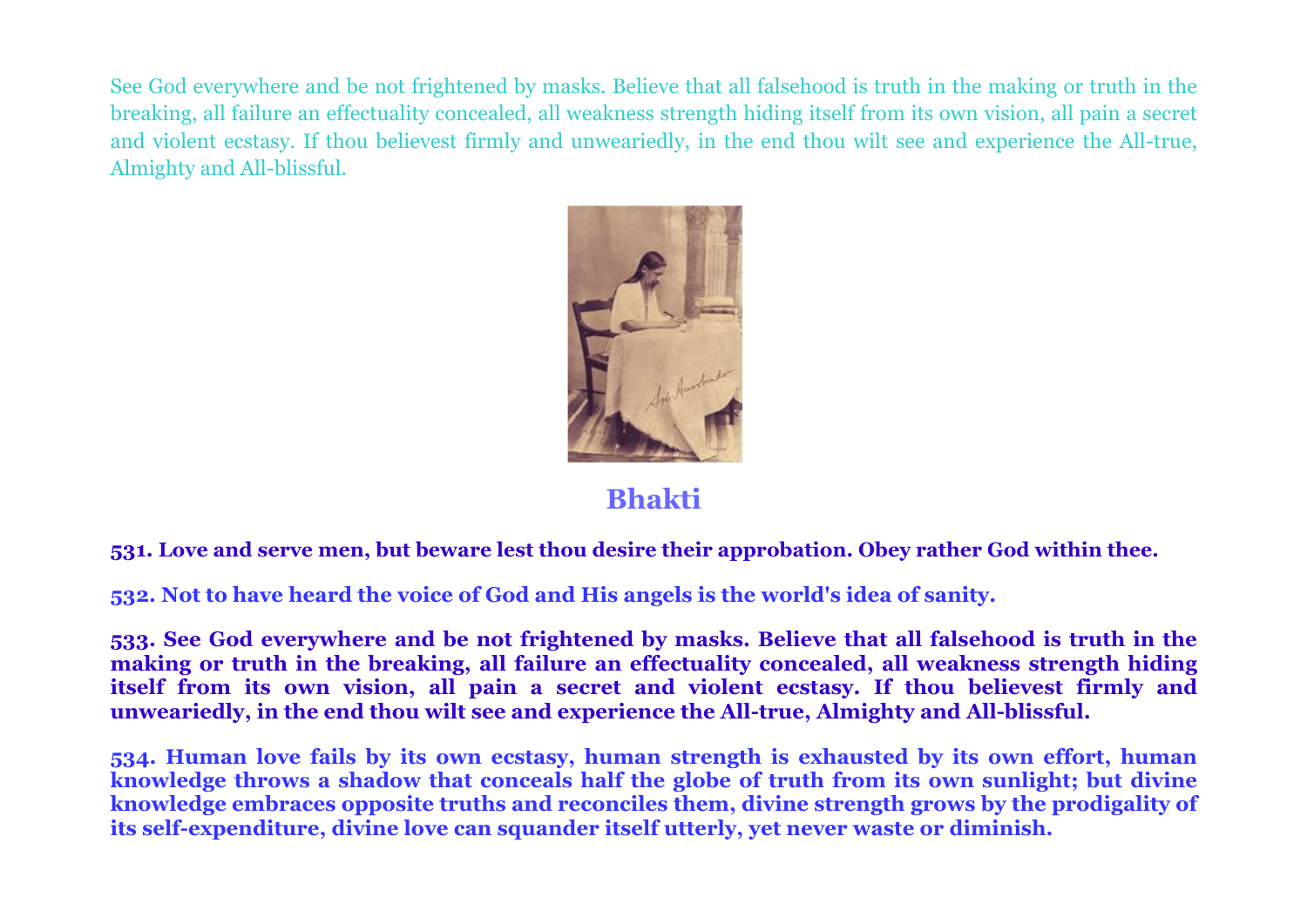See God everywhere and be not frightened by masks. Believe that all falsehood is truth in the making or truth in the breaking, all failure an effectuality concealed, all weakness strength hiding itself from its own vision, all pain a secret and violent ecstasy. If thou believest firmly and unweariedly, in the end thou wilt see and experience the All-true, Almighty and All-blissful.



**Bhakti**

**531. Love and serve men, but beware lest thou desire their approbation. Obey rather God within thee.**

**532. Not to have heard the voice of God and His angels is the world's idea of sanity.**

**533. See God everywhere and be not frightened by masks. Believe that all falsehood is truth in the making or truth in the breaking, all failure an effectuality concealed, all weakness strength hiding itself from its own vision, all pain a secret and violent ecstasy. If thou believest firmly and unweariedly, in the end thou wilt see and experience the All-true, Almighty and All-blissful.**

**534. Human love fails by its own ecstasy, human strength is exhausted by its own effort, human knowledge throws a shadow that conceals half the globe of truth from its own sunlight; but divine knowledge embraces opposite truths and reconciles them, divine strength grows by the prodigality of its self-expenditure, divine love can squander itself utterly, yet never waste or diminish.**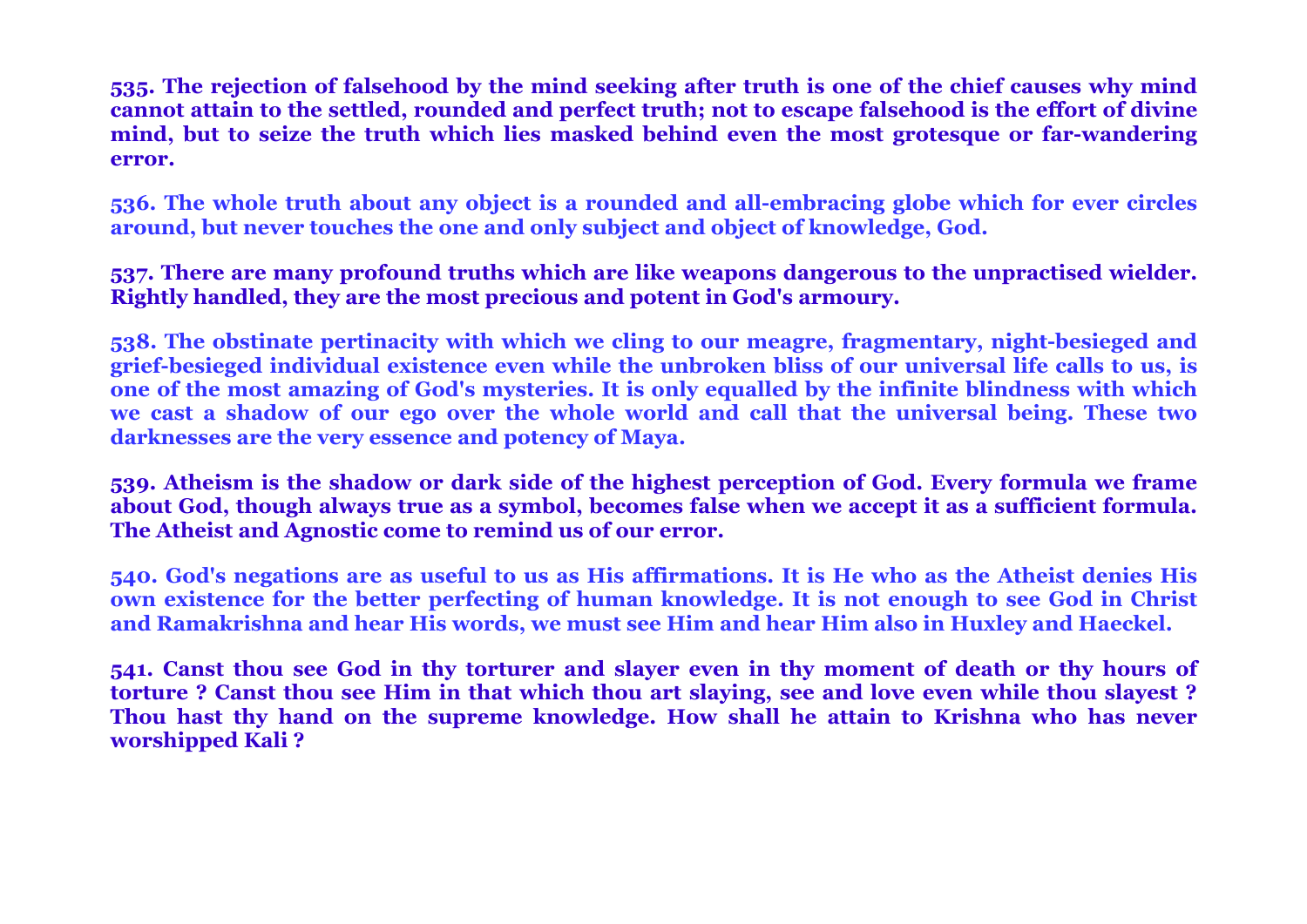**535. The rejection of falsehood by the mind seeking after truth is one of the chief causes why mind cannot attain to the settled, rounded and perfect truth; not to escape falsehood is the effort of divine mind, but to seize the truth which lies masked behind even the most grotesque or far-wandering error.**

**536. The whole truth about any object is a rounded and all-embracing globe which for ever circles around, but never touches the one and only subject and object of knowledge, God.**

**537. There are many profound truths which are like weapons dangerous to the unpractised wielder. Rightly handled, they are the most precious and potent in God's armoury.**

**538. The obstinate pertinacity with which we cling to our meagre, fragmentary, night-besieged and grief-besieged individual existence even while the unbroken bliss of our universal life calls to us, is one of the most amazing of God's mysteries. It is only equalled by the infinite blindness with which we cast a shadow of our ego over the whole world and call that the universal being. These two darknesses are the very essence and potency of Maya.**

**539. Atheism is the shadow or dark side of the highest perception of God. Every formula we frame about God, though always true as a symbol, becomes false when we accept it as a sufficient formula. The Atheist and Agnostic come to remind us of our error.**

**540. God's negations are as useful to us as His affirmations. It is He who as the Atheist denies His own existence for the better perfecting of human knowledge. It is not enough to see God in Christ and Ramakrishna and hear His words, we must see Him and hear Him also in Huxley and Haeckel.**

**541. Canst thou see God in thy torturer and slayer even in thy moment of death or thy hours of torture ? Canst thou see Him in that which thou art slaying, see and love even while thou slayest ? Thou hast thy hand on the supreme knowledge. How shall he attain to Krishna who has never worshipped Kali ?**